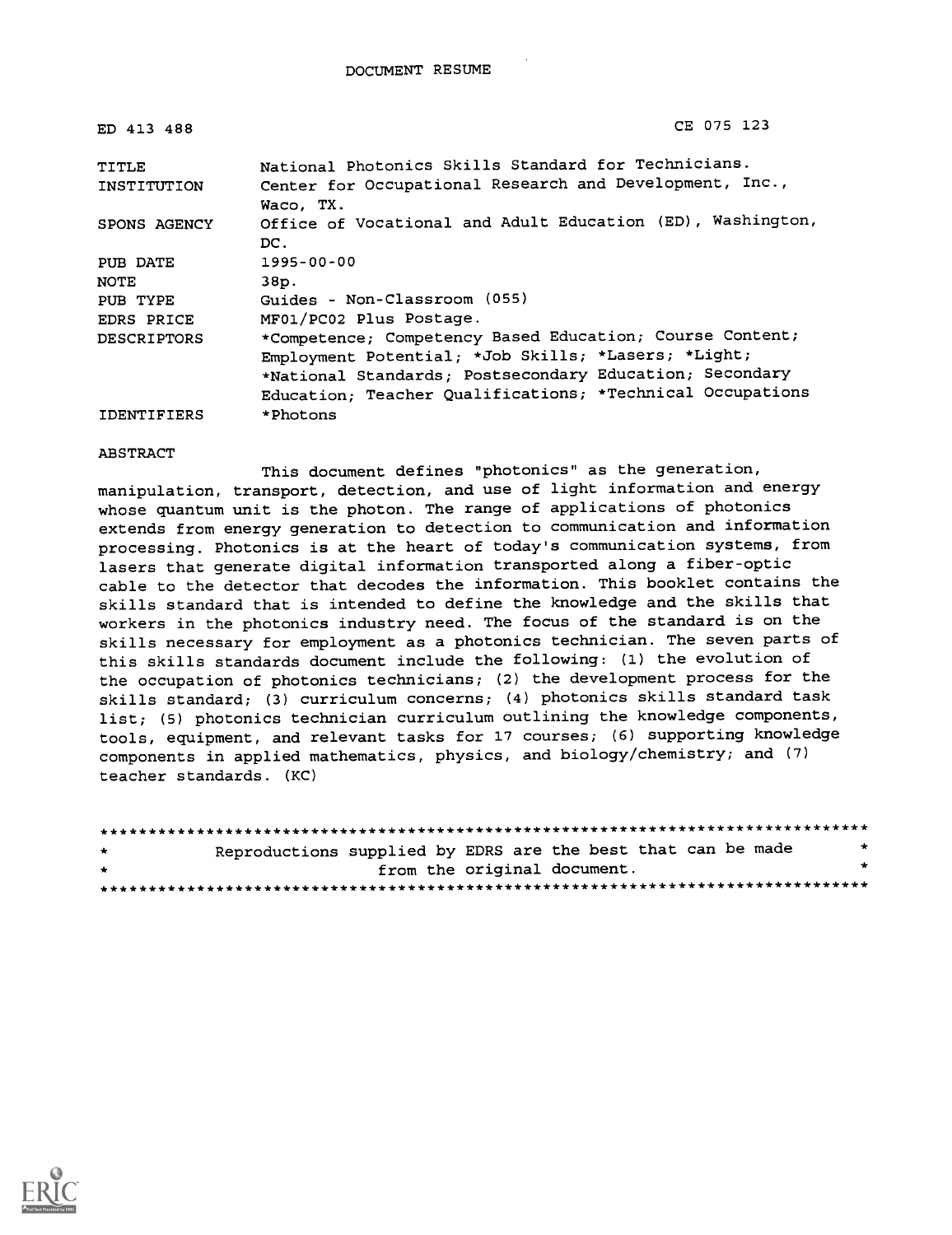| ED 413 488         | CE 075 123                                                 |
|--------------------|------------------------------------------------------------|
| TITLE              | National Photonics Skills Standard for Technicians.        |
| INSTITUTION        | Center for Occupational Research and Development, Inc.,    |
|                    | Waco, TX.                                                  |
| SPONS AGENCY       | Office of Vocational and Adult Education (ED), Washington, |
|                    | DC.                                                        |
| PUB DATE           | 1995-00-00                                                 |
| <b>NOTE</b>        | 38p.                                                       |
| PUB TYPE           | Guides - Non-Classroom (055)                               |
| EDRS PRICE         | MF01/PC02 Plus Postage.                                    |
| <b>DESCRIPTORS</b> | *Competence; Competency Based Education; Course Content;   |
|                    | Employment Potential; *Job Skills; *Lasers; *Light;        |
|                    | *National Standards; Postsecondary Education; Secondary    |
|                    | Education; Teacher Qualifications; *Technical Occupations  |
| <b>IDENTIFIERS</b> | *Photons                                                   |

#### ABSTRACT

This document defines "photonics" as the generation, manipulation, transport, detection, and use of light information and energy whose quantum unit is the photon. The range of applications of photonics extends from energy generation to detection to communication and information processing. Photonics is at the heart of today's communication systems, from lasers that generate digital information transported along a fiber-optic cable to the detector that decodes the information. This booklet contains the skills standard that is intended to define the knowledge and the skills that workers in the photonics industry need. The focus of the standard is on the skills necessary for employment as a photonics technician. The seven parts of this skills standards document include the following: (1) the evolution of the occupation of photonics technicians; (2) the development process for the skills standard; (3) curriculum concerns; (4) photonics skills standard task list; (5) photonics technician curriculum outlining the knowledge components, tools, equipment, and relevant tasks for 17 courses; (6) supporting knowledge components in applied mathematics, physics, and biology/chemistry; and (7) teacher standards. (KC)

| $\pm$ | Reproductions supplied by EDRS are the best that can be made |                             |  |  | $\star$ |  |
|-------|--------------------------------------------------------------|-----------------------------|--|--|---------|--|
| $\pm$ |                                                              | from the original document. |  |  |         |  |
|       |                                                              |                             |  |  |         |  |

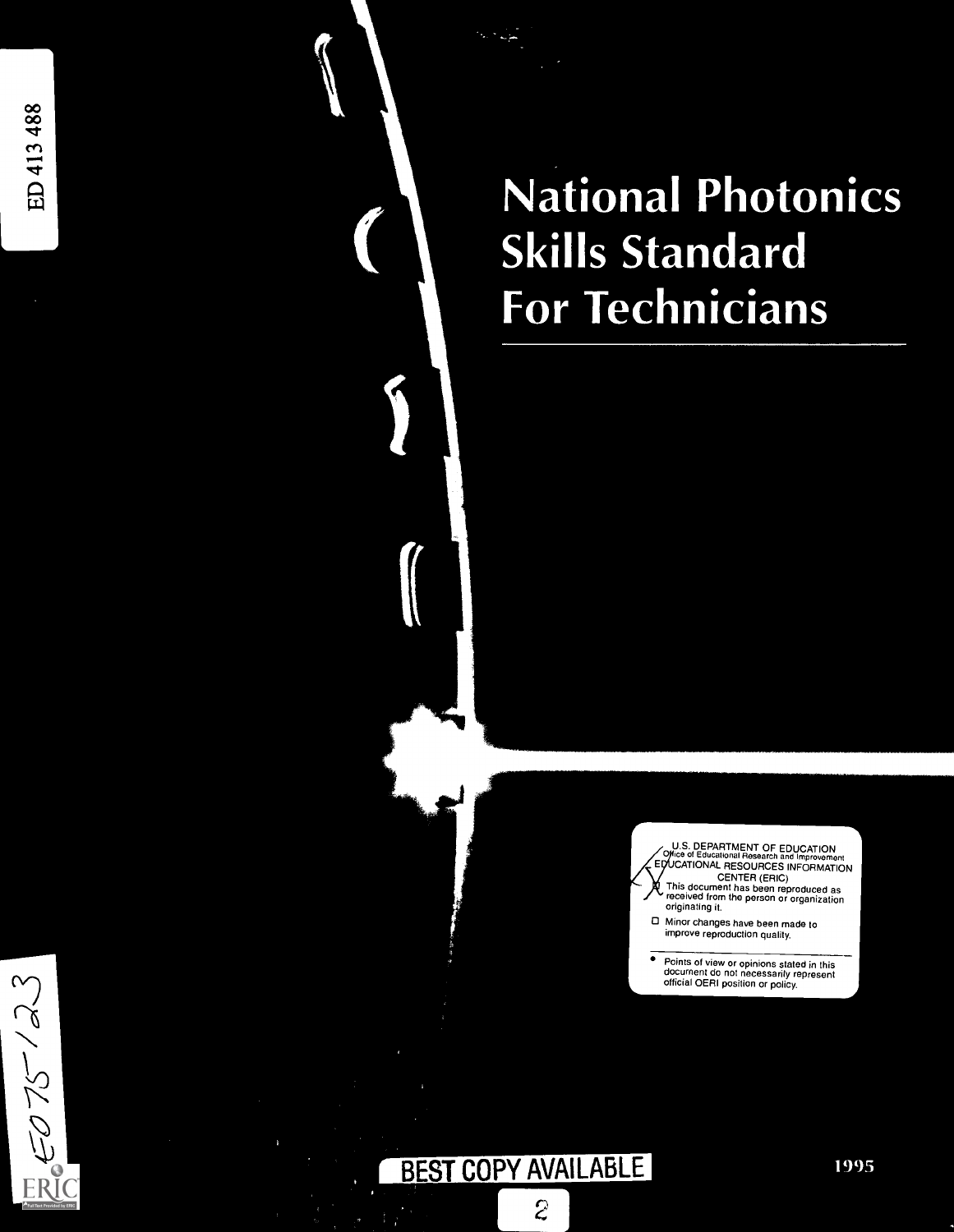$5075/23$ 

ERI

a National or lechnicians **Skills Standard** 

> U.S. DEPARTMENT OF EDUCATION<br>Office of Educational Research and Improvement EDUCATIONAL RESOURCES INFORMATION

CENTER (ERIC) This document has been reproduced as received from the person or organization originating it

0 Minor changes have been made to improve reproduction quality

Points of view or opinions stated in this document do not necessarily represent official OERI position or policy

## BEST COPY AVAILABLE

 $\overline{c}$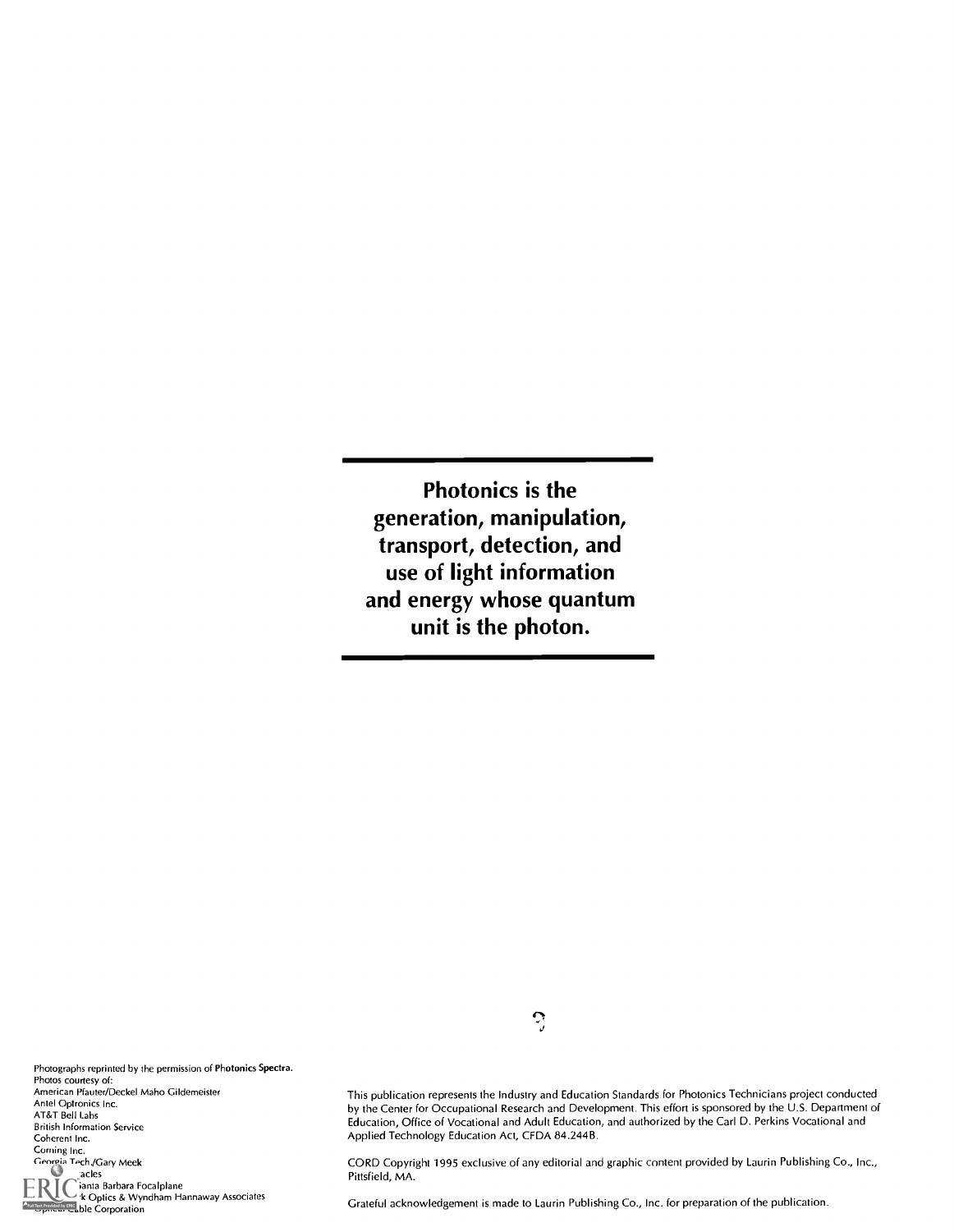Photonics is the generation, manipulation, transport, detection, and use of light information and energy whose quantum unit is the photon.

 $\mathcal{Z}$ 

Photographs reprinted by the permission of Photonics Spectra. Photos courtesy of: American Pfauter/Deckel Maho Gildemeister Ante! Optronics Inc. AT&T Bell Labs British Information Service Coherent Inc. Corning Inc. Georgia Tech./Gary Meek<br>acles  $\text{RIC}$ anta Barbara Focalplane<br>Meadowlark Associates & Wyndham Hannaway Associates

**ORT OPTICAL CORPORATION** 

This publication represents the Industry and Education Standards for Photonics Technicians project conducted by the Center for Occupational Research and Development. This effort is sponsored by the U.S. Department of Education, Office of Vocational and Adult Education, and authorized by the Carl D. Perkins Vocational and Applied Technology Education Act, CFDA 84.244B.

CORD Copyright 1995 exclusive of any editorial and graphic content provided by Laurin Publishing Co., Inc., Pittsfield, MA.

Grateful acknowledgement is made to Laurin Publishing Co., Inc. for preparation of the publication.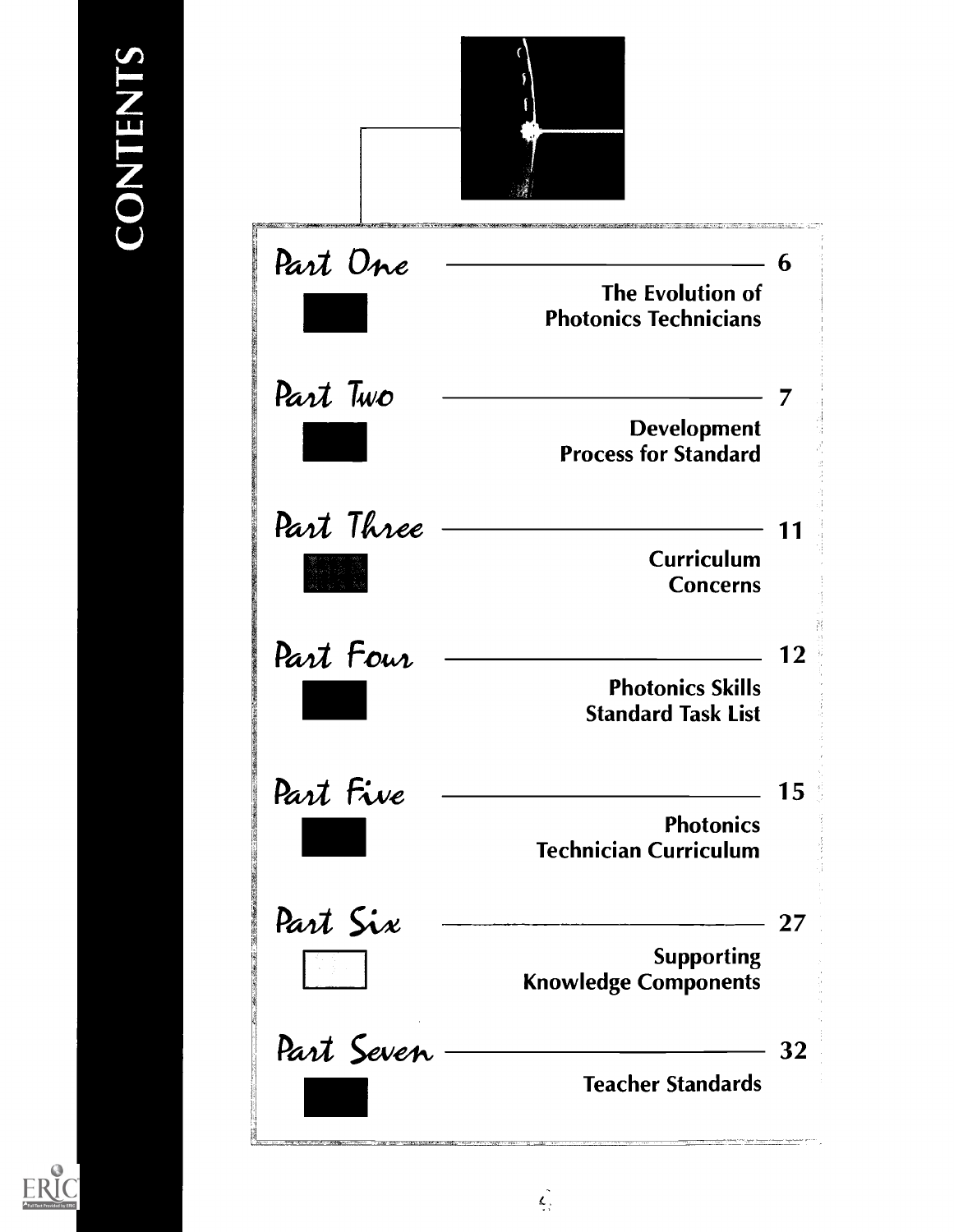

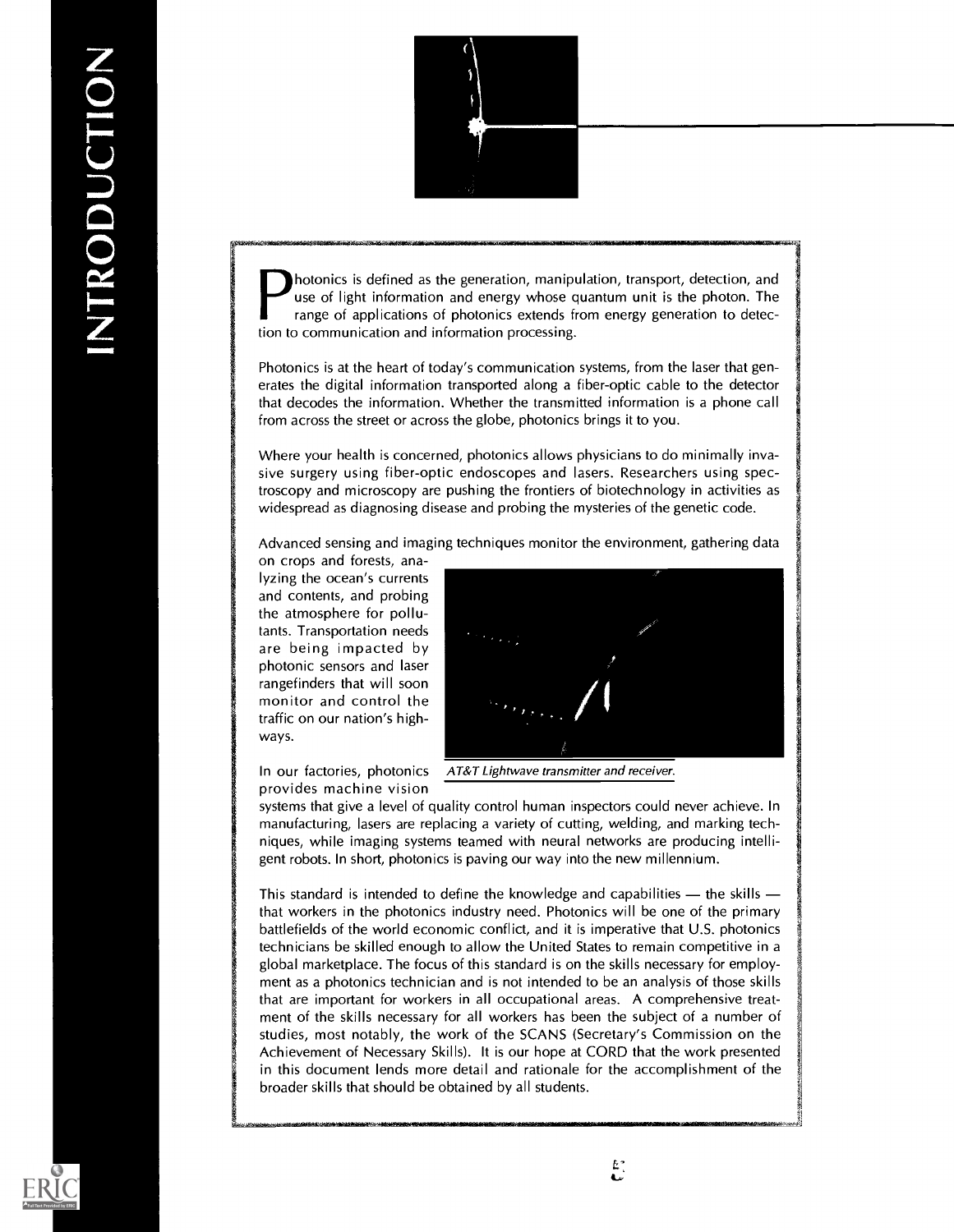

photonics is defined as the generation, manipulation, transport, detection, and use of light information and energy whose quantum unit is the photon. The range of applications of photonics extends from energy generation to detection to communication and information processing.

Photonics is at the heart of today's communication systems, from the laser that generates the digital information transported along a fiber-optic cable to the detector that decodes the information. Whether the transmitted information is a phone call from across the street or across the globe, photonics brings it to you.

Where your health is concerned, photonics allows physicians to do minimally invasive surgery using fiber-optic endoscopes and lasers. Researchers using spectroscopy and microscopy are pushing the frontiers of biotechnology in activities as widespread as diagnosing disease and probing the mysteries of the genetic code.

Advanced sensing and imaging techniques monitor the environment, gathering data

on crops and forests, analyzing the ocean's currents and contents, and probing the atmosphere for pollutants. Transportation needs are being impacted by photonic sensors and laser rangefinders that will soon monitor and control the traffic on our nation's highways.



provides machine vision

In our factories, photonics AT&T Lightwave transmitter and receiver.

systems that give a level of quality control human inspectors could never achieve. In manufacturing, lasers are replacing a variety of cutting, welding, and marking techniques, while imaging systems teamed with neural networks are producing intelligent robots. In short, photonics is paving our way into the new millennium.

This standard is intended to define the knowledge and capabilities  $-$  the skills  $$ that workers in the photonics industry need. Photonics will be one of the primary battlefields of the world economic conflict, and it is imperative that U.S. photonics technicians be skilled enough to allow the United States to remain competitive in a global marketplace. The focus of this standard is on the skills necessary for employment as a photonics technician and is not intended to be an analysis of those skills that are important for workers in all occupational areas. A comprehensive treatment of the skills necessary for all workers has been the subject of a number of studies, most notably, the work of the SCANS (Secretary's Commission on the Achievement of Necessary Skills). It is our hope at CORD that the work presented in this document lends more detail and rationale for the accomplishment of the broader skills that should be obtained by all students.

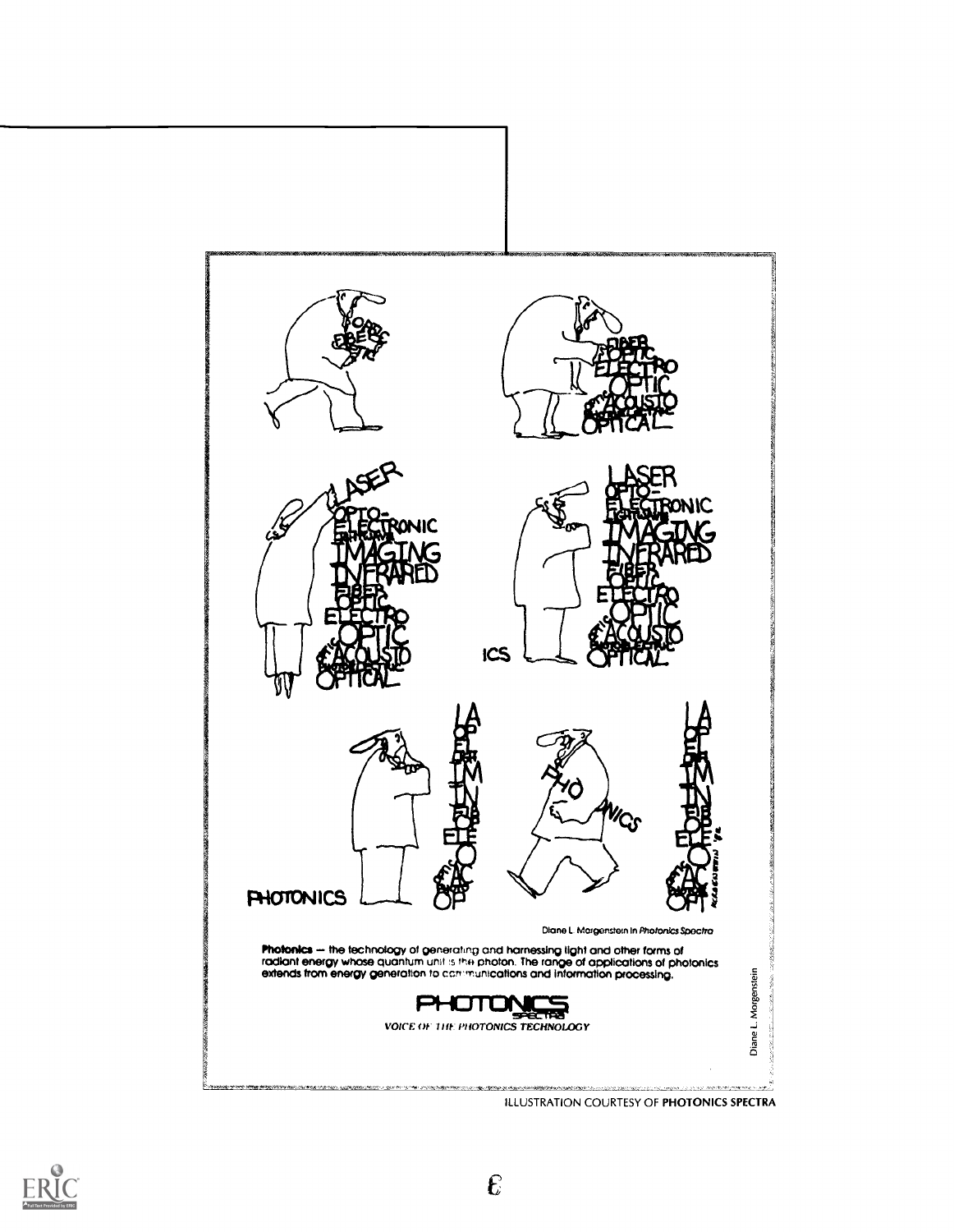

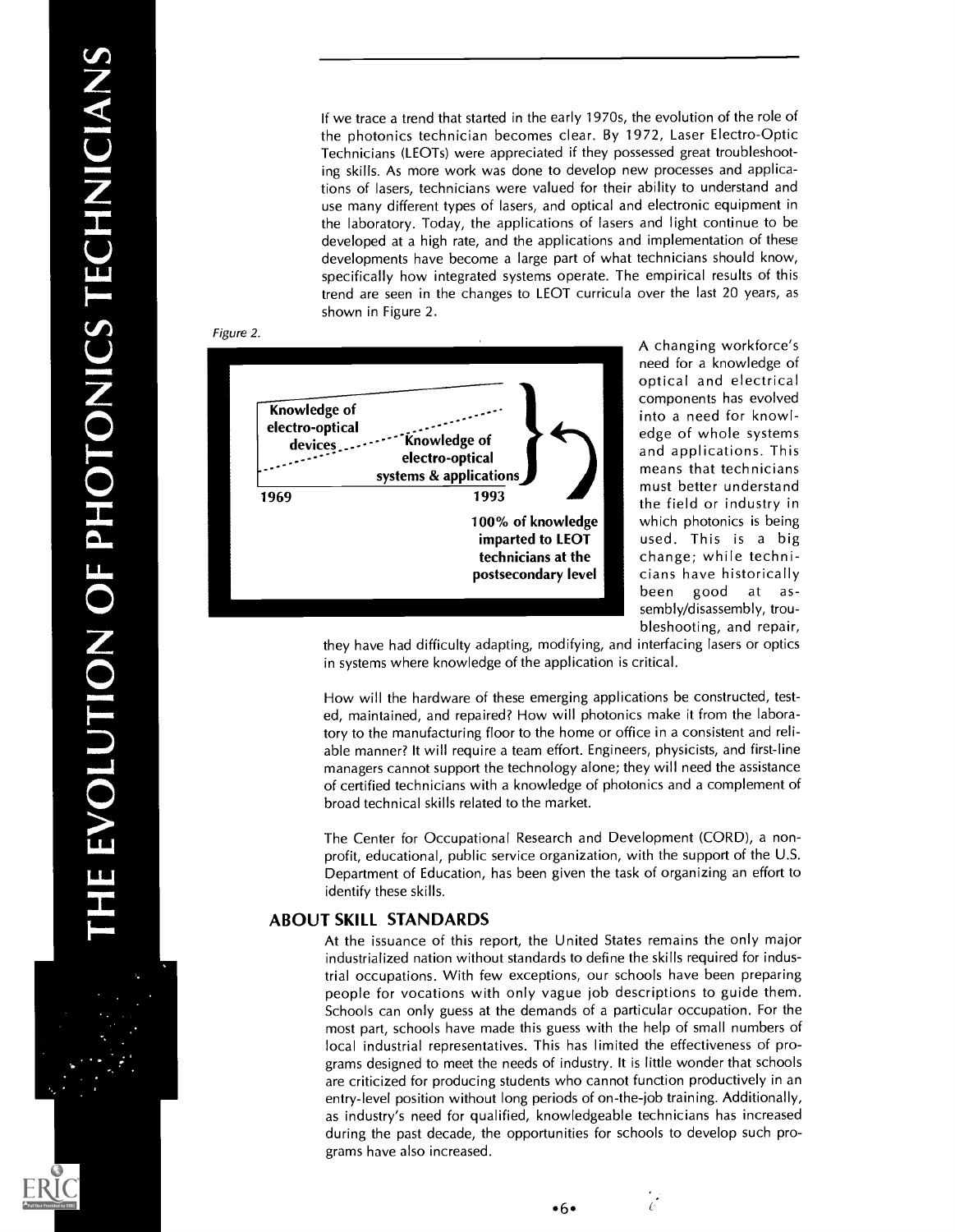If we trace a trend that started in the early 1970s, the evolution of the role of the photonics technician becomes clear. By 1972, Laser Electro-Optic Technicians (LEOTs) were appreciated if they possessed great troubleshooting skills. As more work was done to develop new processes and applications of lasers, technicians were valued for their ability to understand and use many different types of lasers, and optical and electronic equipment in the laboratory. Today, the applications of lasers and light continue to be developed at a high rate, and the applications and implementation of these developments have become a large part of what technicians should know, specifically how integrated systems operate. The empirical results of this trend are seen in the changes to LEOT curricula over the last 20 years, as shown in Figure 2.



A changing workforce's need for a knowledge of optical and electrical and applications. This<br>means that technicians must better understand the field or industry in imparted to LEOT used. This is a big technicians at the  $\|$  change; while technibeen good at assembly/disassembly, troubleshooting, and repair,

they have had difficulty adapting, modifying, and interfacing lasers or optics in systems where knowledge of the application is critical.

How will the hardware of these emerging applications be constructed, tested, maintained, and repaired? How will photonics make it from the laboratory to the manufacturing floor to the home or office in a consistent and reliable manner? It will require a team effort. Engineers, physicists, and first-line managers cannot support the technology alone; they will need the assistance of certified technicians with a knowledge of photonics and a complement of broad technical skills related to the market.

The Center for Occupational Research and Development (CORD), a nonprofit, educational, public service organization, with the support of the U.S. Department of Education, has been given the task of organizing an effort to identify these skills.

### ABOUT SKILL STANDARDS

At the issuance of this report, the United States remains the only major industrialized nation without standards to define the skills required for industrial occupations. With few exceptions, our schools have been preparing people for vocations with only vague job descriptions to guide them. Schools can only guess at the demands of a particular occupation. For the most part, schools have made this guess with the help of small numbers of local industrial representatives. This has limited the effectiveness of programs designed to meet the needs of industry. It is little wonder that schools are criticized for producing students who cannot function productively in an entry-level position without long periods of on-the-job training. Additionally, as industry's need for qualified, knowledgeable technicians has increased during the past decade, the opportunities for schools to develop such programs have also increased.

 $\frac{1}{C}$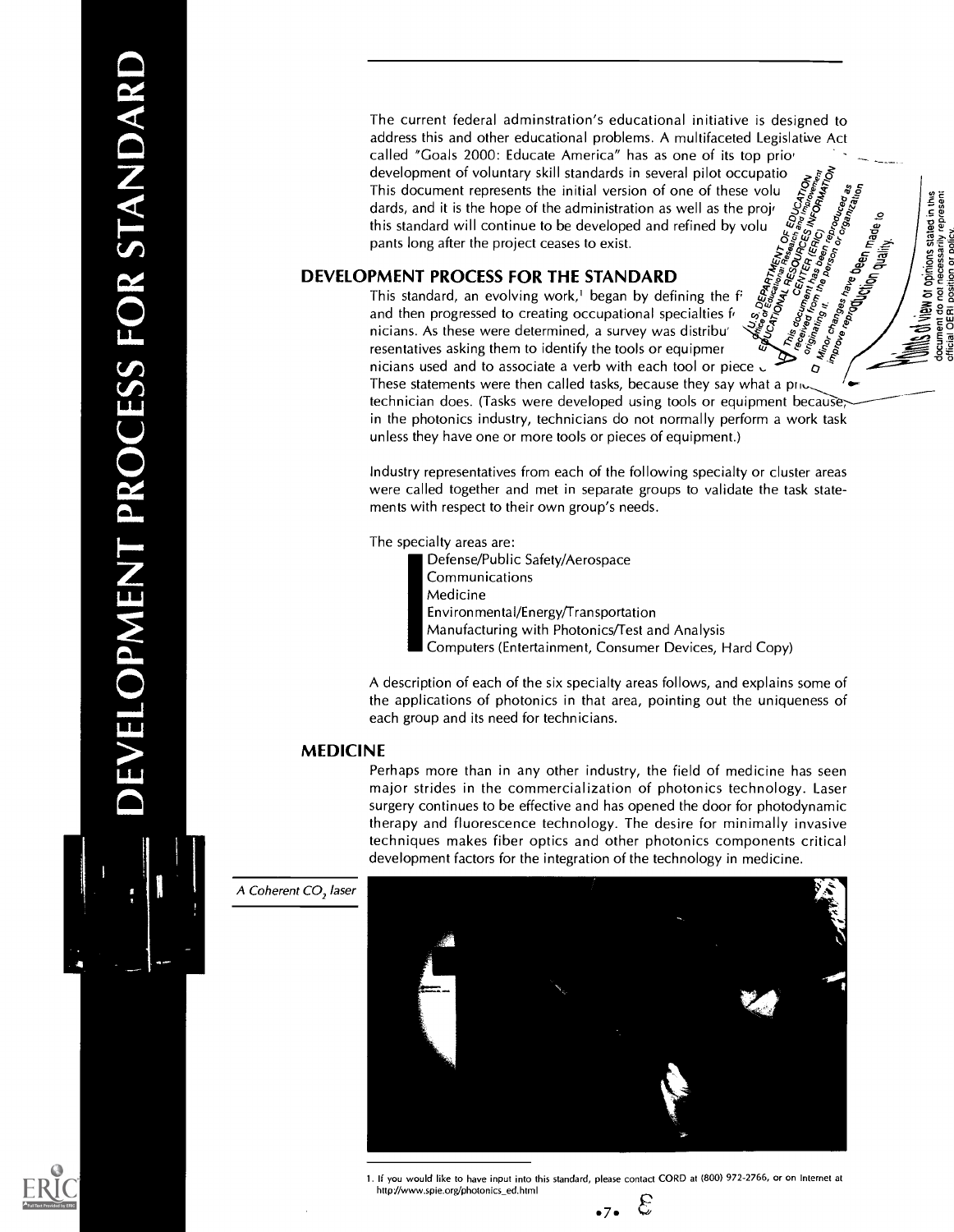The current federal adminstration's educational initiative is designed to address this and other educational problems. A multifaceted Legislative Act called "Goals 2000: Educate America" has as one of its top prio' development of voluntary skill standards in several pilot occupatio This document represents the initial version of one of these volu dards, and it is the hope of the administration as well as the projthis standard will continue to be developed and refined by volu  $\begin{array}{ccc}\n\frac{5}{67} & \frac{2}{67} & \frac{2}{67} & \frac{2}{67} \\
\frac{2}{67} & \frac{2}{67} & \frac{2}{67} & \frac{2}{67} \\
\frac{2}{67} & \frac{2}{67} & \frac{2}{67} & \frac{2}{67} \\
\frac{2}{67} & \frac{2}{67} & \frac{2}{67} & \frac{2}{67} \\
\frac{2$  $\mathring{\mathcal{C}}$ 

duality.

position or do not

### DEVELOPMENT PROCESS FOR THE STANDARD

 $\check{\check{\xi}}$   $\check{\xi}$   $\check{\xi}$   $\check{\xi}$   $\check{\xi}$   $\check{\xi}$   $\check{\xi}$   $\check{\xi}$   $\check{\xi}$   $\check{\xi}$   $\check{\xi}$   $\check{\xi}$   $\check{\xi}$   $\check{\xi}$   $\check{\xi}$   $\check{\xi}$   $\check{\xi}$   $\check{\xi}$   $\check{\xi}$   $\check{\xi}$   $\check{\xi}$   $\check{\xi}$   $\check{\xi}$   $\check{\xi}$   $\check{\xi}$   $\check{\xi}$   $\check{\xi}$   $\check$  $\begin{array}{c} S_0 \to \infty \ S_1 \to \infty \ S_2 \to \infty \ S_3 \to \infty \ S_4 \to \infty \ S_5 \to \infty \ S_6 \to \infty \ S_7 \to \infty \ S_8 \to \infty \ S_8 \to \infty \ S_9 \to \infty \ S_9 \to \infty \ S_9 \to \infty \ S_9 \to \infty \ S_9 \to \infty \ S_9 \to \infty \ S_9 \to \infty \ S_9 \to \infty \ S_9 \to \infty \ S_9 \to \infty \ S_9 \to \infty \ S_9 \to \infty \ S_9 \to \infty \ S_9 \to \$ ,y e <sup>c</sup> ા જરૂતે  $\mathbf{z}$ resentatives asking them to identify the tools or equipmer nicians used and to associate a verb with each tool or piece  $\sqrt{q}$ These statements were then called tasks, because they say what a price technician does. (Tasks were developed using tools or equipment because; in the photonics industry, technicians do not normally perform a work task unless they have one or more tools or pieces of equipment.) This standard, an evolving work,<sup>1</sup> began by defining the  $f'$ and then progressed to creating occupational specialties f' nicians. As these were determined, a survey was distribu'

Industry representatives from each of the following specialty or cluster areas were called together and met in separate groups to validate the task statements with respect to their own group's needs.

The specialty areas are:

IDefense/Public Safety/Aerospace **Communications** Medicine Environmental/Energy/Transportation

Manufacturing with Photonics/Test and Analysis

Computers (Entertainment, Consumer Devices, Hard Copy)

A description of each of the six specialty areas follows, and explains some of the applications of photonics in that area, pointing out the uniqueness of each group and its need for technicians.

### MEDICINE

Perhaps more than in any other industry, the field of medicine has seen major strides in the commercialization of photonics technology. Laser surgery continues to be effective and has opened the door for photodynamic therapy and fluorescence technology. The desire for minimally invasive techniques makes fiber optics and other photonics components critical development factors for the integration of the technology in medicine.

A Coherent CO, laser





1. If you would like to have input into this standard, please contact CORD at (800) 972-2766, or on Internet at http://www.spie.org/photonics\_ed.html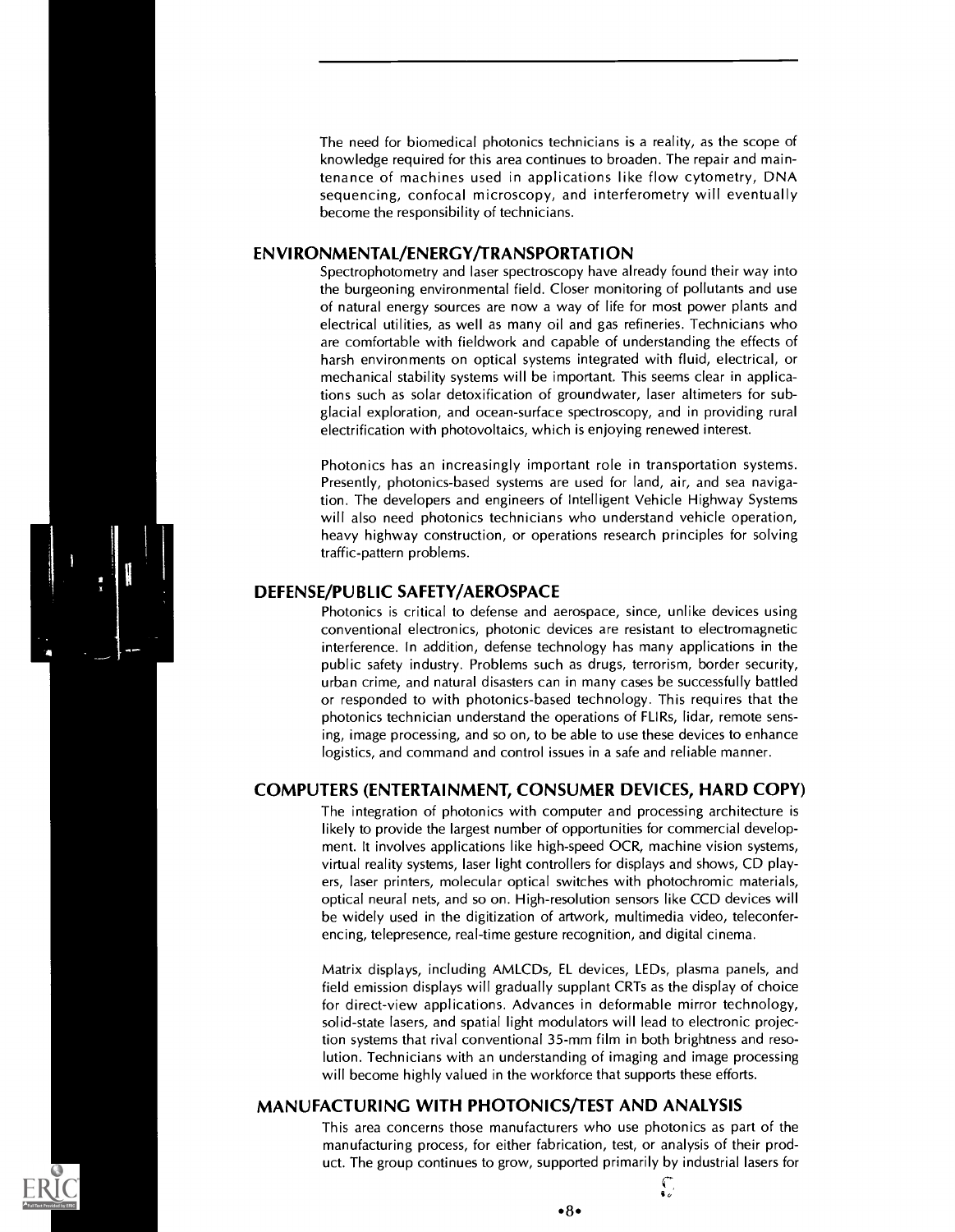The need for biomedical photonics technicians is a reality, as the scope of knowledge required for this area continues to broaden. The repair and maintenance of machines used in applications like flow cytometry, DNA sequencing, confocal microscopy, and interferometry will eventually become the responsibility of technicians.

### ENVIRONMENTAL/ENERGY/TRANSPORTATION

Spectrophotometry and laser spectroscopy have already found their way into the burgeoning environmental field. Closer monitoring of pollutants and use of natural energy sources are now a way of life for most power plants and electrical utilities, as well as many oil and gas refineries. Technicians who are comfortable with fieldwork and capable of understanding the effects of harsh environments on optical systems integrated with fluid, electrical, or mechanical stability systems will be important. This seems clear in applications such as solar detoxification of groundwater, laser altimeters for subglacial exploration, and ocean-surface spectroscopy, and in providing rural electrification with photovoltaics, which is enjoying renewed interest.

Photonics has an increasingly important role in transportation systems. Presently, photonics-based systems are used for land, air, and sea navigation. The developers and engineers of Intelligent Vehicle Highway Systems will also need photonics technicians who understand vehicle operation, heavy highway construction, or operations research principles for solving traffic-pattern problems.

### DEFENSE/PUBLIC SAFETY/AEROSPACE

Photonics is critical to defense and aerospace, since, unlike devices using conventional electronics, photonic devices are resistant to electromagnetic interference. In addition, defense technology has many applications in the public safety industry. Problems such as drugs, terrorism, border security, urban crime, and natural disasters can in many cases be successfully battled or responded to with photonics-based technology. This requires that the photonics technician understand the operations of FLIRs, lidar, remote sensing, image processing, and so on, to be able to use these devices to enhance logistics, and command and control issues in a safe and reliable manner.

### COMPUTERS (ENTERTAINMENT, CONSUMER DEVICES, HARD COPY)

The integration of photonics with computer and processing architecture is likely to provide the largest number of opportunities for commercial development. It involves applications like high-speed OCR, machine vision systems, virtual reality systems, laser light controllers for displays and shows, CD players, laser printers, molecular optical switches with photochromic materials, optical neural nets, and so on. High-resolution sensors like CCD devices will be widely used in the digitization of artwork, multimedia video, teleconferencing, telepresence, real-time gesture recognition, and digital cinema.

Matrix displays, including AMLCDs, EL devices, LEDs, plasma panels, and field emission displays will gradually supplant CRTs as the display of choice for direct-view applications. Advances in deformable mirror technology, solid-state lasers, and spatial light modulators will lead to electronic projection systems that rival conventional 35-mm film in both brightness and resolution. Technicians with an understanding of imaging and image processing will become highly valued in the workforce that supports these efforts.

### MANUFACTURING WITH PHOTONICS/TEST AND ANALYSIS

This area concerns those manufacturers who use photonics as part of the manufacturing process, for either fabrication, test, or analysis of their product. The group continues to grow, supported primarily by industrial lasers for

 $•8•$ 

s,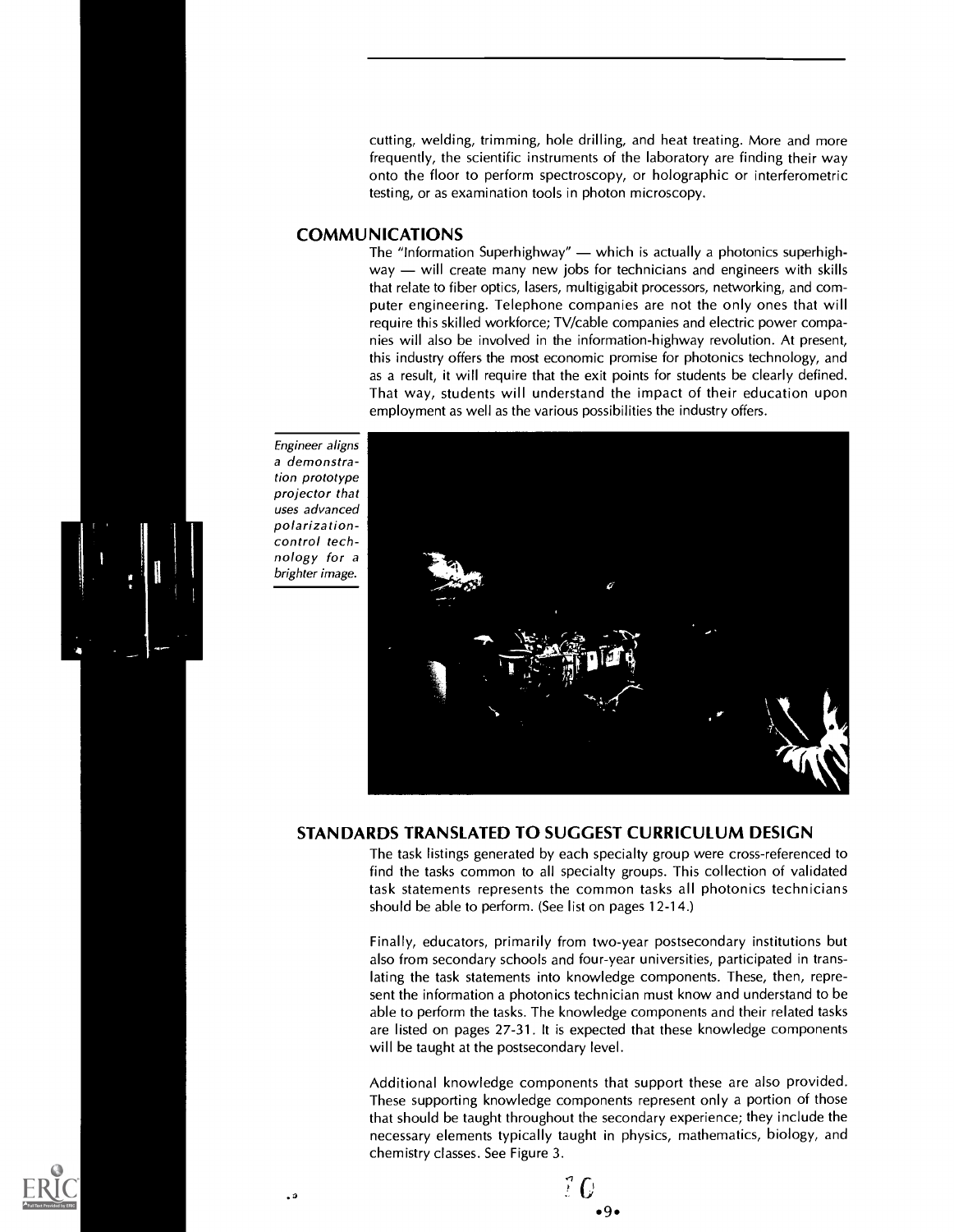cutting, welding, trimming, hole drilling, and heat treating. More and more frequently, the scientific instruments of the laboratory are finding their way onto the floor to perform spectroscopy, or holographic or interferometric testing, or as examination tools in photon microscopy.

### COMMUNICATIONS

The "Information Superhighway"  $-$  which is actually a photonics superhigh $way - will create many new jobs for techniques and engineers with skills$ that relate to fiber optics, lasers, multigigabit processors, networking, and computer engineering. Telephone companies are not the only ones that will require this skilled workforce; TV/cable companies and electric power companies will also be involved in the information-highway revolution. At present, this industry offers the most economic promise for photonics technology, and as a result, it will require that the exit points for students be clearly defined. That way, students will understand the impact of their education upon employment as well as the various possibilities the industry offers.

Engineer aligns a demonstration prototype projector that uses advanced polarizationcontrol technology for a brighter image.



### STANDARDS TRANSLATED TO SUGGEST CURRICULUM DESIGN

The task listings generated by each specialty group were cross-referenced to find the tasks common to all specialty groups. This collection of validated task statements represents the common tasks all photonics technicians should be able to perform. (See list on pages 12-14.)

Finally, educators, primarily from two-year postsecondary institutions but also from secondary schools and four-year universities, participated in translating the task statements into knowledge components. These, then, represent the information a photonics technician must know and understand to be able to perform the tasks. The knowledge components and their related tasks are listed on pages 27-31. It is expected that these knowledge components will be taught at the postsecondary level.

Additional knowledge components that support these are also provided. These supporting knowledge components represent only a portion of those that should be taught throughout the secondary experience; they include the necessary elements typically taught in physics, mathematics, biology, and chemistry classes. See Figure 3.



 $\tilde{e}$  G .9.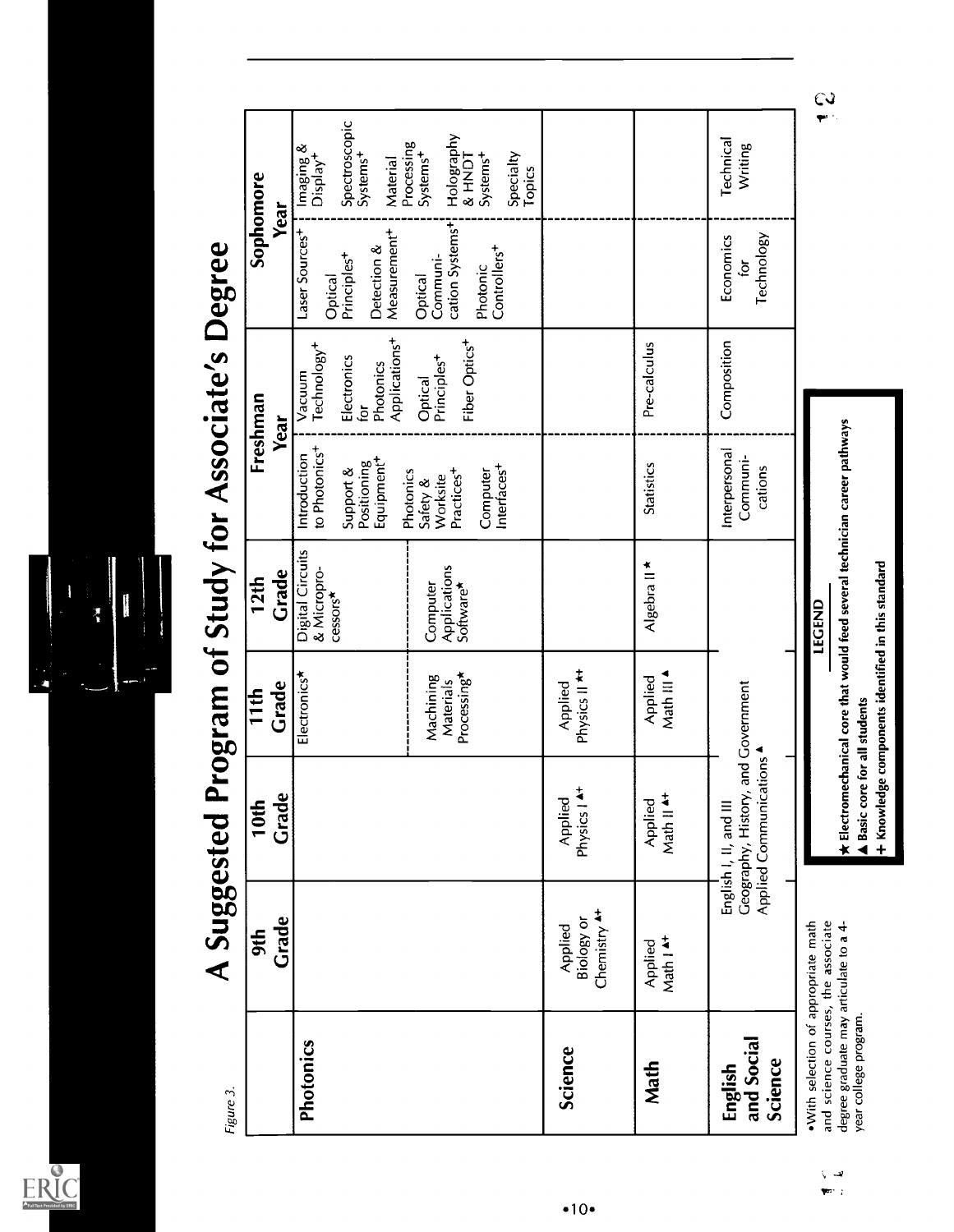$ER_{LC}^{\odot}$ 



| Figure 3.                                                                                                                                     | Grade<br>9th                                     | A Suggested Program of Study for Associate's Degree<br>Grade<br>$\mathsf{d}$<br>$\overline{\phantom{0}}$ | Grade<br>$\frac{1}{10}$                            | Grade<br><b>12th</b>                                                                        |                                                                                                    | Freshman<br>Year                                                                                        | Sophomore<br>Year                                                                                            |                                                                                                           |
|-----------------------------------------------------------------------------------------------------------------------------------------------|--------------------------------------------------|----------------------------------------------------------------------------------------------------------|----------------------------------------------------|---------------------------------------------------------------------------------------------|----------------------------------------------------------------------------------------------------|---------------------------------------------------------------------------------------------------------|--------------------------------------------------------------------------------------------------------------|-----------------------------------------------------------------------------------------------------------|
| Photonics                                                                                                                                     |                                                  |                                                                                                          | Electronics                                        | <b>Digital Circuits</b><br>& Micropro-<br>cessors*                                          | to Photonics <sup>+</sup><br>Introduction<br>Positioning<br>Equipment <sup>+</sup><br>Support &    | Applications <sup>+</sup><br>Technology <sup>+</sup><br>Electronics<br>Photonics<br>Vacuum<br>$\vec{p}$ | Measurement <sup>+</sup><br>Laser Sources <sup>-1</sup><br>Detection &<br>Principles <sup>+</sup><br>Optical | Spectroscopic<br>Systems <sup>+</sup><br>Imaging &<br>Display <sup>+</sup><br>Material                    |
|                                                                                                                                               |                                                  |                                                                                                          | Processing*<br>Machining<br>Materials              | Applications<br>Software*<br>Computer                                                       | Interfaces <sup>+</sup><br>Photonics<br>Practices <sup>+</sup><br>Computer<br>Worksite<br>Safety & | Fiber Optics <sup>+</sup><br>Principles <sup>+</sup><br>Optical                                         | cation Systems <sup>+</sup><br>Controllers <sup>+</sup><br>Communi-<br>Photonic<br>Optical                   | Holography<br>Processing<br>Systems <sup>+</sup><br>Systems <sup>+</sup><br>Specialty<br>Topics<br>IGNH & |
| <b>Science</b>                                                                                                                                | Chemistry <sup>4+</sup><br>Biology or<br>Applied | Physics I A+<br>Applied                                                                                  | Physics II <sup>**</sup><br>Applied                |                                                                                             |                                                                                                    |                                                                                                         |                                                                                                              |                                                                                                           |
| Math                                                                                                                                          | Math I <sup>4+</sup><br>Applied                  | Math II <sup>4+</sup><br>Applied                                                                         | Math III 4<br>Applied                              | Algebra II *                                                                                | <b>Statistics</b>                                                                                  | Pre-calculus                                                                                            |                                                                                                              |                                                                                                           |
| and Social<br>Science<br>English                                                                                                              |                                                  | Geography, History, and Government<br>Applied Communications<br>English I, II, and III                   |                                                    |                                                                                             | Interpersonal<br>Communi-<br>cations                                                               | Composition                                                                                             | Technology<br>Economics<br>þ                                                                                 | Technical<br>Writing                                                                                      |
| and science courses, the associate<br>. With selection of appropriate math<br>degree graduate may articulate to a 4-<br>year college program. |                                                  | A Basic core for all students                                                                            | + Knowledge components identified in this standard | $\star$ Electromechanical core that would feed several technician career pathways<br>LEGEND |                                                                                                    |                                                                                                         |                                                                                                              |                                                                                                           |

 $\mathsf{C}$ 

 $\begin{aligned} \nabla \cdot \vec{v} = 0 \\ \nabla \vec{v} = 0 \end{aligned}$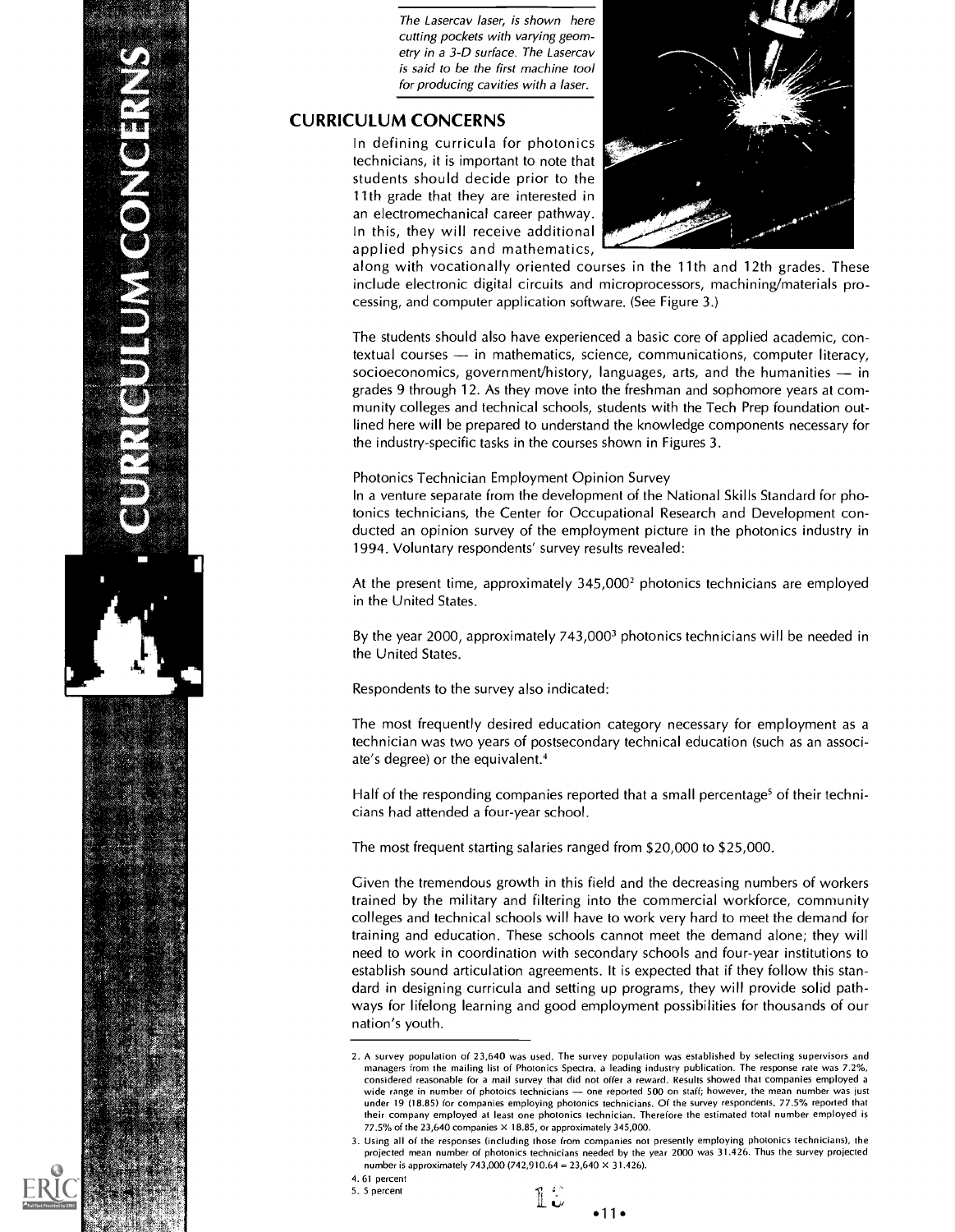COOL

The Lasercav laser, is shown here cutting pockets with varying geometry in a 3-D surface. The Lasercav is said to be the first machine tool for producing cavities with a laser.

### CURRICULUM CONCERNS

In defining curricula for photonics technicians, it is important to note that students should decide prior to the 11th grade that they are interested in an electromechanical career pathway. In this, they will receive additional applied physics and mathematics,



along with vocationally oriented courses in the 11th and 12th grades. These include electronic digital circuits and microprocessors, machining/materials processing, and computer application software. (See Figure 3.)

The students should also have experienced a basic core of applied academic, contextual courses - in mathematics, science, communications, computer literacy, socioeconomics, government/history, languages, arts, and the humanities  $-$  in grades 9 through 12. As they move into the freshman and sophomore years at community colleges and technical schools, students with the Tech Prep foundation outlined here will be prepared to understand the knowledge components necessary for the industry-specific tasks in the courses shown in Figures 3.

#### Photonics Technician Employment Opinion Survey

In a venture separate from the development of the National Skills Standard for photonics technicians, the Center for Occupational Research and Development conducted an opinion survey of the employment picture in the photonics industry in 1994. Voluntary respondents' survey results revealed:

At the present time, approximately  $345,000^2$  photonics technicians are employed in the United States.

By the year 2000, approximately 743,0003 photonics technicians will be needed in the United States.

Respondents to the survey also indicated:

The most frequently desired education category necessary for employment as a technician was two years of postsecondary technical education (such as an associate's degree) or the equivalent.4

Half of the responding companies reported that a small percentage' of their technicians had attended a four-year school.

The most frequent starting salaries ranged from \$20,000 to \$25,000.

Given the tremendous growth in this field and the decreasing numbers of workers trained by the military and filtering into the commercial workforce, community colleges and technical schools will have to work very hard to meet the demand for training and education. These schools cannot meet the demand alone; they will need to work in coordination with secondary schools and four-year institutions to establish sound articulation agreements. It is expected that if they follow this standard in designing curricula and setting up programs, they will provide solid pathways for lifelong learning and good employment possibilities for thousands of our nation's youth.

 $\tilde{\mathbf{v}}$  . 1L  $•11 •$ 

<sup>2.</sup> A survey population of 23,640 was used. The survey population was established by selecting supervisors and managers from the mailing list of Photonics Spectra, a leading industry publication. The response rate was 7.2%, considered reasonable for a mail survey that did not offer a reward. Results showed that companies employed a wide range in number of photoics technicians - one reported 500 on staff; however, the mean number was just under 19 (18.85) for companies employing photonics technicians. Of the survey respondents, 77.5% reported that their company employed at least one photonics technician. Therefore the estimated total number employed is 77.5% of the  $23.640$  companies  $\times$  18.85, or approximately 345,000.

<sup>3.</sup> Using all of the responses (including those from companies not presently employing photonics technicians), the projected mean number of photonics technicians needed by the year 2000 was 31.426. Thus the survey projected number is approximately 743,000 (742,910.64 = 23,640  $\times$  31,426).

<sup>4. 61</sup> percent 5. 5 percent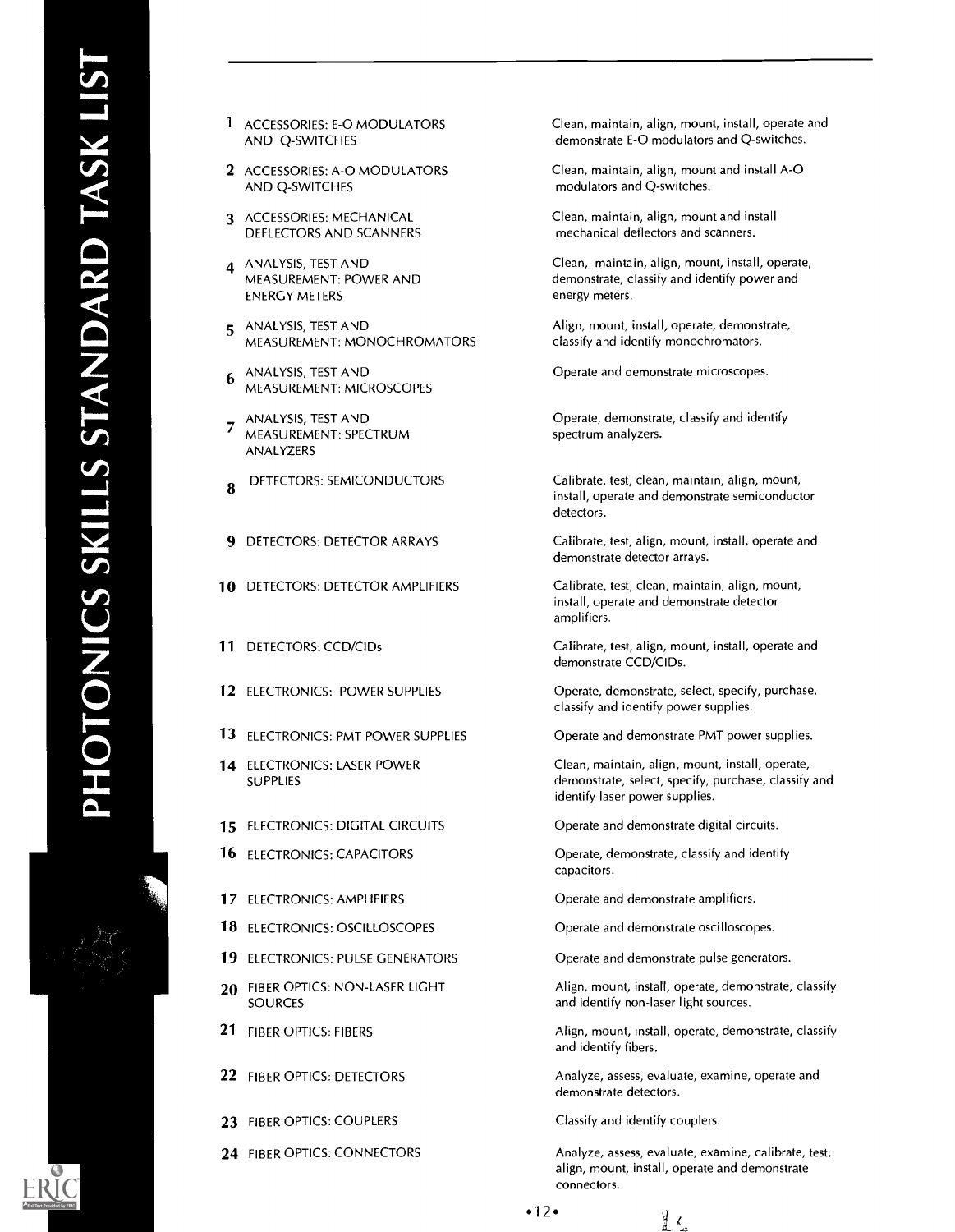- <sup>1</sup> ACCESSORIES: E-0 MODULATORS AND Q-SWITCHES
- 2 ACCESSORIES: A-0 MODULATORS AND Q-SWITCHES
- 3 ACCESSORIES: MECHANICAL DEFLECTORS AND SCANNERS
- 4 ANALYSIS, TEST AND MEASUREMENT: POWER AND ENERGY METERS
- 5 ANALYSIS, TEST AND MEASUREMENT: MONOCHROMATORS
- 6 ANALYSIS, TEST AND MEASUREMENT: MICROSCOPES
- ANALYSIS, TEST AND 7 MEASUREMENT: SPECTRUM ANALYZERS
- **8** DETECTORS: SEMICONDUCTORS
- 9 DETECTORS: DETECTOR ARRAYS
- 10 DETECTORS: DETECTOR AMPLIFIERS
- 11 DETECTORS: CCD/CIDs
- 12 ELECTRONICS: POWER SUPPLIES
- 13 ELECTRONICS: PMT POWER SUPPLIES
- 14 ELECTRONICS: LASER POWER SUPPLIES
- 15 ELECTRONICS: DIGITAL CIRCUITS
- 16 ELECTRONICS: CAPACITORS
- 17 ELECTRONICS: AMPLIFIERS
- 18 ELECTRONICS: OSCILLOSCOPES
- 19 ELECTRONICS: PULSE GENERATORS
- 20 FIBER OPTICS: NON-LASER LIGHT **SOURCES**
- 21 FIBER OPTICS: FIBERS
- 22 FIBER OPTICS: DETECTORS
- 23 FIBER OPTICS: COUPLERS
- 24 FIBER OPTICS: CONNECTORS

Clean, maintain, align, mount, install, operate and demonstrate E-0 modulators and Q-switches.

Clean, maintain, align, mount and install A-0 modulators and Q-switches.

Clean, maintain, align, mount and install mechanical deflectors and scanners.

Clean, maintain, align, mount, install, operate, demonstrate, classify and identify power and energy meters.

Align, mount, install, operate, demonstrate, classify and identify monochromators.

Operate and demonstrate microscopes.

Operate, demonstrate, classify and identify spectrum analyzers.

Calibrate, test, clean, maintain, align, mount, install, operate and demonstrate semiconductor detectors.

Calibrate, test, align, mount, install, operate and demonstrate detector arrays.

Calibrate, test, clean, maintain, align, mount, install, operate and demonstrate detector amplifiers.

Calibrate, test, align, mount, install, operate and demonstrate CCD/CIDs.

Operate, demonstrate, select, specify, purchase, classify and identify power supplies.

Operate and demonstrate PMT power supplies.

Clean, maintain, align, mount, install, operate, demonstrate, select, specify, purchase, classify and identify laser power supplies.

Operate and demonstrate digital circuits.

Operate, demonstrate, classify and identify capacitors.

Operate and demonstrate amplifiers.

Operate and demonstrate oscilloscopes.

Operate and demonstrate pulse generators.

Align, mount, install, operate, demonstrate, classify and identify non-laser light sources.

Align, mount, install, operate, demonstrate, classify and identify fibers.

Analyze, assess, evaluate, examine, operate and demonstrate detectors.

Classify and identify couplers.

Analyze, assess, evaluate, examine, calibrate, test, align, mount, install, operate and demonstrate connectors.

 $\frac{d}{dt}$   $\ell_{\infty}$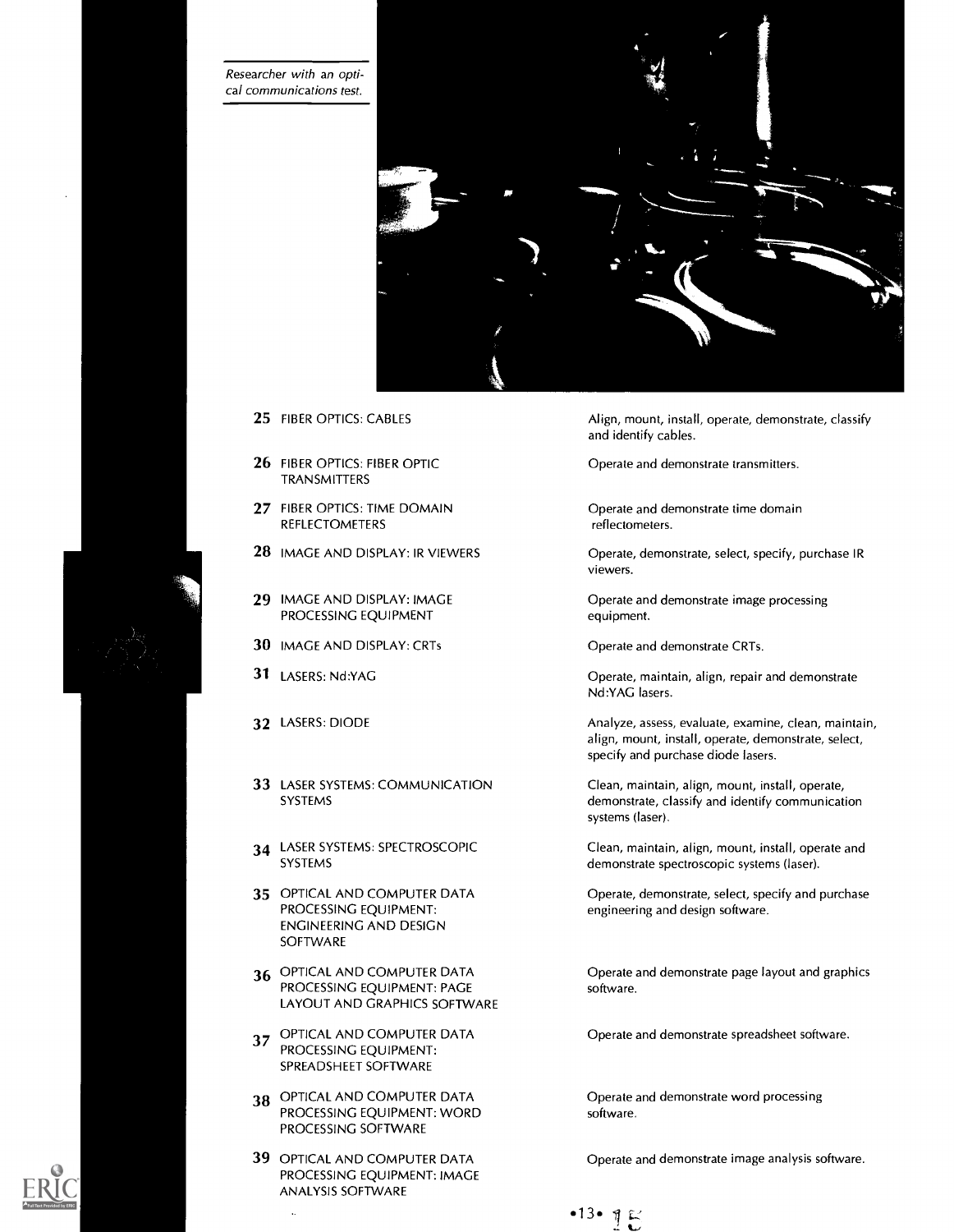Researcher with an optical communications test.



- 25 FIBER OPTICS: CABLES
- 26 FIBER OPTICS: FIBER OPTIC TRANSMITTERS
- 27 FIBER OPTICS: TIME DOMAIN REFLECTOMETERS
- 28 IMAGE AND DISPLAY: IR VIEWERS
- 29 IMAGE AND DISPLAY: IMAGE PROCESSING EQUIPMENT
- 30 IMAGE AND DISPLAY: CRTs
- 31 LASERS: Nd:YAG
- 32 LASERS: DIODE
- 33 LASER SYSTEMS: COMMUNICATION SYSTEMS
- 34 LASER SYSTEMS: SPECTROSCOPIC SYSTEMS
- 35 OPTICAL AND COMPUTER DATA PROCESSING EQUIPMENT: ENGINEERING AND DESIGN **SOFTWARE**
- 36 OPTICAL AND COMPUTER DATA PROCESSING EQUIPMENT: PAGE LAYOUT AND GRAPHICS SOFTWARE
- 37 OPTICAL AND COMPUTER DATA PROCESSING EQUIPMENT: SPREADSHEET SOFTWARE
- 38 OPTICAL AND COMPUTER DATA PROCESSING EQUIPMENT: WORD PROCESSING SOFTWARE
- 39 OPTICAL AND COMPUTER DATA PROCESSING EQUIPMENT: IMAGE ANALYSIS SOFTWARE

Align, mount, install, operate, demonstrate, classify and identify cables.

Operate and demonstrate transmitters.

Operate and demonstrate time domain reflectometers.

Operate, demonstrate, select, specify, purchase IR viewers.

Operate and demonstrate image processing equipment.

Operate and demonstrate CRTs.

Operate, maintain, align, repair and demonstrate Nd:YAG lasers.

Analyze, assess, evaluate, examine, clean, maintain, align, mount, install, operate, demonstrate, select, specify and purchase diode lasers.

Clean, maintain, align, mount, install, operate, demonstrate, classify and identify communication systems (laser).

Clean, maintain, align, mount, install, operate and demonstrate spectroscopic systems (laser).

Operate, demonstrate, select, specify and purchase engineering and design software.

Operate and demonstrate page layout and graphics software.

Operate and demonstrate spreadsheet software.

Operate and demonstrate word processing software.

Operate and demonstrate image analysis software.

 $\bullet$ 13.  $\eta$ 

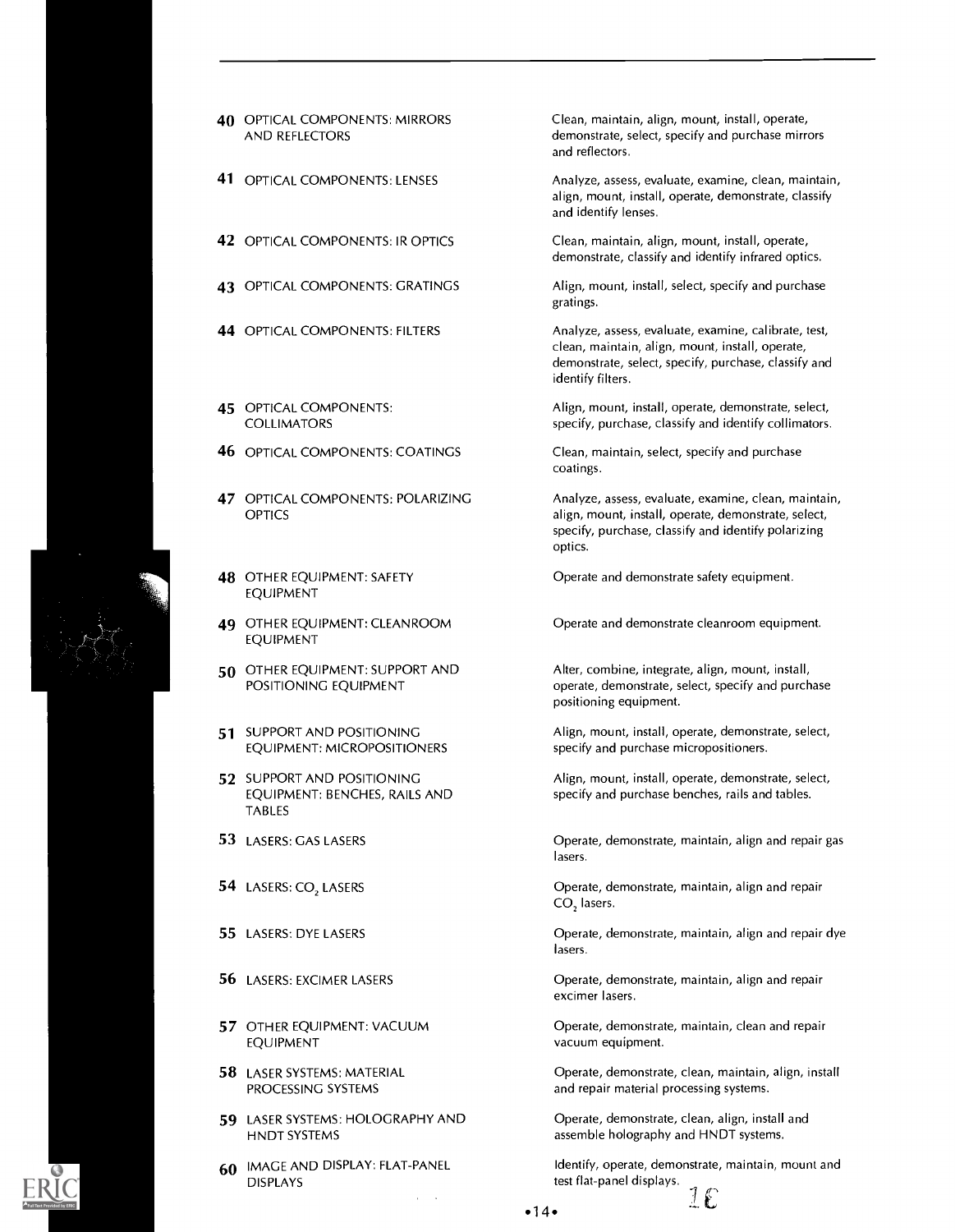

| <b>40 OPTICAL COMPONENTS: MIRRORS</b> |
|---------------------------------------|
| AND REFLECTORS                        |

- 41 OPTICAL COMPONENTS: LENSES
- 42 OPTICAL COMPONENTS: IR OPTICS
- 43 OPTICAL COMPONENTS: GRATINGS
- 44 OPTICAL COMPONENTS: FILTERS
- 45 OPTICAL COMPONENTS: COLLIMATORS
- **46 OPTICAL COMPONENTS: COATINGS**
- 47 OPTICAL COMPONENTS: POLARIZING OPTICS
- 48 OTHER EQUIPMENT: SAFETY EQUIPMENT
- 49 OTHER EQUIPMENT: CLEANROOM EQUIPMENT
- 50 OTHER EQUIPMENT: SUPPORT AND POSITIONING EQUIPMENT
- 51 SUPPORT AND POSITIONING EQUIPMENT: MICROPOSITIONERS
- 52 SUPPORT AND POSITIONING EQUIPMENT: BENCHES, RAILS AND TABLES
- 53 LASERS: GAS LASERS
- 54 LASERS: CO, LASERS
- 55 LASERS: DYE LASERS
- 56 LASERS: EXCIMER LASERS
- 57 OTHER EQUIPMENT: VACUUM EQUIPMENT
- 58 LASER SYSTEMS: MATERIAL PROCESSING SYSTEMS
- 59 LASER SYSTEMS: HOLOGRAPHY AND HNDT SYSTEMS
- 60 IMAGE AND DISPLAY: FLAT-PANEL DISPLAYS

Clean, maintain, align, mount, install, operate, demonstrate, select, specify and purchase mirrors and reflectors.

Analyze, assess, evaluate, examine, clean, maintain, align, mount, install, operate, demonstrate, classify and identify lenses.

Clean, maintain, align, mount, install, operate, demonstrate, classify and identify infrared optics.

Align, mount, install, select, specify and purchase gratings.

Analyze, assess, evaluate, examine, calibrate, test, clean, maintain, align, mount, install, operate, demonstrate, select, specify, purchase, classify and identify filters.

Align, mount, install, operate, demonstrate, select, specify, purchase, classify and identify collimators.

Clean, maintain, select, specify and purchase coatings.

Analyze, assess, evaluate, examine, clean, maintain, align, mount, install, operate, demonstrate, select, specify, purchase, classify and identify polarizing optics.

Operate and demonstrate safety equipment.

Operate and demonstrate cleanroom equipment.

Alter, combine, integrate, align, mount, install, operate, demonstrate, select, specify and purchase positioning equipment.

Align, mount, install, operate, demonstrate, select, specify and purchase micropositioners.

Align, mount, install, operate, demonstrate, select, specify and purchase benches, rails and tables.

Operate, demonstrate, maintain, align and repair gas lasers.

Operate, demonstrate, maintain, align and repair CO, lasers.

Operate, demonstrate, maintain, align and repair dye lasers.

Operate, demonstrate, maintain, align and repair excimer lasers.

Operate, demonstrate, maintain, clean and repair vacuum equipment.

Operate, demonstrate, clean, maintain, align, install and repair material processing systems.

Operate, demonstrate, clean, align, install and assemble holography and HNDT systems.

Identify, operate, demonstrate, maintain, mount and test flat-panel displays.<br> $\frac{1}{2}$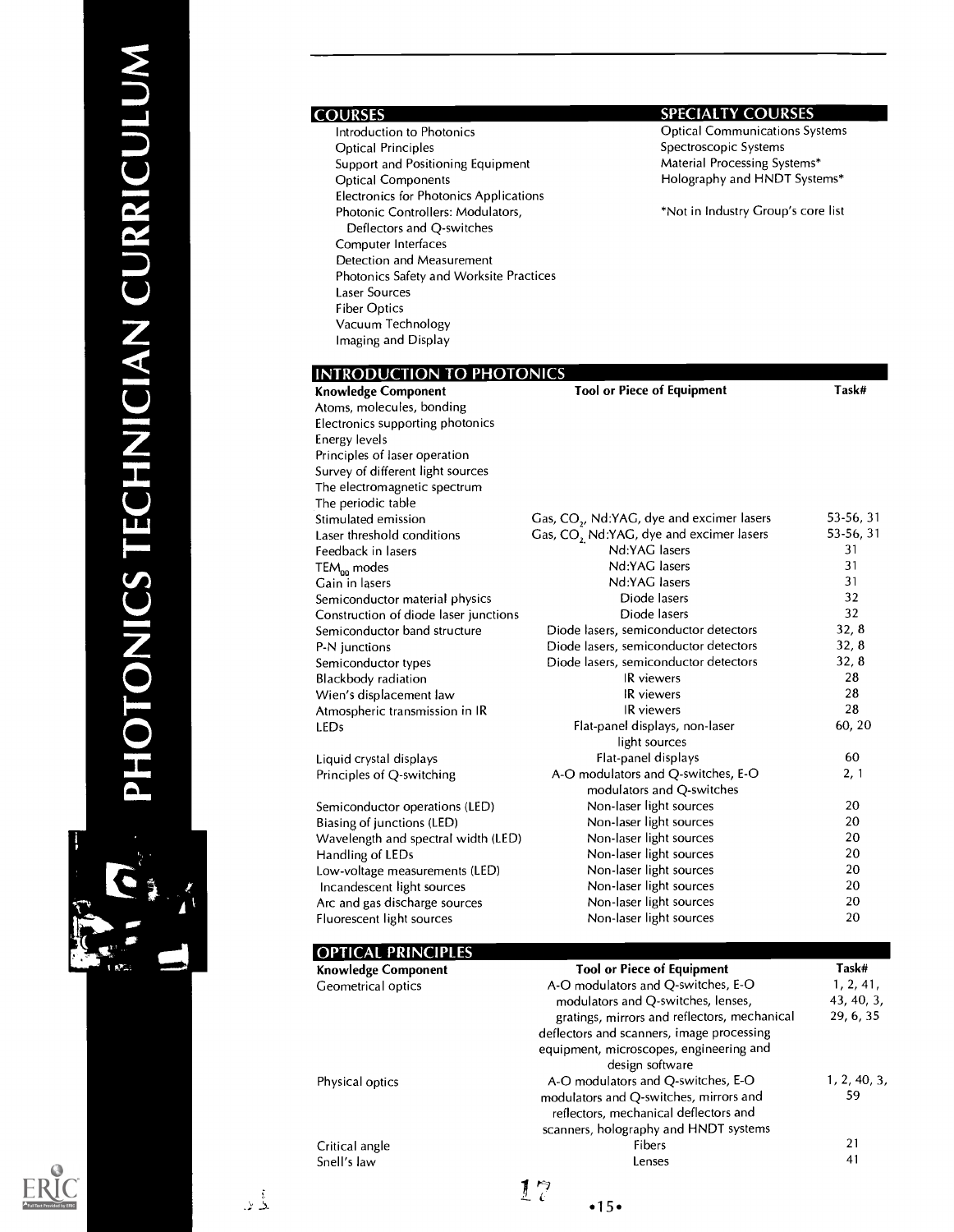| <b>COURSES</b>                                       | <b>SPECIALTY COURSES</b>                              |                                  |
|------------------------------------------------------|-------------------------------------------------------|----------------------------------|
| Introduction to Photonics                            | <b>Optical Communications Systems</b>                 |                                  |
| <b>Optical Principles</b>                            | Spectroscopic Systems                                 |                                  |
| Support and Positioning Equipment                    | Material Processing Systems*                          |                                  |
| <b>Optical Components</b>                            | Holography and HNDT Systems*                          |                                  |
| Electronics for Photonics Applications               |                                                       |                                  |
| Photonic Controllers: Modulators,                    | *Not in Industry Group's core list                    |                                  |
| Deflectors and Q-switches                            |                                                       |                                  |
| Computer Interfaces                                  |                                                       |                                  |
| Detection and Measurement                            |                                                       |                                  |
| Photonics Safety and Worksite Practices              |                                                       |                                  |
| <b>Laser Sources</b>                                 |                                                       |                                  |
| <b>Fiber Optics</b>                                  |                                                       |                                  |
| Vacuum Technology                                    |                                                       |                                  |
| Imaging and Display                                  |                                                       |                                  |
|                                                      |                                                       |                                  |
| <b>INTRODUCTION TO PHOTONICS</b>                     |                                                       |                                  |
| <b>Knowledge Component</b>                           | <b>Tool or Piece of Equipment</b>                     | Task#                            |
| Atoms, molecules, bonding                            |                                                       |                                  |
| Electronics supporting photonics                     |                                                       |                                  |
| Energy levels                                        |                                                       |                                  |
| Principles of laser operation                        |                                                       |                                  |
| Survey of different light sources                    |                                                       |                                  |
| The electromagnetic spectrum                         |                                                       |                                  |
| The periodic table                                   |                                                       |                                  |
| Stimulated emission                                  | Gas, CO <sub>2</sub> , Nd:YAG, dye and excimer lasers | 53-56, 31                        |
| Laser threshold conditions                           | Gas, CO, Nd:YAG, dye and excimer lasers               | 53-56, 31                        |
| Feedback in lasers                                   | Nd:YAG lasers                                         | 31                               |
| TEM <sub>00</sub> modes                              | Nd:YAG lasers                                         | 31                               |
| Gain in lasers                                       | Nd:YAG lasers                                         | 31                               |
| Semiconductor material physics                       | Diode lasers                                          | 32                               |
| Construction of diode laser junctions                | Diode lasers                                          | 32                               |
| Semiconductor band structure                         | Diode lasers, semiconductor detectors                 | 32, 8                            |
| P-N junctions                                        | Diode lasers, semiconductor detectors                 | 32, 8                            |
| Semiconductor types                                  | Diode lasers, semiconductor detectors                 | 32, 8                            |
| Blackbody radiation                                  | IR viewers                                            | 28                               |
| Wien's displacement law                              | <b>IR</b> viewers                                     | 28<br>28                         |
| Atmospheric transmission in IR                       | IR viewers                                            | 60, 20                           |
| <b>LEDs</b>                                          | Flat-panel displays, non-laser<br>light sources       |                                  |
|                                                      | Flat-panel displays                                   | 60                               |
| Liquid crystal displays<br>Principles of Q-switching | A-O modulators and Q-switches, E-O                    | 2, 1                             |
|                                                      | modulators and Q-switches                             |                                  |
| Semiconductor operations (LED)                       | Non-laser light sources                               | 20                               |
| Biasing of Junctions (LED)                           | Non-laser light sources                               | $20\,$                           |
| Wavelength and spectral width (LED)                  | Non-laser light sources                               | 20                               |
| Handling of LEDs                                     | Non-laser light sources                               | 20                               |
| Low-voltage measurements (LED)                       | Non-laser light sources                               | 20                               |
| Incandescent light sources                           | Non-laser light sources                               | 20                               |
| Arc and gas discharge sources                        | Non-laser light sources                               | 20                               |
| Fluorescent light sources                            | Non-laser light sources                               | 20                               |
|                                                      |                                                       |                                  |
| <b>OPTICAL PRINCIPLES</b>                            |                                                       |                                  |
|                                                      | Taal ay Bisso of Fouin:                               | $T_{\alpha\beta}$ <sub>L</sub> # |

| <b>Knowledge Component</b> | <b>Tool or Piece of Equipment</b>            | Task#        |
|----------------------------|----------------------------------------------|--------------|
| Geometrical optics         | A-O modulators and Q-switches, E-O           | 1, 2, 41,    |
|                            | modulators and Q-switches, lenses,           | 43, 40, 3,   |
|                            | gratings, mirrors and reflectors, mechanical | 29, 6, 35    |
|                            | deflectors and scanners, image processing    |              |
|                            | equipment, microscopes, engineering and      |              |
|                            | design software                              |              |
| Physical optics            | A-O modulators and O-switches, E-O           | 1, 2, 40, 3, |
|                            | modulators and Q-switches, mirrors and       | 59.          |
|                            | reflectors, mechanical deflectors and        |              |
|                            | scanners, holography and HNDT systems        |              |
| Critical angle             | Fibers                                       | 21           |
| Snell's law                | Lenses                                       | 41           |
|                            | 17                                           |              |
|                            | •15•                                         |              |



 $\begin{smallmatrix}&&1\\&&3\\2&&2\end{smallmatrix}$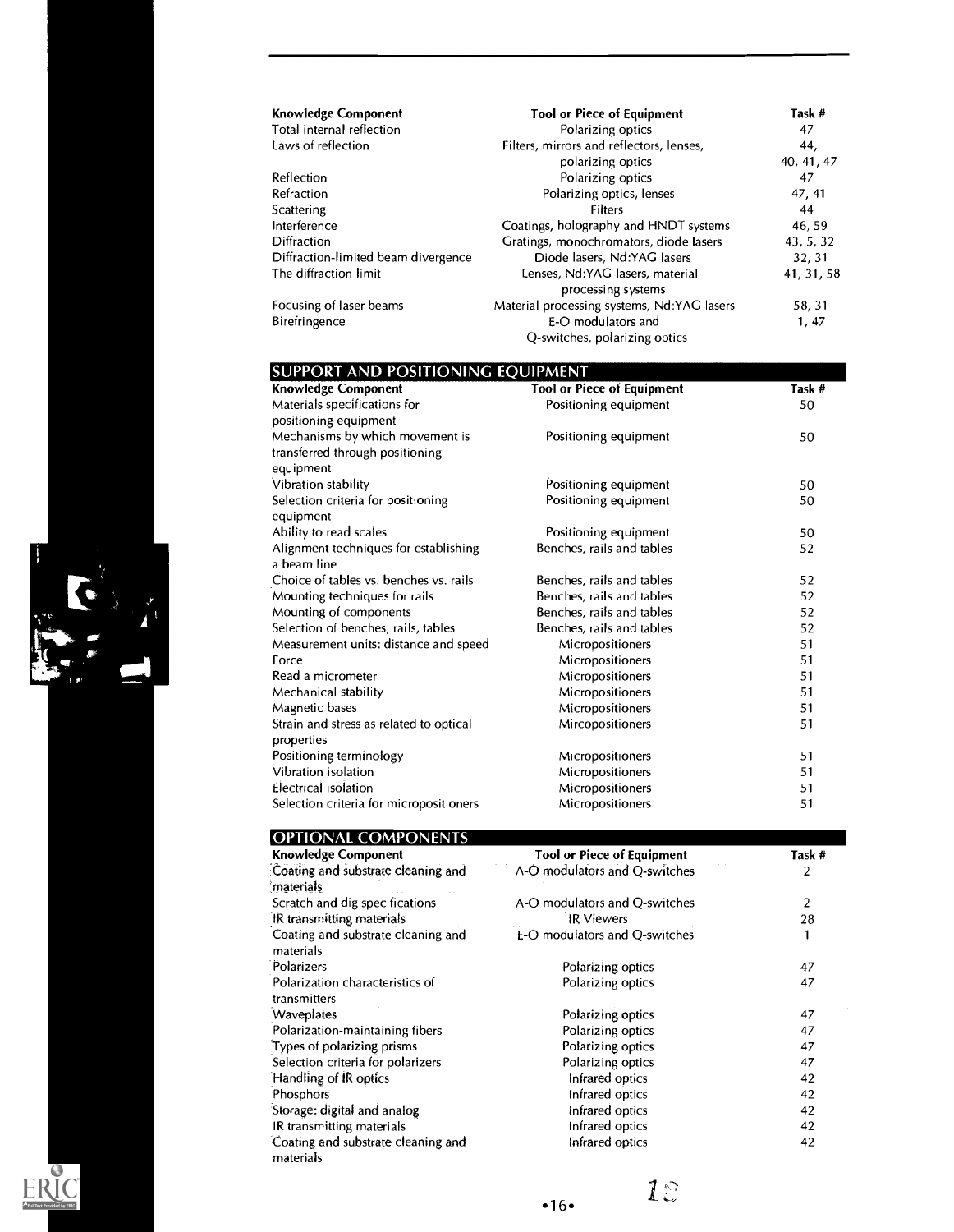| <b>Knowledge Component</b>          | <b>Tool or Piece of Equipment</b>                     | Task #     |
|-------------------------------------|-------------------------------------------------------|------------|
| Total internal reflection           | Polarizing optics                                     | 47         |
| Laws of reflection                  | Filters, mirrors and reflectors, lenses,              | 44,        |
|                                     | polarizing optics                                     | 40, 41, 47 |
| Reflection                          | Polarizing optics                                     | 47         |
| Refraction                          | Polarizing optics, lenses                             | 47, 41     |
| Scattering                          | Filters                                               | 44         |
| Interference                        | Coatings, holography and HNDT systems                 | 46, 59     |
| <b>Diffraction</b>                  | Gratings, monochromators, diode lasers                | 43, 5, 32  |
| Diffraction-limited beam divergence | Diode lasers, Nd:YAG lasers                           | 32, 31     |
| The diffraction limit               | Lenses, Nd:YAG lasers, material<br>processing systems | 41, 31, 58 |
| Focusing of laser beams             | Material processing systems, Nd:YAG lasers            | 58, 31     |
| Birefringence                       | E-O modulators and<br>Q-switches, polarizing optics   | 1, 47      |

| SUPPORT AND POSITIONING EQUIPMENT<br><b>Knowledge Component</b> | <b>Tool or Piece of Equipment</b> | Task # |
|-----------------------------------------------------------------|-----------------------------------|--------|
|                                                                 |                                   | 50     |
| Materials specifications for                                    | Positioning equipment             |        |
| positioning equipment<br>Mechanisms by which movement is        |                                   | 50     |
| transferred through positioning                                 | Positioning equipment             |        |
| equipment                                                       |                                   |        |
| Vibration stability                                             | Positioning equipment             | 50     |
| Selection criteria for positioning                              | Positioning equipment             | 50     |
| equipment                                                       |                                   |        |
| Ability to read scales                                          | Positioning equipment             | 50     |
| Alignment techniques for establishing                           | Benches, rails and tables         | 52     |
| a beam line                                                     |                                   |        |
| Choice of tables vs. benches vs. rails                          | Benches, rails and tables         | 52     |
| Mounting techniques for rails                                   | Benches, rails and tables         | 52     |
| Mounting of components                                          | Benches, rails and tables         | 52     |
| Selection of benches, rails, tables                             | Benches, rails and tables         | 52     |
| Measurement units: distance and speed                           | Micropositioners                  | 51     |
| Force                                                           | Micropositioners                  | 51     |
| Read a micrometer                                               | Micropositioners                  | 51     |
| Mechanical stability                                            | Micropositioners                  | 51     |
| Magnetic bases                                                  | Micropositioners                  | 51     |
| Strain and stress as related to optical                         | Mircopositioners                  | 51     |
| properties                                                      |                                   |        |
| Positioning terminology                                         | Micropositioners                  | 51     |
| Vibration isolation                                             | Micropositioners                  | 51     |
| <b>Electrical isolation</b>                                     | Micropositioners                  | 51     |
| Selection criteria for micropositioners                         | Micropositioners                  | 51     |
|                                                                 |                                   |        |

| <b>OPTIONAL COMPONENTS</b>                      |                                   |        |
|-------------------------------------------------|-----------------------------------|--------|
| <b>Knowledge Component</b>                      | <b>Tool or Piece of Equipment</b> | Task # |
| Coating and substrate cleaning and<br>materials | A-O modulators and Q-switches     | 2      |
| Scratch and dig specifications                  | A-O modulators and Q-switches     | 2      |
| IR transmitting materials                       | <b>IR Viewers</b>                 | 28     |
| Coating and substrate cleaning and<br>materials | E-O modulators and Q-switches     |        |
| Polarizers                                      | Polarizing optics                 | 47     |
| Polarization characteristics of<br>transmitters | Polarizing optics                 | 47     |
| Waveplates                                      | Polarizing optics                 | 47     |
| Polarization-maintaining fibers                 | Polarizing optics                 | 47     |
| Types of polarizing prisms                      | Polarizing optics                 | 47     |
| Selection criteria for polarizers               | Polarizing optics                 | 47     |
| Handling of IR optics                           | Infrared optics                   | 42     |
| Phosphors                                       | Infrared optics                   | 42     |
| Storage: digital and analog                     | Infrared optics                   | 42     |
| IR transmitting materials                       | Infrared optics                   | 42     |
| Coating and substrate cleaning and<br>materials | Infrared optics                   | 42     |



Ke

 $\frac{1}{2}$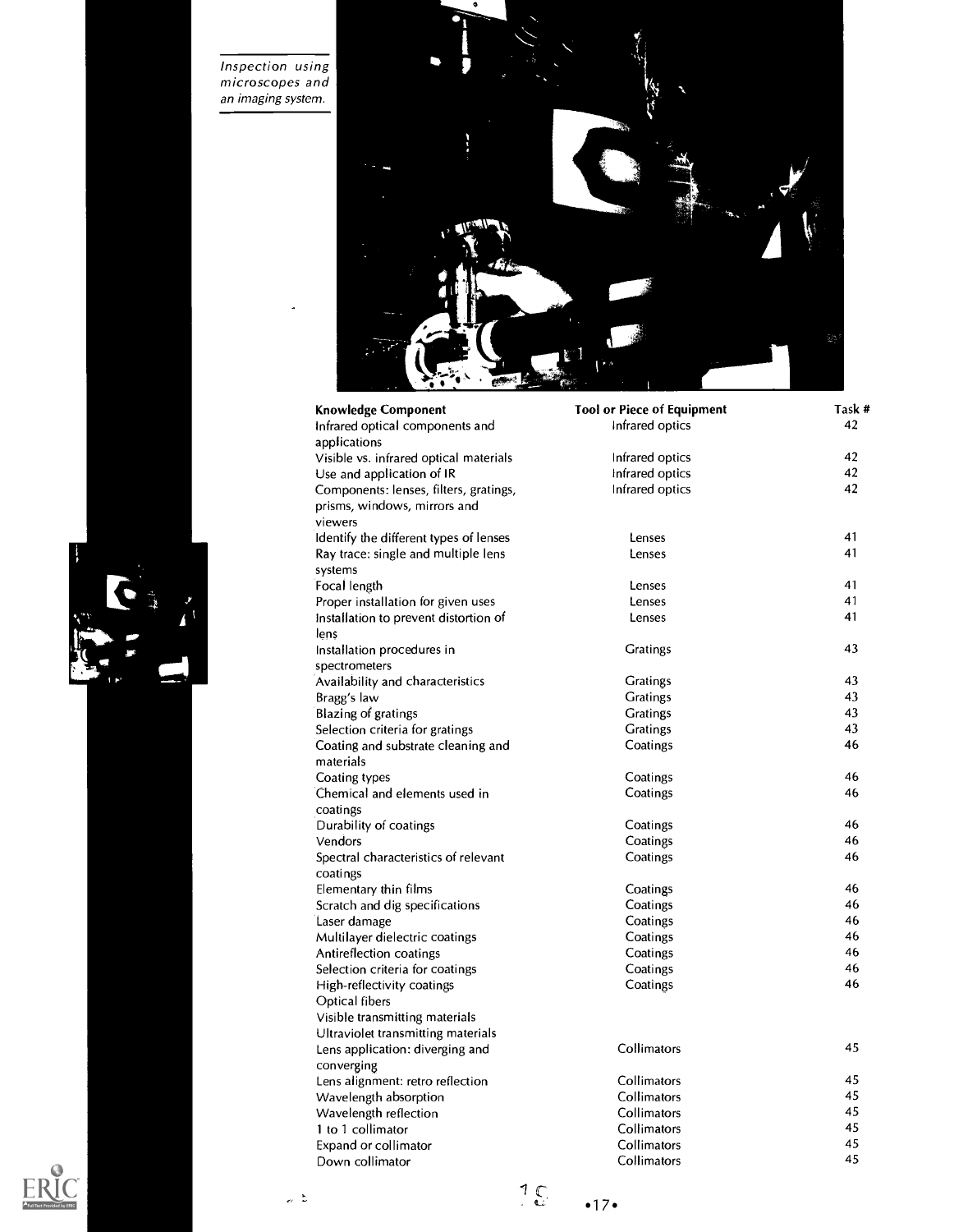Inspection using microscopes and an imaging system.



| <b>Knowledge Component</b>             | <b>Tool or Piece of Equipment</b> | Task # |
|----------------------------------------|-----------------------------------|--------|
| Infrared optical components and        | Infrared optics                   | 42     |
| applications                           |                                   |        |
| Visible vs. infrared optical materials | Infrared optics                   | 42     |
| Use and application of IR              | Infrared optics                   | 42     |
| Components: lenses, filters, gratings, | Infrared optics                   | 42     |
| prisms, windows, mirrors and           |                                   |        |
| viewers                                |                                   |        |
| Identify the different types of lenses | Lenses                            | 41     |
| Ray trace: single and multiple lens    | Lenses                            | 41     |
| systems                                |                                   |        |
| Focal length                           | Lenses                            | 41     |
| Proper installation for given uses     | Lenses                            | 41     |
| Installation to prevent distortion of  | Lenses                            | 41     |
| lens                                   |                                   |        |
| Installation procedures in             | <b>Gratings</b>                   | 43     |
| spectrometers                          |                                   |        |
| Availability and characteristics       | <b>Gratings</b>                   | 43     |
| Bragg's law                            | <b>Gratings</b>                   | 43     |
| Blazing of gratings                    | <b>Gratings</b>                   | 43     |
| Selection criteria for gratings        | <b>Gratings</b>                   | 43     |
| Coating and substrate cleaning and     | Coatings                          | 46     |
| materials                              |                                   |        |
| Coating types                          | Coatings                          | 46     |
| Chemical and elements used in          | Coatings                          | 46     |
| coatings                               |                                   |        |
| Durability of coatings                 | Coatings                          | 46     |
| Vendors                                | Coatings                          | 46     |
| Spectral characteristics of relevant   | Coatings                          | 46     |
| coatings                               |                                   |        |
| Elementary thin films                  | Coatings                          | 46     |
| Scratch and dig specifications         | Coatings                          | 46     |
| Laser damage                           | Coatings                          | 46     |
| Multilayer dielectric coatings         | Coatings                          | 46     |
| Antireflection coatings                | Coatings                          | 46     |
| Selection criteria for coatings        | Coatings                          | 46     |
| High-reflectivity coatings             | Coatings                          | 46     |
| Optical fibers                         |                                   |        |
| Visible transmitting materials         |                                   |        |
| Ultraviolet transmitting materials     |                                   |        |
| Lens application: diverging and        | Collimators                       | 45     |
| converging                             |                                   |        |
| Lens alignment: retro reflection       | Collimators                       | 45     |
| Wavelength absorption                  | Collimators                       | 45     |
| Wavelength reflection                  | Collimators                       | 45     |
| 1 to 1 collimator                      | Collimators                       | 45     |
| <b>Expand or collimator</b>            | Collimators                       | 45     |
| Down collimator                        | Collimators                       | 45     |





 $\begin{array}{c} \mathbf{1} \\ \mathbf{1} \\ \mathbf{1} \end{array}$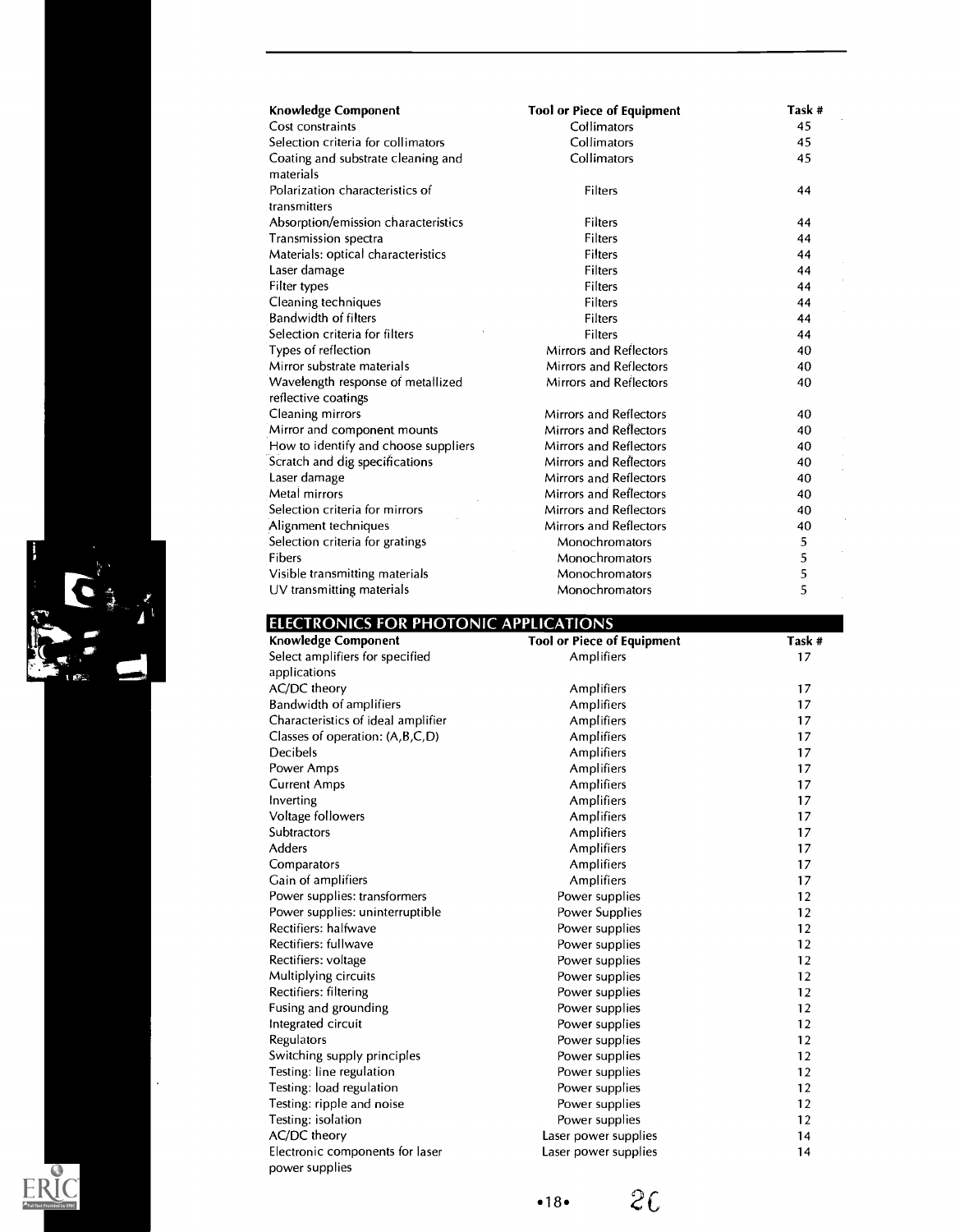| <b>Knowledge Component</b>           | <b>Tool or Piece of Equipment</b> | Task # |
|--------------------------------------|-----------------------------------|--------|
| Cost constraints                     | Collimators                       | 45     |
| Selection criteria for collimators   | Collimators                       | 45     |
| Coating and substrate cleaning and   | Collimators                       | 45     |
| materials                            |                                   |        |
| Polarization characteristics of      | Filters                           | 44     |
| transmitters                         |                                   |        |
| Absorption/emission characteristics  | Filters                           | 44     |
| Transmission spectra                 | Filters                           | 44     |
| Materials: optical characteristics   | Filters                           | 44     |
| Laser damage                         | <b>Filters</b>                    | 44     |
| Filter types                         | Filters                           | 44     |
| Cleaning techniques                  | Filters                           | 44     |
| Bandwidth of filters                 | <b>Filters</b>                    | 44     |
| Selection criteria for filters       | Filters                           | 44     |
| Types of reflection                  | <b>Mirrors and Reflectors</b>     | 40     |
| Mirror substrate materials           | <b>Mirrors and Reflectors</b>     | 40     |
| Wavelength response of metallized    | <b>Mirrors and Reflectors</b>     | 40     |
| reflective coatings                  |                                   |        |
| Cleaning mirrors                     | Mirrors and Reflectors            | 40     |
| Mirror and component mounts          | <b>Mirrors and Reflectors</b>     | 40     |
| How to identify and choose suppliers | Mirrors and Reflectors            | 40     |
| Scratch and dig specifications       | Mirrors and Reflectors            | 40     |
| Laser damage                         | Mirrors and Reflectors            | 40     |
| Metal mirrors                        | Mirrors and Reflectors            | 40     |
| Selection criteria for mirrors       | <b>Mirrors and Reflectors</b>     | 40     |
| Alignment techniques                 | <b>Mirrors and Reflectors</b>     | 40     |
| Selection criteria for gratings      | Monochromators                    | 5      |
| Fibers                               | Monochromators                    | 5      |
| Visible transmitting materials       | Monochromators                    | 5      |
| UV transmitting materials            | Monochromators                    | 5      |

| ELECTRONICS FOR PHOTONIC APPLICATIONS |  |
|---------------------------------------|--|

| <b>Knowledge Component</b>                        | <b>Tool or Piece of Equipment</b> | Task # |
|---------------------------------------------------|-----------------------------------|--------|
| Select amplifiers for specified                   | Amplifiers                        | 17     |
| applications                                      |                                   |        |
| AC/DC theory                                      | Amplifiers                        | 17     |
| <b>Bandwidth of amplifiers</b>                    | Amplifiers                        | 17     |
| Characteristics of ideal amplifier                | Amplifiers                        | 17     |
| Classes of operation: (A,B,C,D)                   | Amplifiers                        | 17     |
| Decibels                                          | Amplifiers                        | 17     |
| Power Amps                                        | Amplifiers                        | 17     |
| <b>Current Amps</b>                               | Amplifiers                        | 17     |
| Inverting                                         | <b>Amplifiers</b>                 | 17     |
| Voltage followers                                 | Amplifiers                        | 17     |
| <b>Subtractors</b>                                | Amplifiers                        | 17     |
| <b>Adders</b>                                     | Amplifiers                        | 17     |
| Comparators                                       | Amplifiers                        | 17     |
| Gain of amplifiers                                | Amplifiers                        | 17     |
| Power supplies: transformers                      | Power supplies                    | 12     |
| Power supplies: uninterruptible                   | Power Supplies                    | 12     |
| Rectifiers: halfwave                              | Power supplies                    | 12     |
| Rectifiers: fullwave                              | Power supplies                    | 12     |
| Rectifiers: voltage                               | Power supplies                    | 12     |
| Multiplying circuits                              | Power supplies                    | 12     |
| Rectifiers: filtering                             | Power supplies                    | 12     |
| Fusing and grounding                              | Power supplies                    | 12     |
| Integrated circuit                                | Power supplies                    | 12     |
| Regulators                                        | Power supplies                    | 12     |
| Switching supply principles                       | Power supplies                    | 12     |
| Testing: line regulation                          | Power supplies                    | 12     |
| Testing: load regulation                          | Power supplies                    | 12     |
| Testing: ripple and noise                         | Power supplies                    | 12     |
| Testing: isolation                                | Power supplies                    | 12     |
| AC/DC theory                                      | Laser power supplies              | 14     |
| Electronic components for laser<br>power supplies | Laser power supplies              | 14     |



 $\bullet$ 

Á

 $\ddot{\phantom{0}}$ 

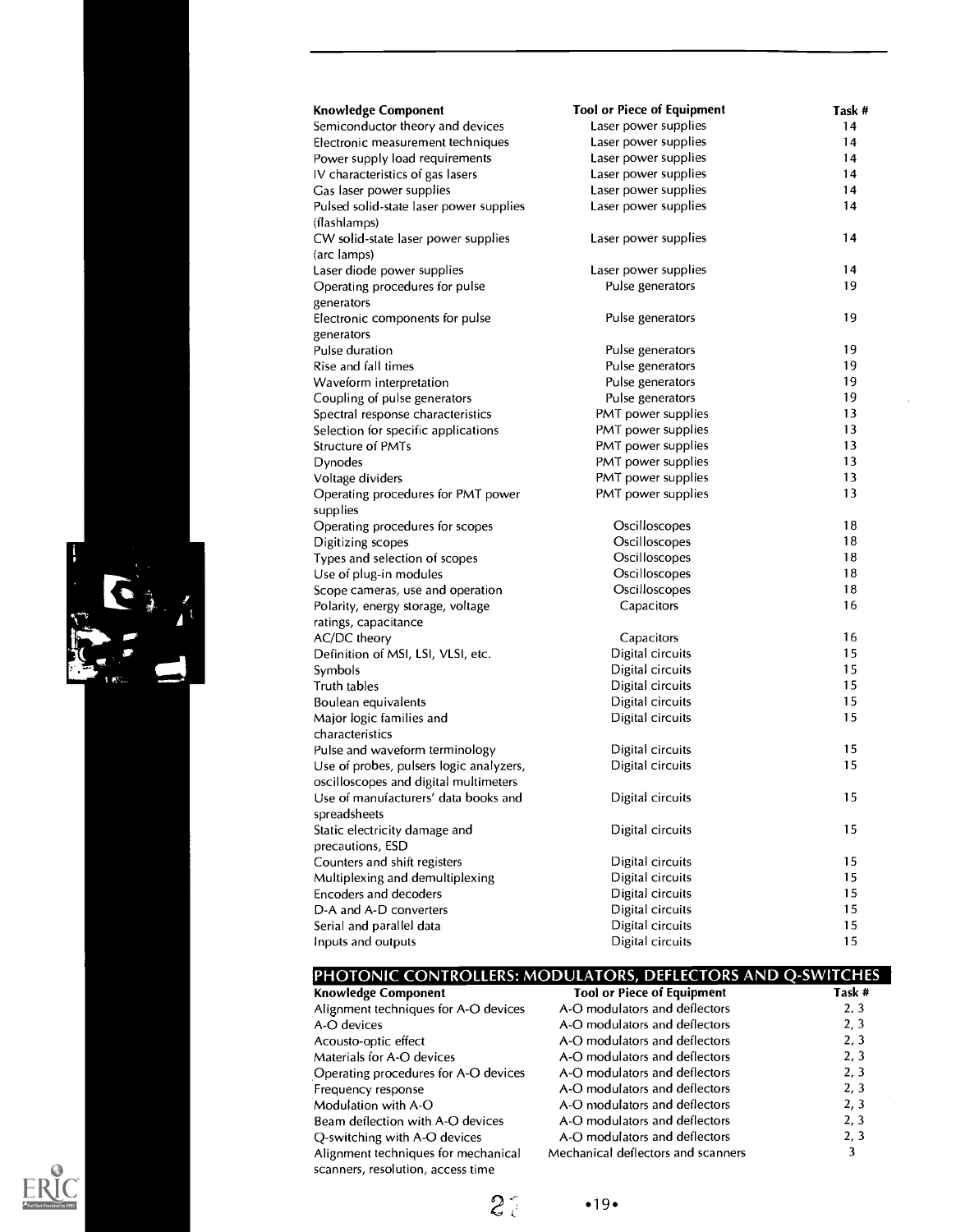| <b>Knowledge Component</b>              | <b>Tool or Piece of Equipment</b> | Task # |
|-----------------------------------------|-----------------------------------|--------|
| Semiconductor theory and devices        | Laser power supplies              | 14     |
| Electronic measurement techniques       | Laser power supplies              | 14     |
| Power supply load requirements          | Laser power supplies              | 14     |
| IV characteristics of gas lasers        | Laser power supplies              | 14     |
| Gas laser power supplies                | Laser power supplies              | 14     |
| Pulsed solid-state laser power supplies | Laser power supplies              | 14     |
| (flashlamps)                            |                                   |        |
| CW solid-state laser power supplies     | Laser power supplies              | 14     |
| (arc lamps)                             |                                   |        |
| Laser diode power supplies              | Laser power supplies              | 14     |
| Operating procedures for pulse          | Pulse generators                  | 19     |
| generators                              |                                   |        |
| Electronic components for pulse         | Pulse generators                  | 19     |
| generators                              |                                   |        |
| Pulse duration                          | Pulse generators                  | 19     |
| Rise and fall times                     | Pulse generators                  | 19     |
| Waveform interpretation                 | Pulse generators                  | 19     |
| Coupling of pulse generators            | Pulse generators                  | 19     |
| Spectral response characteristics       | PMT power supplies                | 13     |
| Selection for specific applications     | PMT power supplies                | 13     |
| Structure of PMTs                       | PMT power supplies                | 13     |
| Dynodes                                 | PMT power supplies                | 13     |
| Voltage dividers                        | PMT power supplies                | 13     |
| Operating procedures for PMT power      | PMT power supplies                | 13     |
| supplies                                |                                   |        |
| Operating procedures for scopes         | Oscilloscopes                     | 18     |
| Digitizing scopes                       | Oscilloscopes                     | 18     |
| Types and selection of scopes           | Oscilloscopes                     | 18     |
| Use of plug-in modules                  | Oscilloscopes                     | 18     |
| Scope cameras, use and operation        | Oscilloscopes                     | 18     |
| Polarity, energy storage, voltage       | Capacitors                        | 16     |
| ratings, capacitance                    |                                   |        |
| AC/DC theory                            | Capacitors                        | 16     |
| Definition of MSI, LSI, VLSI, etc.      | Digital circuits                  | 15     |
| Symbols                                 | Digital circuits                  | 15     |
| Truth tables                            | Digital circuits                  | 15     |
| Boulean equivalents                     | Digital circuits                  | 15     |
| Major logic families and                | Digital circuits                  | 15     |
| characteristics                         |                                   |        |
| Pulse and waveform terminology          | Digital circuits                  | 15     |
| Use of probes, pulsers logic analyzers, | Digital circuits                  | 15     |
| oscilloscopes and digital multimeters   |                                   |        |
| Use of manufacturers' data books and    | Digital circuits                  | 15     |
| spreadsheets                            |                                   |        |
| Static electricity damage and           | Digital circuits                  | 15     |
| precautions, ESD                        |                                   |        |
| Counters and shift registers            | Digital circuits                  | 15     |
| Multiplexing and demultiplexing         | Digital circuits                  | 15     |
| <b>Encoders and decoders</b>            | Digital circuits                  | 15     |
| D-A and A-D converters                  | Digital circuits                  | 15     |
| Serial and parallel data                | Digital circuits                  | 15     |
| Inputs and outputs                      | Digital circuits                  | 15     |
|                                         |                                   |        |

| <b>Knowledge Component</b>                                               | <b>Tool or Piece of Equipment</b>  | Task # |
|--------------------------------------------------------------------------|------------------------------------|--------|
| Alignment techniques for A-O devices                                     | A-O modulators and deflectors      | 2, 3   |
| A-O devices                                                              | A-O modulators and deflectors      | 2, 3   |
| Acousto-optic effect                                                     | A-O modulators and deflectors      | 2, 3   |
| Materials for A-O devices                                                | A-O modulators and deflectors      | 2, 3   |
| Operating procedures for A-O devices                                     | A-O modulators and deflectors      | 2, 3   |
| Frequency response                                                       | A-O modulators and deflectors      | 2, 3   |
| Modulation with A-O                                                      | A-O modulators and deflectors      | 2, 3   |
| Beam deflection with A-O devices                                         | A-O modulators and deflectors      | 2, 3   |
| Q-switching with A-O devices                                             | A-O modulators and deflectors      | 2, 3   |
| Alignment techniques for mechanical<br>scanners, resolution, access time | Mechanical deflectors and scanners | 3      |



G

 $2^{\frac{1}{2}}$  .19.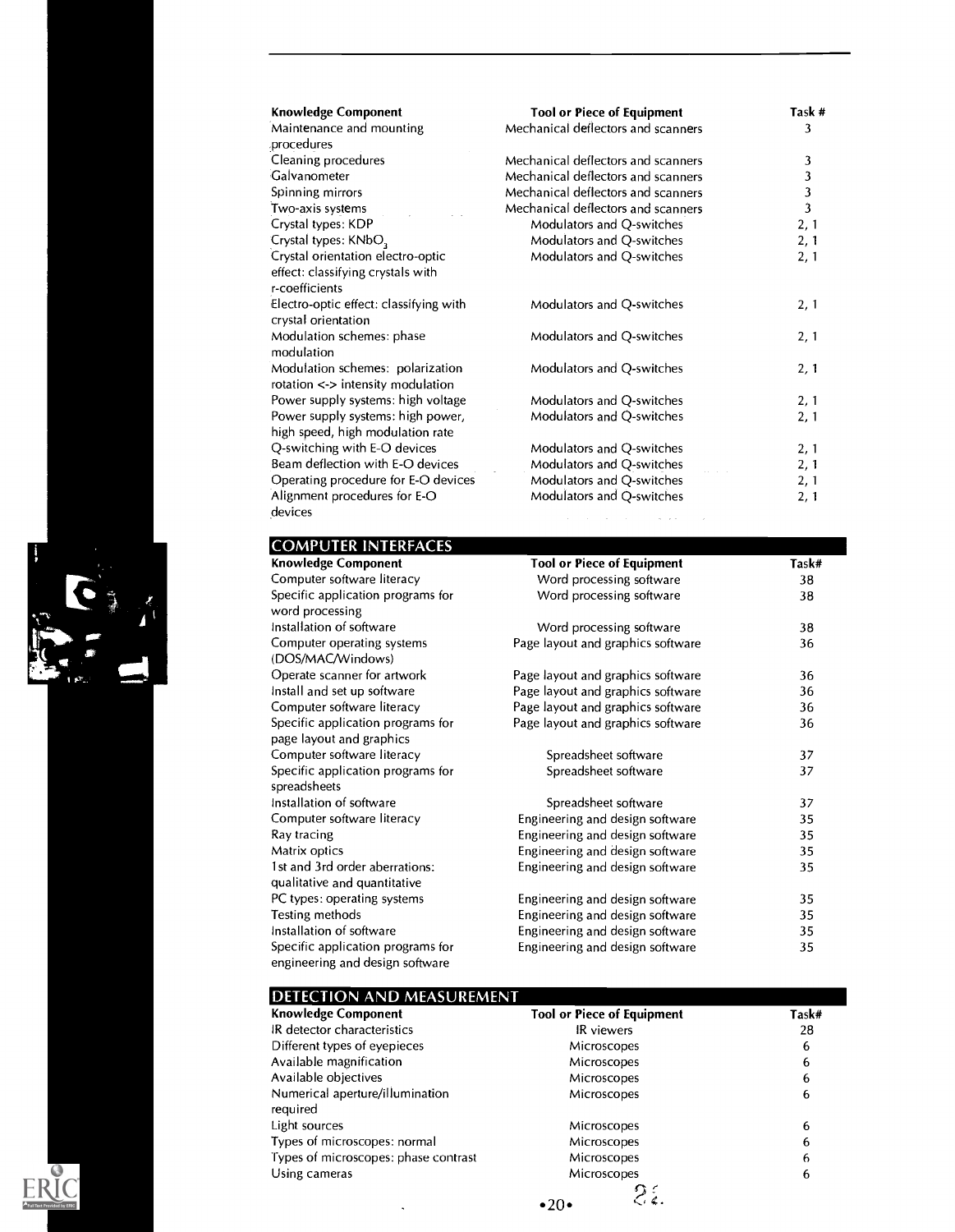| <b>Knowledge Component</b>                                                               | <b>Tool or Piece of Equipment</b>                          | Task #                  |
|------------------------------------------------------------------------------------------|------------------------------------------------------------|-------------------------|
| Maintenance and mounting<br>procedures                                                   | Mechanical deflectors and scanners                         | 3                       |
| Cleaning procedures                                                                      | Mechanical deflectors and scanners                         | 3                       |
| Galvanometer                                                                             | Mechanical deflectors and scanners                         | 3                       |
| Spinning mirrors                                                                         | Mechanical deflectors and scanners                         | 3                       |
| Two-axis systems                                                                         | Mechanical deflectors and scanners                         | $\overline{\mathbf{3}}$ |
| Crystal types: KDP                                                                       | Modulators and Q-switches                                  | 2, 1                    |
| Crystal types: KNbO <sub>3</sub>                                                         | Modulators and Q-switches                                  | 2, 1                    |
| Crystal orientation electro-optic<br>effect: classifying crystals with<br>r-coefficients | Modulators and Q-switches                                  | 2, 1                    |
| Electro-optic effect: classifying with<br>crystal orientation                            | Modulators and Q-switches                                  | 2, 1                    |
| Modulation schemes: phase<br>modulation                                                  | Modulators and Q-switches                                  | 2, 1                    |
| Modulation schemes: polarization<br>rotation < > intensity modulation                    | Modulators and Q-switches                                  | 2, 1                    |
| Power supply systems: high voltage                                                       | Modulators and Q-switches                                  | 2, 1                    |
| Power supply systems: high power,<br>high speed, high modulation rate                    | Modulators and Q-switches                                  | 2, 1                    |
| Q-switching with E-O devices                                                             | Modulators and Q-switches                                  | 2, 1                    |
| Beam deflection with E-O devices                                                         | Modulators and Q-switches                                  | 2, 1                    |
| Operating procedure for E-O devices                                                      | Modulators and Q-switches                                  | 2, 1                    |
| Alignment procedures for E-O<br>devices                                                  | Modulators and Q-switches<br>and the second control of the | 2, 1                    |

### COMPUTER INTERFACES

| <b>Knowledge Component</b>                                           | <b>Tool or Piece of Equipment</b> | Task# |
|----------------------------------------------------------------------|-----------------------------------|-------|
| Computer software literacy                                           | Word processing software          | 38    |
| Specific application programs for<br>word processing                 | Word processing software          | 38    |
| Installation of software                                             | Word processing software          | 38    |
| Computer operating systems<br>(DOS/MAC/Windows)                      | Page layout and graphics software | 36    |
| Operate scanner for artwork                                          | Page layout and graphics software | 36    |
| Install and set up software                                          | Page layout and graphics software | 36    |
| Computer software literacy                                           | Page layout and graphics software | 36    |
| Specific application programs for<br>page layout and graphics        | Page layout and graphics software | 36    |
| Computer software literacy                                           | Spreadsheet software              | 37    |
| Specific application programs for<br>spreadsheets                    | Spreadsheet software              | 37    |
| Installation of software                                             | Spreadsheet software              | 37    |
| Computer software literacy                                           | Engineering and design software   | 35    |
| Ray tracing                                                          | Engineering and design software   | 35    |
| Matrix optics                                                        | Engineering and design software   | 35    |
| 1st and 3rd order aberrations:<br>qualitative and quantitative       | Engineering and design software   | 35    |
| PC types: operating systems                                          | Engineering and design software   | 35    |
| Testing methods                                                      | Engineering and design software   | 35    |
| Installation of software                                             | Engineering and design software   | 35    |
| Specific application programs for<br>engineering and design software | Engineering and design software   | 35    |

### DETECTION AND MEASUREMENT

| <b>Knowledge Component</b>                  | <b>Tool or Piece of Equipment</b> | Task# |
|---------------------------------------------|-----------------------------------|-------|
| IR detector characteristics                 | IR viewers                        | 28    |
| Different types of eyepieces                | Microscopes                       | 6     |
| Available magnification                     | Microscopes                       | 6     |
| Available objectives                        | Microscopes                       | 6     |
| Numerical aperture/illumination<br>required | Microscopes                       | 6     |
| Light sources                               | Microscopes                       | 6     |
| Types of microscopes: normal                | Microscopes                       | 6     |
| Types of microscopes: phase contrast        | Microscopes                       | 6     |
| Using cameras                               | Microscopes                       | 6     |
|                                             | $\bullet 20 \bullet$              |       |



G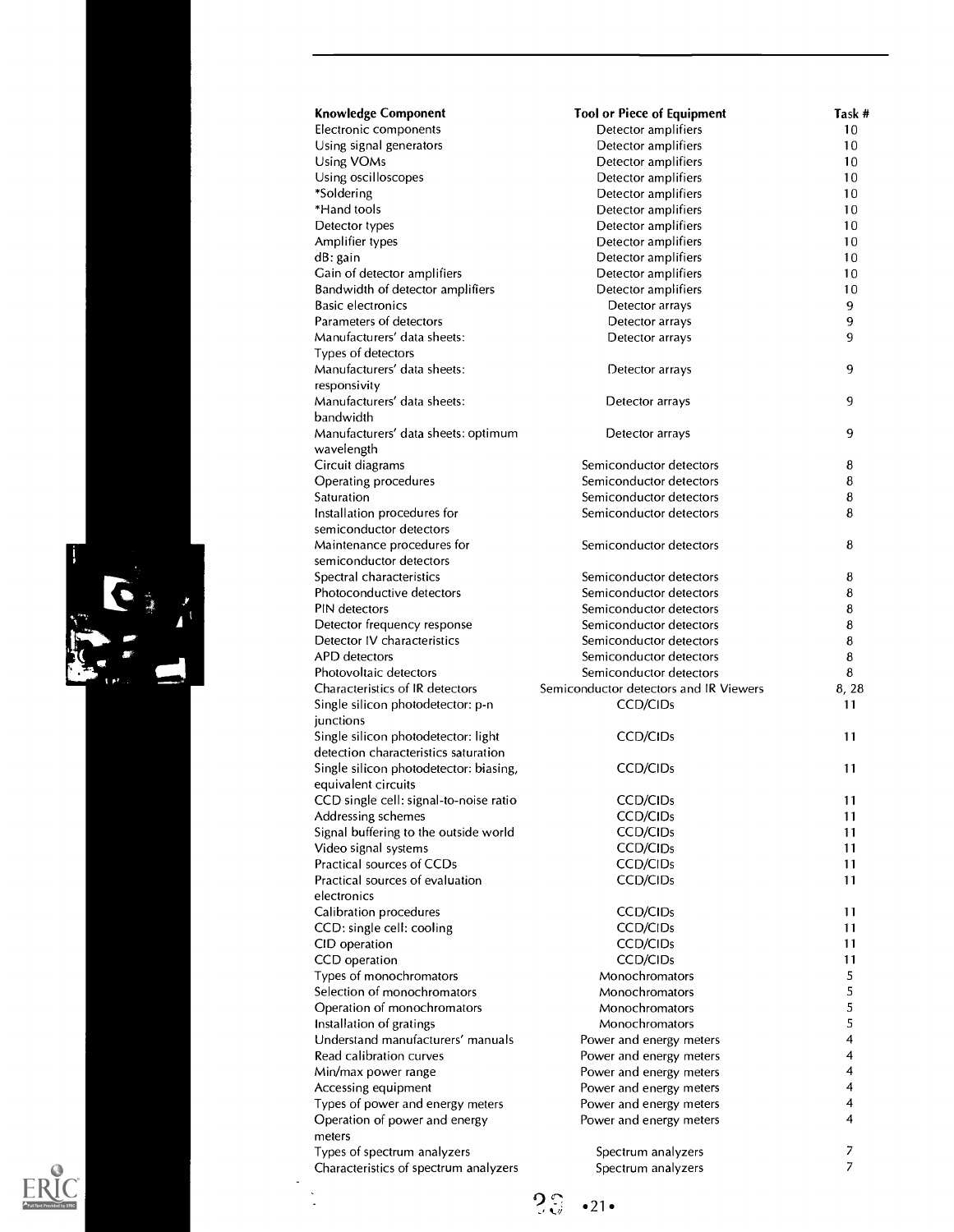| <b>Knowledge Component</b>                                                  | <b>Tool or Piece of Equipment</b>                  | Task # |
|-----------------------------------------------------------------------------|----------------------------------------------------|--------|
| Electronic components                                                       | Detector amplifiers                                | 10     |
| Using signal generators                                                     | Detector amplifiers                                | 10     |
| Using VOMs                                                                  | Detector amplifiers                                | 10     |
| Using oscilloscopes                                                         | Detector amplifiers                                | 10     |
| *Soldering                                                                  | Detector amplifiers                                | 10     |
| *Hand tools                                                                 | Detector amplifiers                                | 10     |
| Detector types                                                              | Detector amplifiers                                | 10     |
| Amplifier types                                                             | Detector amplifiers                                | 10     |
| dB: gain                                                                    | Detector amplifiers                                | 10     |
| Gain of detector amplifiers                                                 | Detector amplifiers                                | 10     |
| Bandwidth of detector amplifiers                                            | Detector amplifiers                                | 10     |
| <b>Basic electronics</b>                                                    | Detector arrays                                    | 9      |
| Parameters of detectors                                                     | Detector arrays                                    | 9      |
| Manufacturers' data sheets:                                                 | Detector arrays                                    | 9      |
| Types of detectors                                                          |                                                    |        |
| Manufacturers' data sheets:                                                 | Detector arrays                                    | 9      |
| responsivity                                                                |                                                    |        |
| Manufacturers' data sheets:                                                 | Detector arrays                                    | 9      |
| bandwidth                                                                   |                                                    |        |
| Manufacturers' data sheets: optimum                                         | Detector arrays                                    | 9      |
| wavelength                                                                  |                                                    |        |
| Circuit diagrams                                                            | Semiconductor detectors<br>Semiconductor detectors | 8      |
| Operating procedures                                                        |                                                    | 8      |
| Saturation                                                                  | Semiconductor detectors                            | 8      |
| Installation procedures for<br>semiconductor detectors                      | Semiconductor detectors                            | 8      |
|                                                                             | Semiconductor detectors                            | 8      |
| Maintenance procedures for<br>semiconductor detectors                       |                                                    |        |
| Spectral characteristics                                                    | Semiconductor detectors                            | 8      |
| Photoconductive detectors                                                   | Semiconductor detectors                            | 8      |
| PIN detectors                                                               | Semiconductor detectors                            | 8      |
| Detector frequency response                                                 | Semiconductor detectors                            | 8      |
| Detector IV characteristics                                                 | Semiconductor detectors                            | 8      |
| APD detectors                                                               | Semiconductor detectors                            | 8      |
| Photovoltaic detectors                                                      | Semiconductor detectors                            | 8      |
| Characteristics of IR detectors                                             | Semiconductor detectors and IR Viewers             | 8, 28  |
|                                                                             |                                                    |        |
|                                                                             |                                                    | 11     |
| Single silicon photodetector: p-n                                           | CCD/CIDs                                           |        |
| junctions                                                                   |                                                    | 11     |
| Single silicon photodetector: light<br>detection characteristics saturation | <b>CCD/CIDs</b>                                    |        |
|                                                                             | CCD/CID <sub>s</sub>                               | 11     |
| Single silicon photodetector: biasing,<br>equivalent circuits               |                                                    |        |
| CCD single cell: signal-to-noise ratio                                      | <b>CCD/CIDs</b>                                    | 11     |
|                                                                             |                                                    | 11     |
| Addressing schemes<br>Signal buffering to the outside world                 | <b>CCD/CIDs</b><br><b>CCD/CIDs</b>                 | 11     |
| Video signal systems                                                        | <b>CCD/CIDs</b>                                    | 11     |
| Practical sources of CCDs                                                   | <b>CCD/CIDs</b>                                    | 11     |
| Practical sources of evaluation                                             | <b>CCD/CIDs</b>                                    | 11     |
| electronics                                                                 |                                                    |        |
| Calibration procedures                                                      | <b>CCD/CIDs</b>                                    | 11     |
| CCD: single cell: cooling                                                   | <b>CCD/CIDs</b>                                    | 11     |
| CID operation                                                               | <b>CCD/CIDs</b>                                    | 11     |
| CCD operation                                                               | <b>CCD/CIDs</b>                                    | 11     |
| Types of monochromators                                                     | Monochromators                                     | 5      |
| Selection of monochromators                                                 | Monochromators                                     | 5      |
| Operation of monochromators                                                 | Monochromators                                     | 5      |
| Installation of gratings                                                    | Monochromators                                     | 5      |
| Understand manufacturers' manuals                                           | Power and energy meters                            | 4      |
| Read calibration curves                                                     | Power and energy meters                            | 4      |
| Min/max power range                                                         | Power and energy meters                            | 4      |
| Accessing equipment                                                         | Power and energy meters                            | 4      |
| Types of power and energy meters                                            | Power and energy meters                            | 4      |
| Operation of power and energy                                               | Power and energy meters                            | 4      |
| meters                                                                      |                                                    |        |
| Types of spectrum analyzers<br>Characteristics of spectrum analyzers        | Spectrum analyzers<br>Spectrum analyzers           | 7<br>7 |



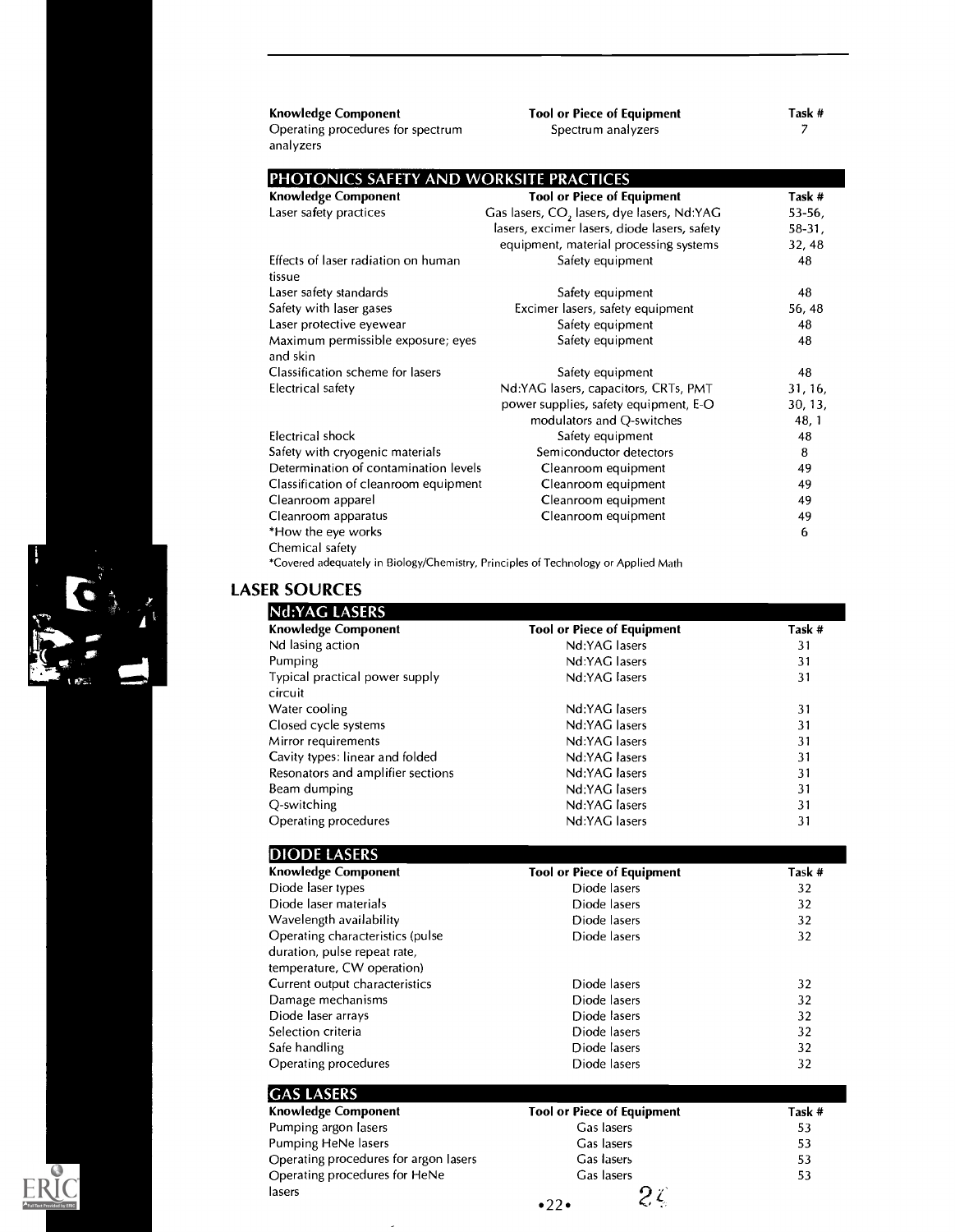| <b>Knowledge Component</b>                     | <b>Tool or Piece of Equipment</b>                      | Task #    |
|------------------------------------------------|--------------------------------------------------------|-----------|
| Operating procedures for spectrum<br>analyzers | Spectrum analyzers                                     | 7         |
| PHOTONICS SAFETY AND WORKSITE PRACTICES        |                                                        |           |
| <b>Knowledge Component</b>                     | <b>Tool or Piece of Equipment</b>                      | Task #    |
| Laser safety practices                         | Gas lasers, CO <sub>2</sub> lasers, dye lasers, Nd:YAG | $53-56,$  |
|                                                | lasers, excimer lasers, diode lasers, safety           | $58-31$ , |
|                                                | equipment, material processing systems                 | 32,48     |
| Effects of laser radiation on human<br>tissue  | Safety equipment                                       | 48        |
| Laser safety standards                         | Safety equipment                                       | 48        |
| Safety with laser gases                        | Excimer lasers, safety equipment                       | 56, 48    |
| Laser protective eyewear                       | Safety equipment                                       | 48        |
| Maximum permissible exposure; eyes<br>and skin | Safety equipment                                       | 48        |
| Classification scheme for lasers               | Safety equipment                                       | 48        |
| Electrical safety                              | Nd:YAG lasers, capacitors, CRTs, PMT                   | 31, 16,   |
|                                                | power supplies, safety equipment, E-O                  | 30, 13,   |
|                                                | modulators and Q-switches                              | 48, 1     |
| Electrical shock                               | Safety equipment                                       | 48        |
| Safety with cryogenic materials                | Semiconductor detectors                                | 8         |
| Determination of contamination levels          | Cleanroom equipment                                    | 49        |
| Classification of cleanroom equipment          | Cleanroom equipment                                    | 49        |
| Cleanroom apparel                              | Cleanroom equipment                                    | 49        |
| Cleanroom apparatus                            | Cleanroom equipment                                    | 49        |
| *How the eye works                             |                                                        | 6         |
| Chemical safety                                |                                                        |           |

\*Covered adequately in Biology/Chemistry, Principles of Technology or Applied Math

### LASER SOURCES

| Nd:YAG LASERS                     |                                   |        |
|-----------------------------------|-----------------------------------|--------|
| <b>Knowledge Component</b>        | <b>Tool or Piece of Equipment</b> | Task # |
| Nd lasing action                  | Nd:YAG lasers                     | 31     |
| Pumping                           | Nd:YAG lasers                     | 31     |
| Typical practical power supply    | Nd:YAG lasers                     | 31     |
| circuit                           |                                   |        |
| Water cooling                     | Nd:YAG lasers                     | 31     |
| Closed cycle systems              | Nd:YAG lasers                     | 31     |
| Mirror requirements               | Nd:YAG lasers                     | 31     |
| Cavity types: linear and folded   | Nd:YAG lasers                     | 31     |
| Resonators and amplifier sections | Nd:YAG lasers                     | 31     |
| Beam dumping                      | Nd:YAG lasers                     | 31     |
| Q-switching                       | Nd:YAG lasers                     | 31     |
| Operating procedures              | Nd:YAG lasers                     | 31     |
| <b>DIODE LASERS</b>               |                                   |        |
| <b>Knowledge Component</b>        | <b>Tool or Piece of Equipment</b> | Task # |
|                                   |                                   |        |

| Diode laser types                | Diode lasers | 32 |
|----------------------------------|--------------|----|
| Diode laser materials            | Diode lasers | 32 |
| Wavelength availability          | Diode lasers | 32 |
| Operating characteristics (pulse | Diode lasers | 32 |
| duration, pulse repeat rate,     |              |    |
| temperature, CW operation)       |              |    |
| Current output characteristics   | Diode lasers | 32 |
| Damage mechanisms                | Diode lasers | 32 |
| Diode laser arrays               | Diode lasers | 32 |
| Selection criteria               | Diode lasers | 32 |
| Safe handling                    | Diode lasers | 32 |
| Operating procedures             | Diode lasers | 32 |
|                                  |              |    |

| Knowledge Component                   | <b>Tool or Piece of Equipment</b> | Task # |
|---------------------------------------|-----------------------------------|--------|
| Pumping argon lasers                  | Gas lasers                        | 53     |
| Pumping HeNe lasers                   | Gas lasers                        | 53     |
| Operating procedures for argon lasers | Gas lasers                        | 53     |
| Operating procedures for HeNe         | Gas lasers                        | 53     |
| lasers                                |                                   |        |
|                                       | $\bullet$ 22 $\bullet$            |        |

ŀ,

 $\mathbf{R}^{(n)}$ 

C

 $\mathbf{A}^{\mathbf{t}}$ 

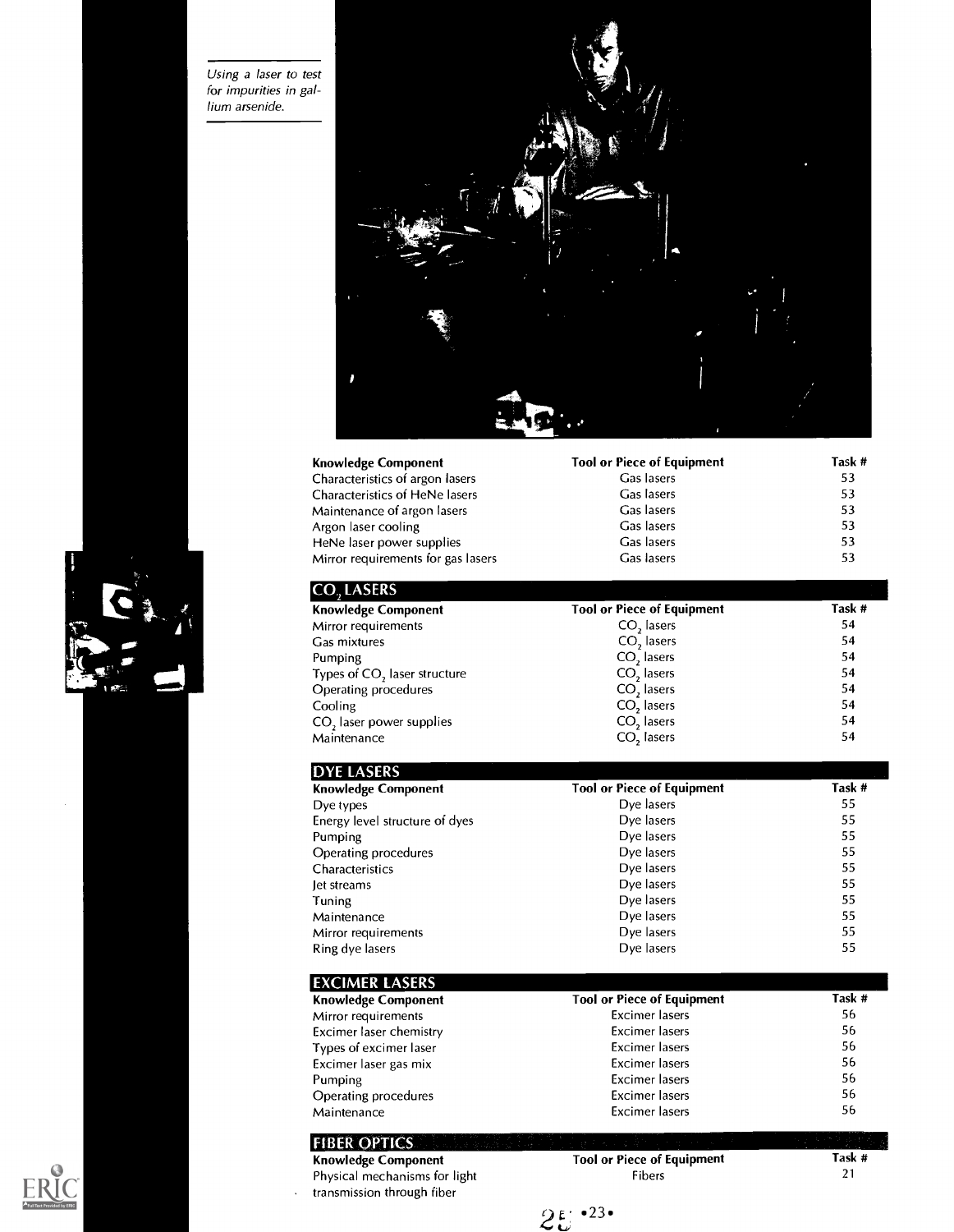Using a laser to test for impurities in gallium arsenide.





| <b>Knowledge Component</b>         | <b>Tool or Piece of Equipment</b> | Task # |
|------------------------------------|-----------------------------------|--------|
| Characteristics of argon lasers    | Gas lasers                        | 53     |
| Characteristics of HeNe lasers     | Gas lasers                        | 53     |
| Maintenance of argon lasers        | Gas lasers                        | 53     |
| Argon laser cooling                | Gas lasers                        | 53     |
| HeNe laser power supplies          | Gas lasers                        | 53     |
| Mirror requirements for gas lasers | Gas lasers                        | 53     |

| <b>ICO, LASERS</b>                       |                                   |        |
|------------------------------------------|-----------------------------------|--------|
| <b>Knowledge Component</b>               | <b>Tool or Piece of Equipment</b> | Task # |
| Mirror requirements                      | CO <sub>2</sub> lasers            | 54     |
| Gas mixtures                             | CO <sub>2</sub> lasers            | 54     |
| Pumping                                  | CO <sub>2</sub> lasers            | 54     |
| Types of CO <sub>2</sub> laser structure | CO <sub>2</sub> lasers            | 54     |
| Operating procedures                     | CO, lasers                        | 54     |
| Cooling                                  | CO <sub>2</sub> lasers            | 54     |
| CO <sub>2</sub> laser power supplies     | CO <sub>2</sub> lasers            | 54     |
| Maintenance                              | CO <sub>2</sub> lasers            | 54     |
|                                          |                                   |        |

| <b>DYE LASERS</b>              |                                   |        |
|--------------------------------|-----------------------------------|--------|
| <b>Knowledge Component</b>     | <b>Tool or Piece of Equipment</b> | Task # |
| Dye types                      | Dye lasers                        | 55     |
| Energy level structure of dyes | Dye lasers                        | 55     |
| Pumping                        | Dye lasers                        | 55     |
| Operating procedures           | Dye lasers                        | 55     |
| Characteristics                | Dye lasers                        | 55     |
| let streams                    | Dye lasers                        | 55     |
| Tuning                         | Dye lasers                        | 55     |
| Maintenance                    | Dye lasers                        | 55     |
| Mirror requirements            | Dye lasers                        | 55     |
| Ring dye lasers                | Dye lasers                        | 55     |

| <b>EXCIMER LASERS</b>      |                                   |        |
|----------------------------|-----------------------------------|--------|
| <b>Knowledge Component</b> | <b>Tool or Piece of Equipment</b> | Task # |
| Mirror requirements        | <b>Excimer</b> lasers             | 56     |
| Excimer laser chemistry    | <b>Excimer</b> lasers             | 56     |
| Types of excimer laser     | <b>Excimer</b> lasers             | 56     |
| Excimer laser gas mix      | Excimer lasers                    | 56     |
| Pumping                    | <b>Excimer</b> lasers             | 56     |
| Operating procedures       | <b>Excimer</b> lasers             | 56     |
| Maintenance                | <b>Excimer</b> lasers             | 56     |

| <b>FIBER OPTICS</b><br><b>Knowledge Component</b>           | Tool or                    |
|-------------------------------------------------------------|----------------------------|
| Physical mechanisms for light<br>transmission through fiber |                            |
|                                                             | $\bullet 23 \bullet$<br>つい |





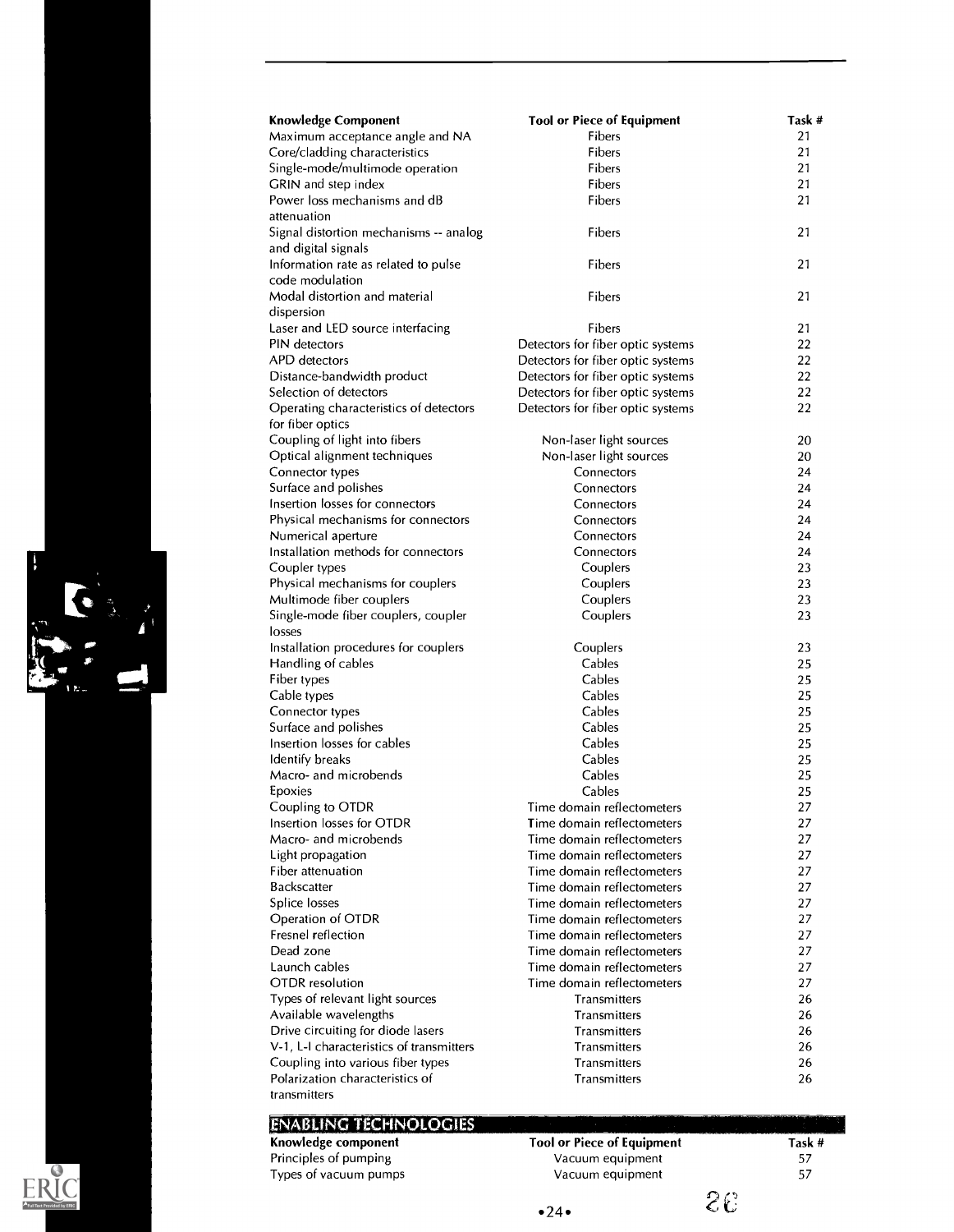

### **ENABLING TECHNOLOGIES**

Knowledge component Principles of pumping Types of vacuum pumps Tool or Piece of Equipment Vacuum equipment Vacuum equipment

Task # 57 57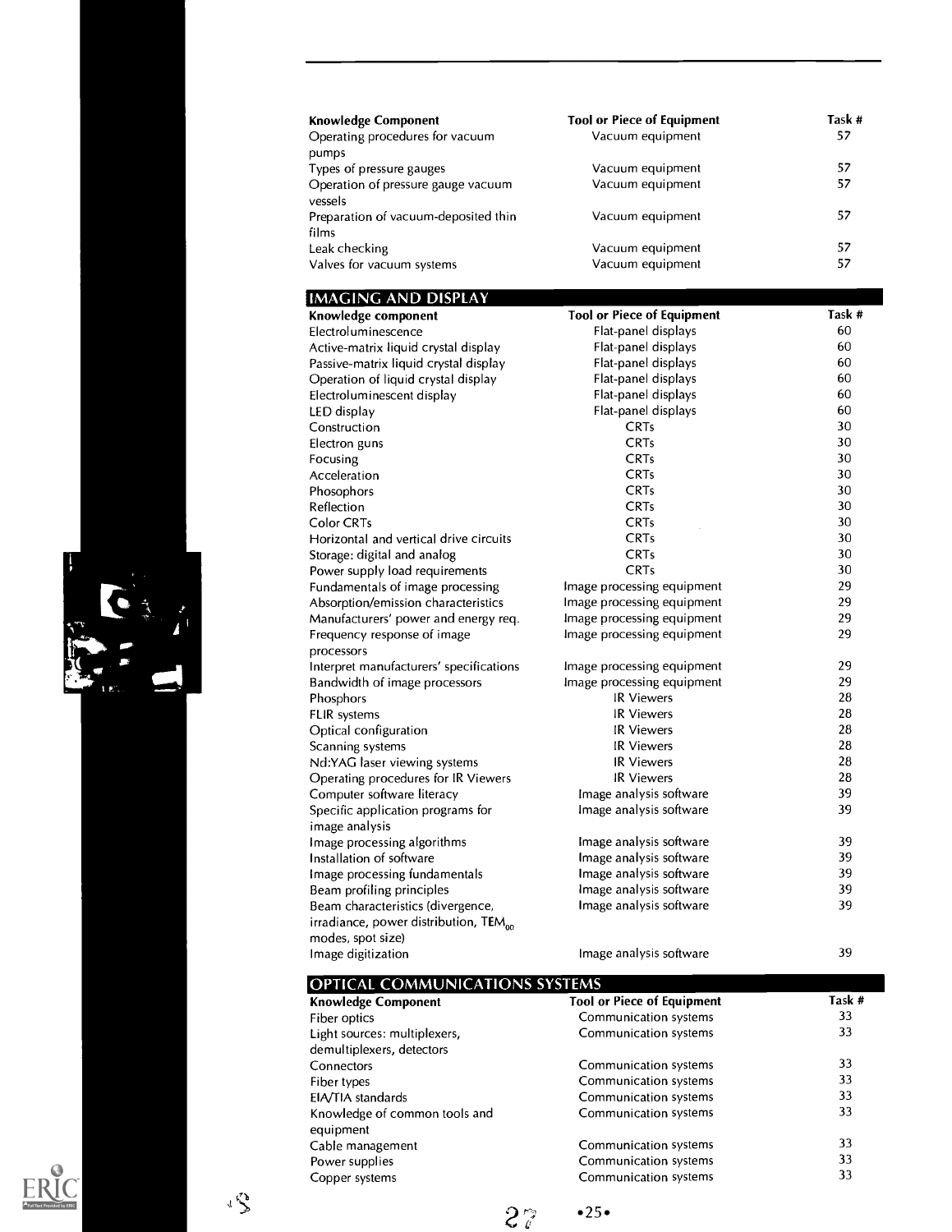| <b>Knowledge Component</b>                    | <b>Tool or Piece of Equipment</b> | Task # |
|-----------------------------------------------|-----------------------------------|--------|
| Operating procedures for vacuum               | Vacuum equipment                  | 57     |
| pumps                                         |                                   |        |
| Types of pressure gauges                      | Vacuum equipment                  | 57     |
| Operation of pressure gauge vacuum<br>vessels | Vacuum equipment                  | 57     |
| Preparation of vacuum-deposited thin          | Vacuum equipment                  | 57     |
| films                                         |                                   |        |
| Leak checking                                 | Vacuum equipment                  | 57     |
| Valves for vacuum systems                     | Vacuum equipment                  | 57     |

### IMAGING AND DISPLAY

| Knowledge component                               | <b>Tool or Piece of Equipment</b> | Task # |
|---------------------------------------------------|-----------------------------------|--------|
| Electroluminescence                               | Flat-panel displays               | 60     |
| Active-matrix liquid crystal display              | Flat-panel displays               | 60     |
| Passive-matrix liquid crystal display             | Flat-panel displays               | 60     |
| Operation of liquid crystal display               | Flat-panel displays               | 60     |
| Electroluminescent display                        | Flat-panel displays               | 60     |
| LED display                                       | Flat-panel displays               | 60     |
| Construction                                      | <b>CRTs</b>                       | 30     |
| Electron guns                                     | <b>CRTs</b>                       | 30     |
| Focusing                                          | <b>CRTs</b>                       | 30     |
| Acceleration                                      | <b>CRTs</b>                       | 30     |
| Phosophors                                        | <b>CRTs</b>                       | 30     |
| Reflection                                        | <b>CRTs</b>                       | 30     |
| Color CRTs                                        | <b>CRTs</b>                       | 30     |
| Horizontal and vertical drive circuits            | <b>CRTs</b>                       | 30     |
| Storage: digital and analog                       | <b>CRTs</b>                       | 30     |
| Power supply load requirements                    | <b>CRTs</b>                       | 30     |
| Fundamentals of image processing                  | Image processing equipment        | 29     |
| Absorption/emission characteristics               | Image processing equipment        | 29     |
| Manufacturers' power and energy req.              | Image processing equipment        | 29     |
| Frequency response of image                       | Image processing equipment        | 29     |
| processors                                        |                                   |        |
| Interpret manufacturers' specifications           | Image processing equipment        | 29     |
| Bandwidth of image processors                     | Image processing equipment        | 29     |
| Phosphors                                         | <b>IR Viewers</b>                 | 28     |
| FLIR systems                                      | <b>IR Viewers</b>                 | 28     |
| Optical configuration                             | <b>IR Viewers</b>                 | 28     |
| Scanning systems                                  | <b>IR Viewers</b>                 | 28     |
| Nd:YAG laser viewing systems                      | <b>IR Viewers</b>                 | 28     |
| Operating procedures for IR Viewers               | <b>IR Viewers</b>                 | 28     |
| Computer software literacy                        | Image analysis software           | 39     |
| Specific application programs for                 | Image analysis software           | 39     |
| image analysis                                    |                                   |        |
| Image processing algorithms                       | Image analysis software           | 39     |
| Installation of software                          | Image analysis software           | 39     |
| Image processing fundamentals                     | Image analysis software           | 39     |
| Beam profiling principles                         | Image analysis software           | 39     |
| Beam characteristics (divergence,                 | Image analysis software           | 39     |
| irradiance, power distribution, TEM <sub>oo</sub> |                                   |        |
| modes, spot size)                                 |                                   |        |
| Image digitization                                | Image analysis software           | 39     |
|                                                   |                                   |        |

| <b>OPTICAL COMMUNICATIONS SYSTEMS</b>                     |                                   |        |
|-----------------------------------------------------------|-----------------------------------|--------|
| <b>Knowledge Component</b>                                | <b>Tool or Piece of Equipment</b> | Task # |
| Fiber optics                                              | Communication systems             | 33     |
| Light sources: multiplexers,<br>demultiplexers, detectors | Communication systems             | 33     |
| Connectors                                                | Communication systems             | 33     |
| Fiber types                                               | Communication systems             | 33     |
| EIA/TIA standards                                         | Communication systems             | 33     |
| Knowledge of common tools and<br>equipment                | Communication systems             | 33     |
| Cable management                                          | Communication systems             | 33     |
| Power supplies                                            | Communication systems             | 33     |
| Copper systems                                            | Communication systems             | 33     |





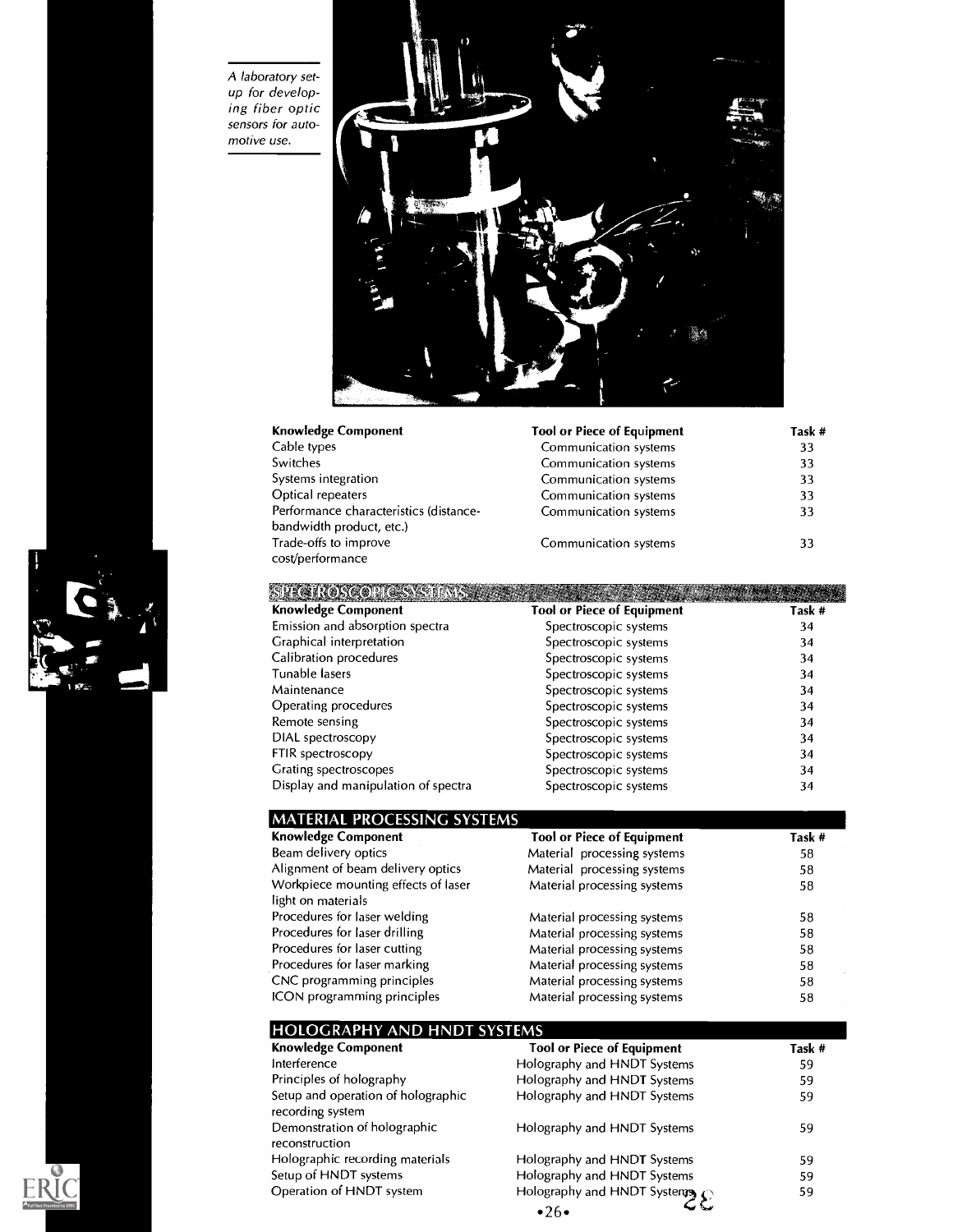A laboratory setup for developing fiber optic sensors for automotive use.

 $ERIC$ 



|                       | Task #                            |
|-----------------------|-----------------------------------|
| Communication systems | 33                                |
| Communication systems | 33                                |
| Communication systems | 33                                |
| Communication systems | 33                                |
| Communication systems | 33                                |
|                       |                                   |
| Communication systems | 33                                |
|                       |                                   |
|                       | <b>Tool or Piece of Equipment</b> |

| <b>Knowledge Component</b>          | <b>Tool or Piece of Equipment</b> | Task # |
|-------------------------------------|-----------------------------------|--------|
| Emission and absorption spectra     | Spectroscopic systems             | 34     |
| Graphical interpretation            | Spectroscopic systems             | 34     |
| Calibration procedures              | Spectroscopic systems             | 34     |
| Tunable lasers                      | Spectroscopic systems             | 34     |
| Maintenance                         | Spectroscopic systems             | 34     |
| Operating procedures                | Spectroscopic systems             | 34     |
| Remote sensing                      | Spectroscopic systems             | 34     |
| DIAL spectroscopy                   | Spectroscopic systems             | 34     |
| FTIR spectroscopy                   | Spectroscopic systems             | 34     |
| Grating spectroscopes               | Spectroscopic systems             | 34     |
| Display and manipulation of spectra | Spectroscopic systems             | 34     |

| <b>MATERIAL PROCESSING SYSTEMS</b>  |                                   |        |
|-------------------------------------|-----------------------------------|--------|
| <b>Knowledge Component</b>          | <b>Tool or Piece of Equipment</b> | Task # |
| Beam delivery optics                | Material processing systems       | 58     |
| Alignment of beam delivery optics   | Material processing systems       | 58     |
| Workpiece mounting effects of laser | Material processing systems       | 58     |
| light on materials                  |                                   |        |
| Procedures for laser welding        | Material processing systems       | 58     |
| Procedures for laser drilling       | Material processing systems       | 58     |
| Procedures for laser cutting        | Material processing systems       | 58     |
| Procedures for laser marking        | Material processing systems       | 58     |
| CNC programming principles          | Material processing systems       | 58     |
| ICON programming principles         | Material processing systems       | 58     |

| <b>HOLOGRAPHY AND HNDT SYSTEMS</b>                     |                                        |        |
|--------------------------------------------------------|----------------------------------------|--------|
| <b>Knowledge Component</b>                             | <b>Tool or Piece of Equipment</b>      | Task # |
| Interference                                           | Holography and HNDT Systems            | 59     |
| Principles of holography                               | Holography and HNDT Systems            | 59     |
| Setup and operation of holographic<br>recording system | Holography and HNDT Systems            | 59     |
| Demonstration of holographic<br>reconstruction         | Holography and HNDT Systems            | 59     |
| Holographic recording materials                        | Holography and HNDT Systems            | 59     |
| Setup of HNDT systems                                  | Holography and HNDT Systems            | 59     |
| Operation of HNDT system                               | Holography and HNDT Systemy $\bigcirc$ | 59     |
|                                                        | •26•                                   |        |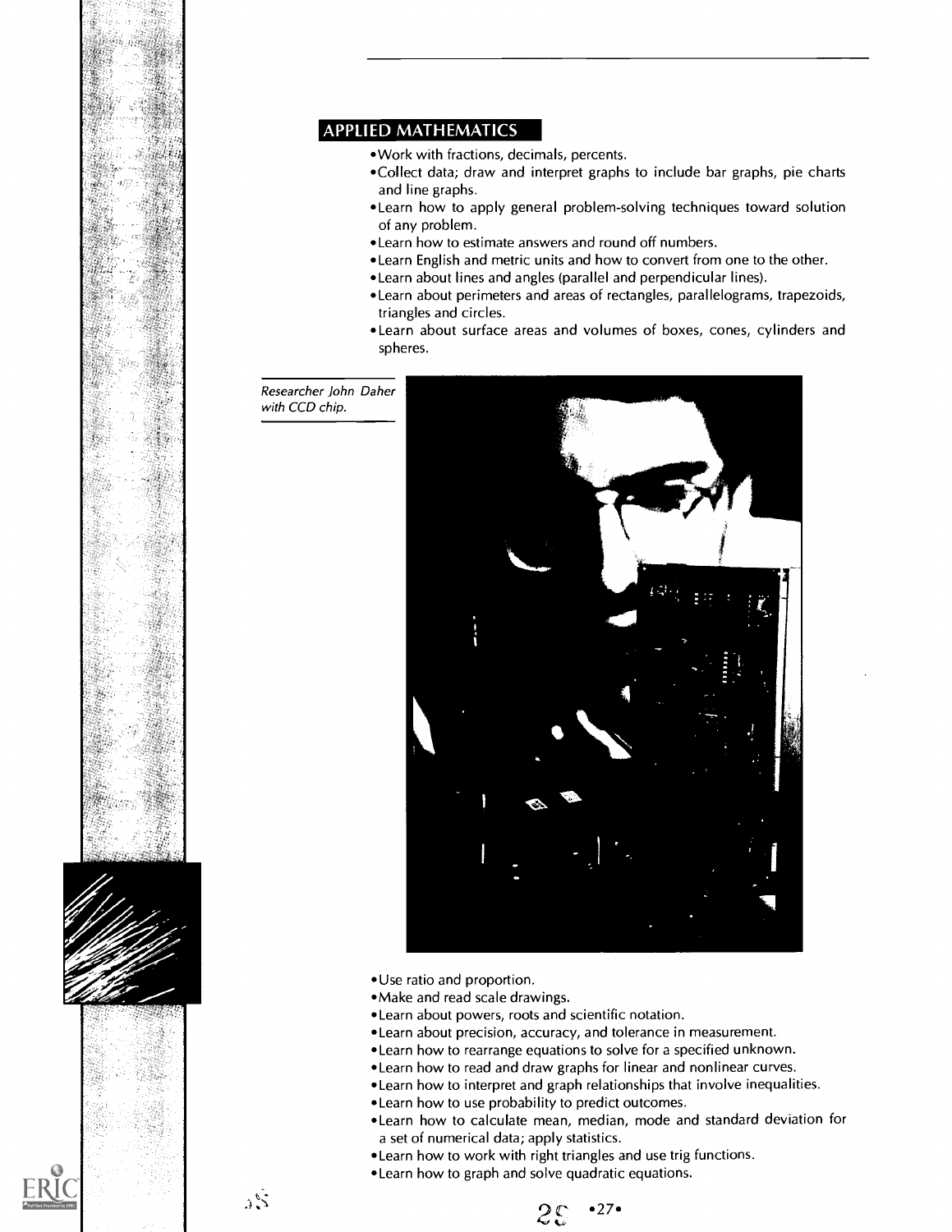

### APPLIED MATHEMATICS

- Work with fractions, decimals, percents.
- Collect data; draw and interpret graphs to include bar graphs, pie charts and line graphs.
- Learn how to apply general problem-solving techniques toward solution of any problem.
- Learn how to estimate answers and round off numbers.
- Learn English and metric units and how to convert from one to the other.
- Learn about lines and angles (parallel and perpendicular lines).
- Learn about perimeters and areas of rectangles, parallelograms, trapezoids, triangles and circles.
- Learn about surface areas and volumes of boxes, cones, cylinders and spheres.

Researcher John Daher with CCD chip.

تنبي



- Use ratio and proportion.
- Make and read scale drawings.
- Learn about powers, roots and scientific notation.
- Learn about precision, accuracy, and tolerance in measurement.
- Learn how to rearrange equations to solve for a specified unknown.
- Learn how to read and draw graphs for linear and nonlinear curves.
- Learn how to interpret and graph relationships that involve inequalities.
- Learn how to use probability to predict outcomes.
- Learn how to calculate mean, median, mode and standard deviation for a set of numerical data; apply statistics.
- Learn how to work with right triangles and use trig functions.
- Learn how to graph and solve quadratic equations.

 $25 - 27$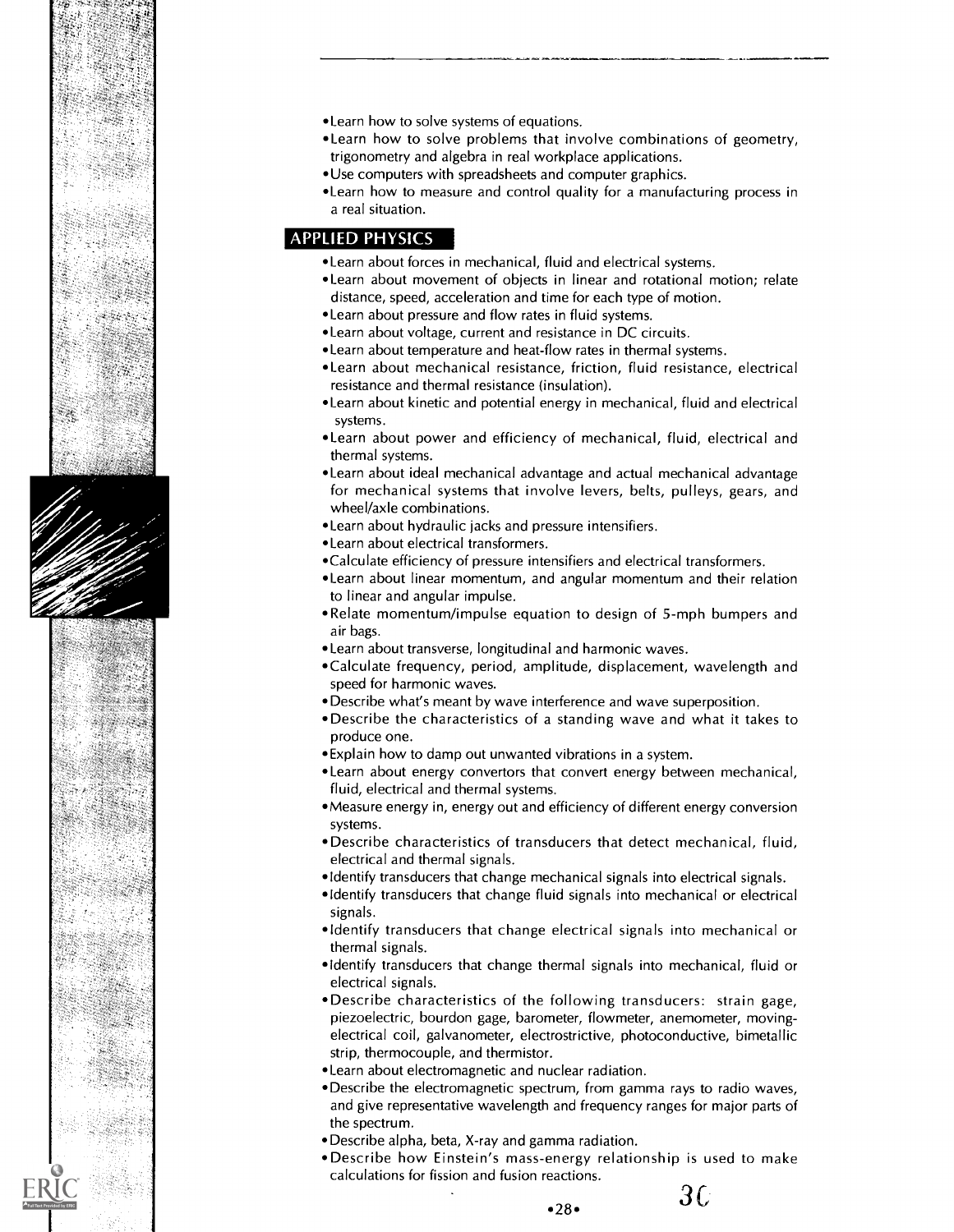





- Learn how to solve systems of equations.
- Learn how to solve problems that involve combinations of geometry, trigonometry and algebra in real workplace applications.
- Use computers with spreadsheets and computer graphics.
- Learn how to measure and control quality for a manufacturing process in a real situation.

### APPLIED PHYSICS

- Learn about forces in mechanical, fluid and electrical systems.
- Learn about movement of objects in linear and rotational motion; relate distance, speed, acceleration and time for each type of motion.
- Learn about pressure and flow rates in fluid systems.
- Learn about voltage, current and resistance in DC circuits.
- Learn about temperature and heat-flow rates in thermal systems.
- Learn about mechanical resistance, friction, fluid resistance, electrical resistance and thermal resistance (insulation).
- Learn about kinetic and potential energy in mechanical, fluid and electrical systems.
- Learn about power and efficiency of mechanical, fluid, electrical and thermal systems.
- Learn about ideal mechanical advantage and actual mechanical advantage for mechanical systems that involve levers, belts, pulleys, gears, and wheel/axle combinations.
- Learn about hydraulic jacks and pressure intensifiers.
- Learn about electrical transformers.
- Calculate efficiency of pressure intensifiers and electrical transformers.
- Learn about linear momentum, and angular momentum and their relation to linear and angular impulse.
- Relate momentum/impulse equation to design of 5-mph bumpers and air bags.
- Learn about transverse, longitudinal and harmonic waves.
- Calculate frequency, period, amplitude, displacement, wavelength and speed for harmonic waves.
- Describe what's meant by wave interference and wave superposition.
- Describe the characteristics of a standing wave and what it takes to produce one.
- Explain how to damp out unwanted vibrations in a system.
- Learn about energy convertors that convert energy between mechanical, fluid, electrical and thermal systems.
- Measure energy in, energy out and efficiency of different energy conversion systems.
- Describe characteristics of transducers that detect mechanical, fluid, electrical and thermal signals.
- Identify transducers that change mechanical signals into electrical signals.
- Identify transducers that change fluid signals into mechanical or electrical signals.
- Identify transducers that change electrical signals into mechanical or thermal signals.
- •Identify transducers that change thermal signals into mechanical, fluid or electrical signals.
- Describe characteristics of the following transducers: strain gage, piezoelectric, bourdon gage, barometer, flowmeter, anemometer, movingelectrical coil, galvanometer, electrostrictive, photoconductive, bimetallic strip, thermocouple, and thermistor.
- Learn about electromagnetic and nuclear radiation.
- Describe the electromagnetic spectrum, from gamma rays to radio waves, and give representative wavelength and frequency ranges for major parts of the spectrum.
- Describe alpha, beta, X-ray and gamma radiation.
- Describe how Einstein's mass-energy relationship is used to make calculations for fission and fusion reactions.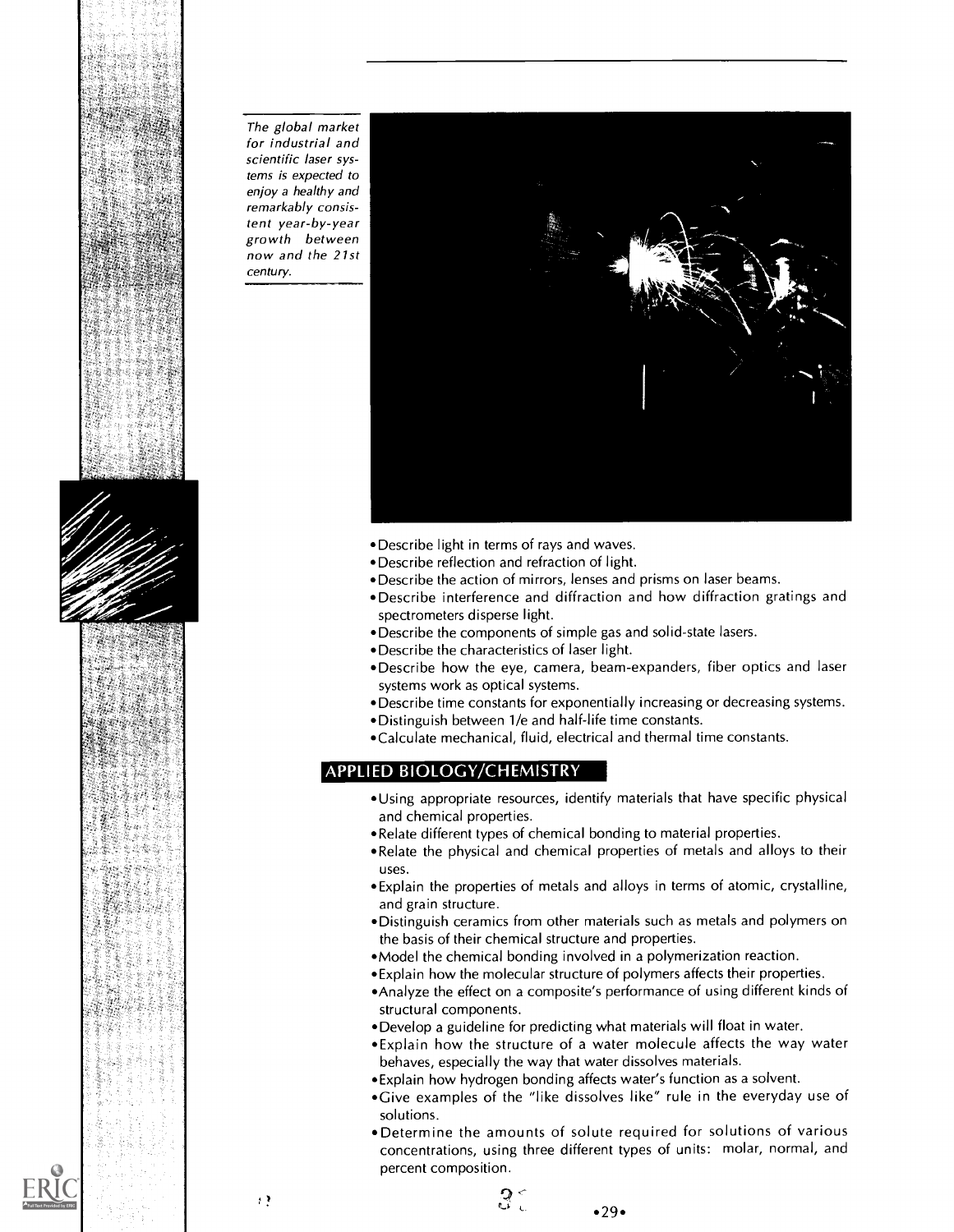





The global market for industrial and scientific laser systems is expected to enjoy a healthy and remarkably consistent year-by-year growth between now and the 21st century.



- Describe light in terms of rays and waves.
- Describe reflection and refraction of light.
- Describe the action of mirrors, lenses and prisms on laser beams.
- Describe interference and diffraction and how diffraction gratings and spectrometers disperse light.
- Describe the components of simple gas and solid-state lasers.
- Describe the characteristics of laser light.
- Describe how the eye, camera, beam-expanders, fiber optics and laser systems work as optical systems.
- Describe time constants for exponentially increasing or decreasing systems.
- Distinguish between 1/e and half-life time constants.
- Calculate mechanical, fluid, electrical and thermal time constants.

### APPLIED BIOLOGY/CHEMISTRY

- Using appropriate resources, identify materials that have specific physical and chemical properties.
- Relate different types of chemical bonding to material properties.
- Relate the physical and chemical properties of metals and alloys to their uses.
- Explain the properties of metals and alloys in terms of atomic, crystalline, and grain structure.
- Distinguish ceramics from other materials such as metals and polymers on the basis of their chemical structure and properties.
- Model the chemical bonding involved in a polymerization reaction.
- Explain how the molecular structure of polymers affects their properties.
- Analyze the effect on a composite's performance of using different kinds of structural components.
- Develop a guideline for predicting what materials will float in water.
- Explain how the structure of a water molecule affects the way water behaves, especially the way that water dissolves materials.
- Explain how hydrogen bonding affects water's function as a solvent.
- Give examples of the "like dissolves like" rule in the everyday use of solutions.
- Determine the amounts of solute required for solutions of various concentrations, using three different types of units: molar, normal, and percent composition.

 $\rightarrow$   $\rightarrow$ 

 $•29$ 

ូ $\mathcal{Q} \subset$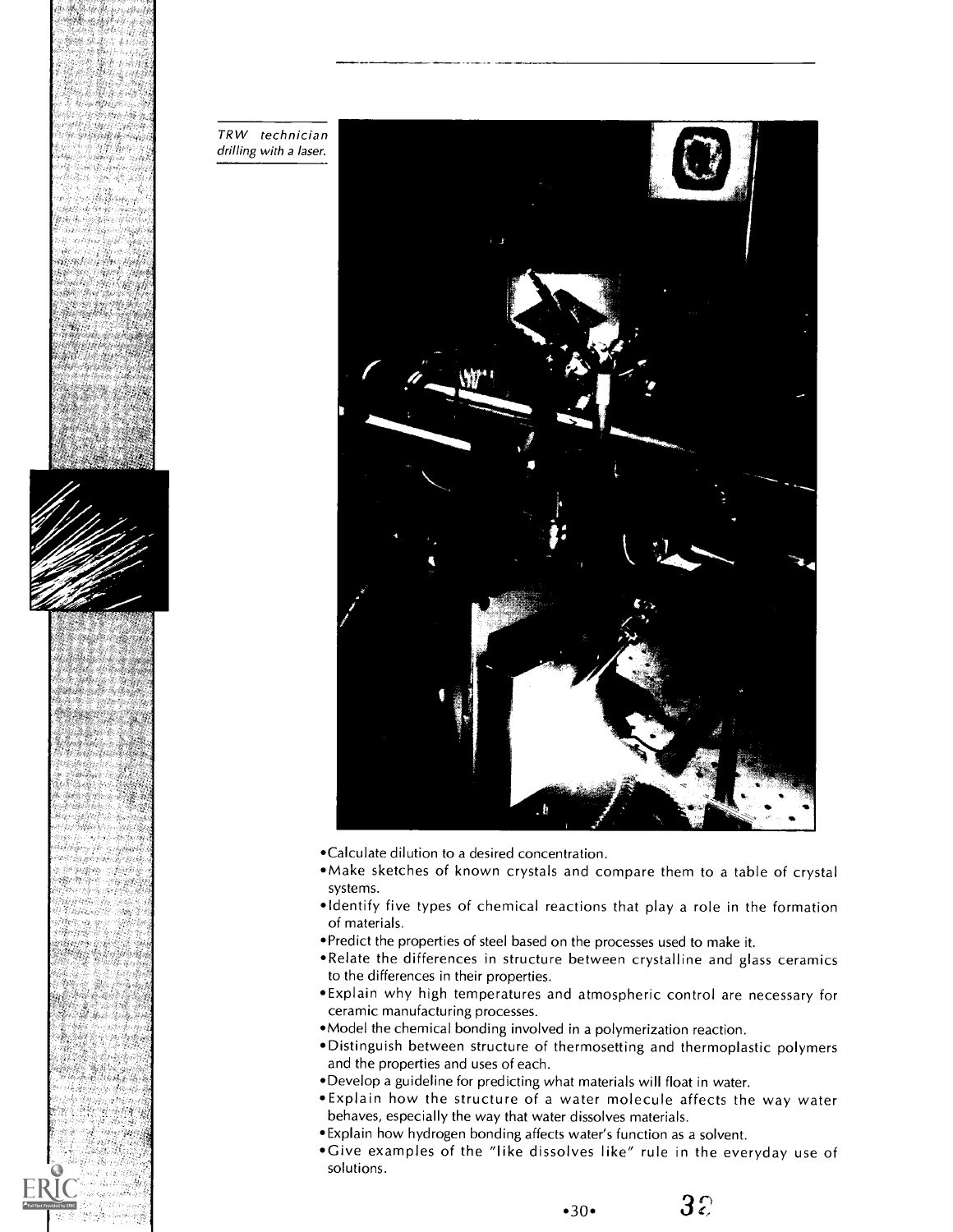



TRW technician drilling with a laser.



- Calculate dilution to a desired concentration.
- Make sketches of known crystals and compare them to a table of crystal systems.
- Identify five types of chemical reactions that play a role in the formation of materials.
- Predict the properties of steel based on the processes used to make it.
- Relate the differences in structure between crystalline and glass ceramics to the differences in their properties.
- Explain why high temperatures and atmospheric control are necessary for ceramic manufacturing processes.
- Model the chemical bonding involved in a polymerization reaction.
- Distinguish between structure of thermosetting and thermoplastic polymers and the properties and uses of each.
- Develop a guideline for predicting what materials will float in water.
- Explain how the structure of a water molecule affects the way water behaves, especially the way that water dissolves materials.
- Explain how hydrogen bonding affects water's function as a solvent.
- Give examples of the "like dissolves like" rule in the everyday use of solutions.

 $32$  $•30•$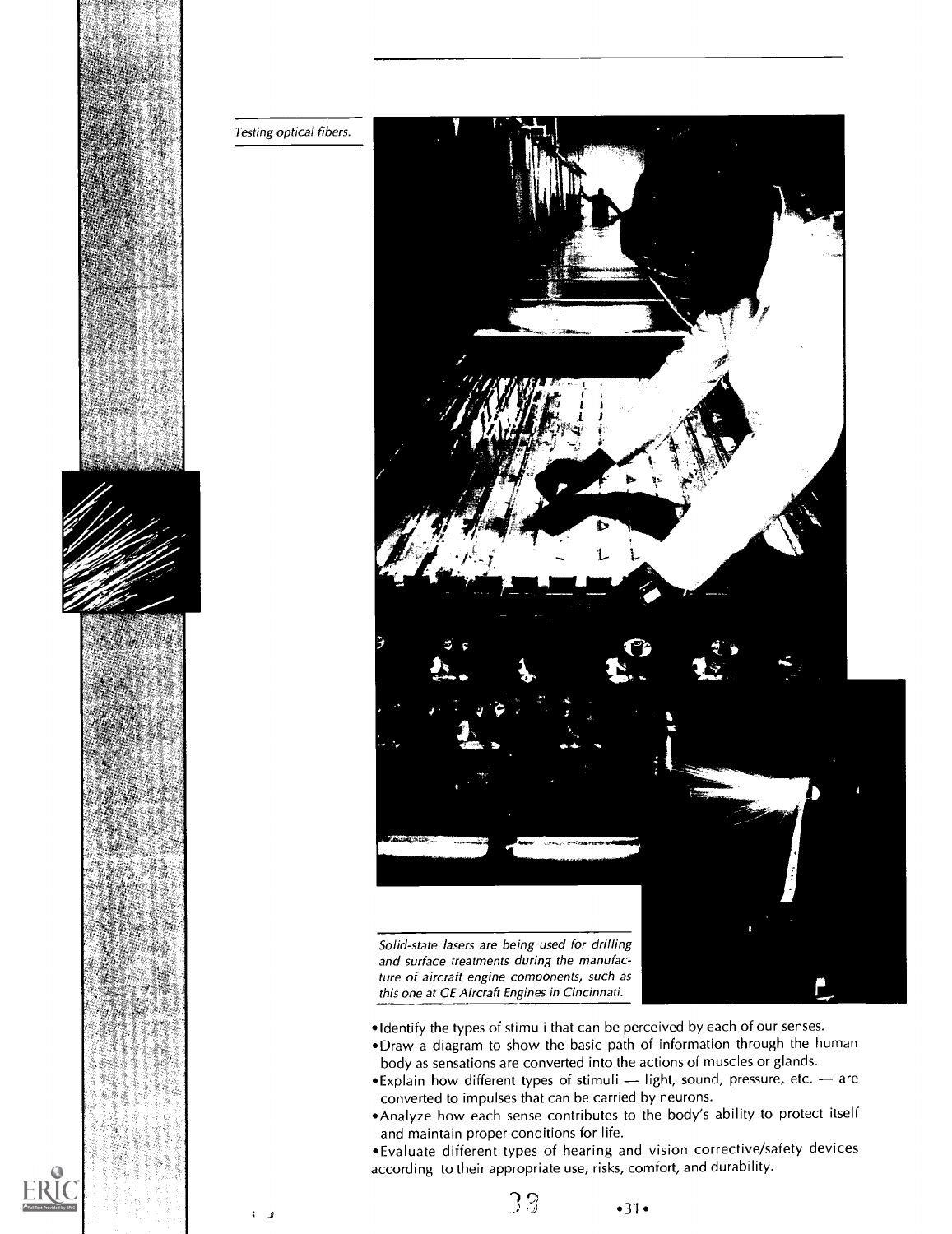



- Identify the types of stimuli that can be perceived by each of our senses.
- Draw a diagram to show the basic path of information through the human body as sensations are converted into the actions of muscles or glands.
- $\bullet$  Explain how different types of stimuli  $-$  light, sound, pressure, etc.  $-$  are converted to impulses that can be carried by neurons.
- Analyze how each sense contributes to the body's ability to protect itself and maintain proper conditions for life.

Evaluate different types of hearing and vision corrective/safety devices according to their appropriate use, risks, comfort, and durability.

 $33 - 31$ 

j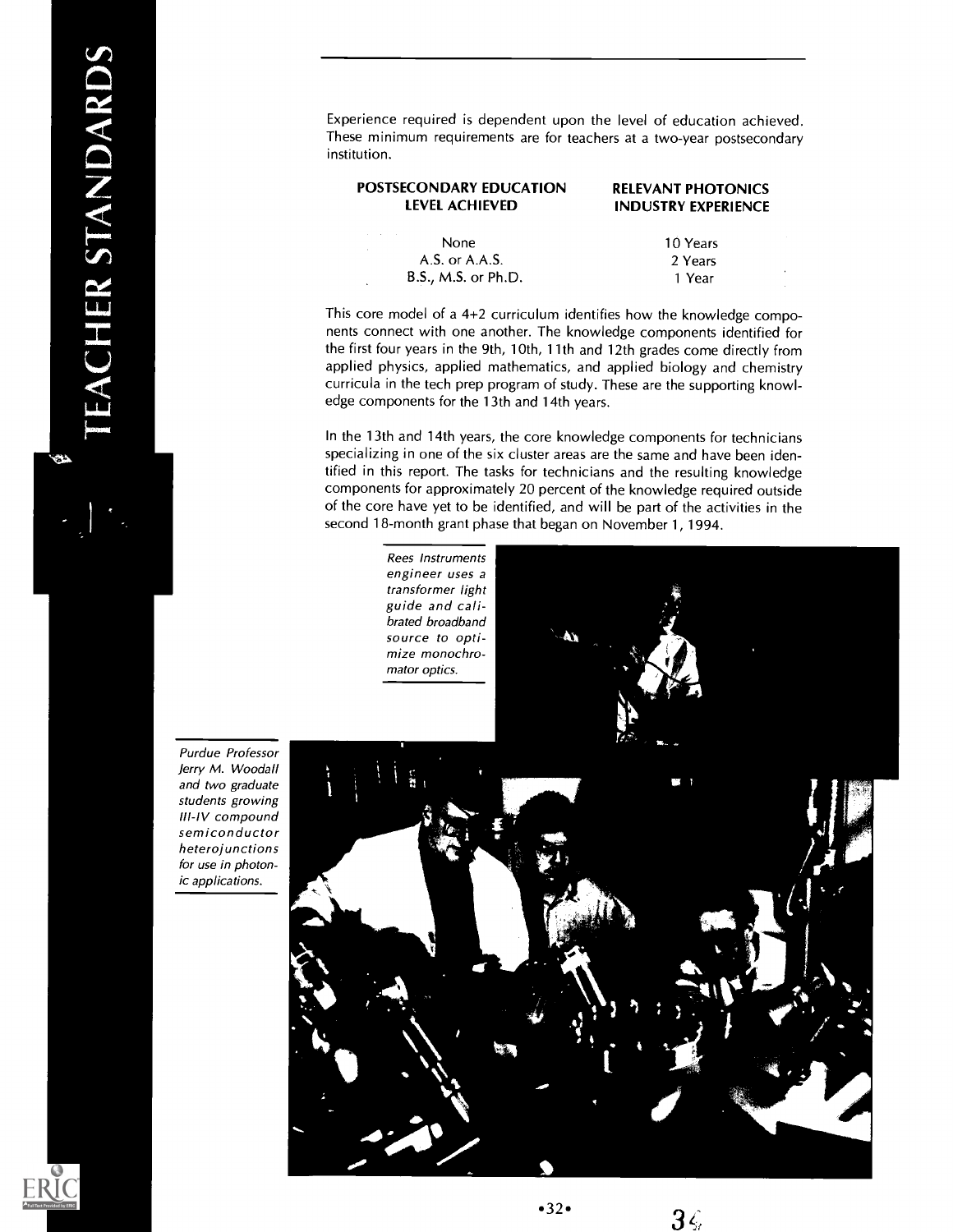z<br>Z Experience required is dependent upon the level of education achieved. These minimum requirements are for teachers at a two-year postsecondary institution.

| POSTSECONDARY EDUCATION<br>LEVEL ACHIEVED | <b>RELEVANT PHOTONICS</b><br><b>INDUSTRY EXPERIENCE</b> |  |
|-------------------------------------------|---------------------------------------------------------|--|
| None                                      | 10 Years                                                |  |
| $A.S.$ or $A.A.S.$                        | 2 Years                                                 |  |

This core model of a 4+2 curriculum identifies how the knowledge components connect with one another. The knowledge components identified for the first four years in the 9th, 10th, 11th and 12th grades come directly from applied physics, applied mathematics, and applied biology and chemistry curricula in the tech prep program of study. These are the supporting knowledge components for the 13th and 14th years.

B.S., M.S. or Ph.D. 1 Year

In the 13th and 14th years, the core knowledge components for technicians specializing in one of the six cluster areas are the same and have been identified in this report. The tasks for technicians and the resulting knowledge components for approximately 20 percent of the knowledge required outside of the core have yet to be identified, and will be part of the activities in the second 18-month grant phase that began on November 1, 1994.

> Rees Instruments engineer uses a transformer light guide and calibrated broadband source to optimize monochromator optics.

Purdue Professor Jerry M. Woodall and two graduate students growing III-IV compound semiconductor heterojunctions for use in photonic applications.

 $\bullet$ 





 $3\xi$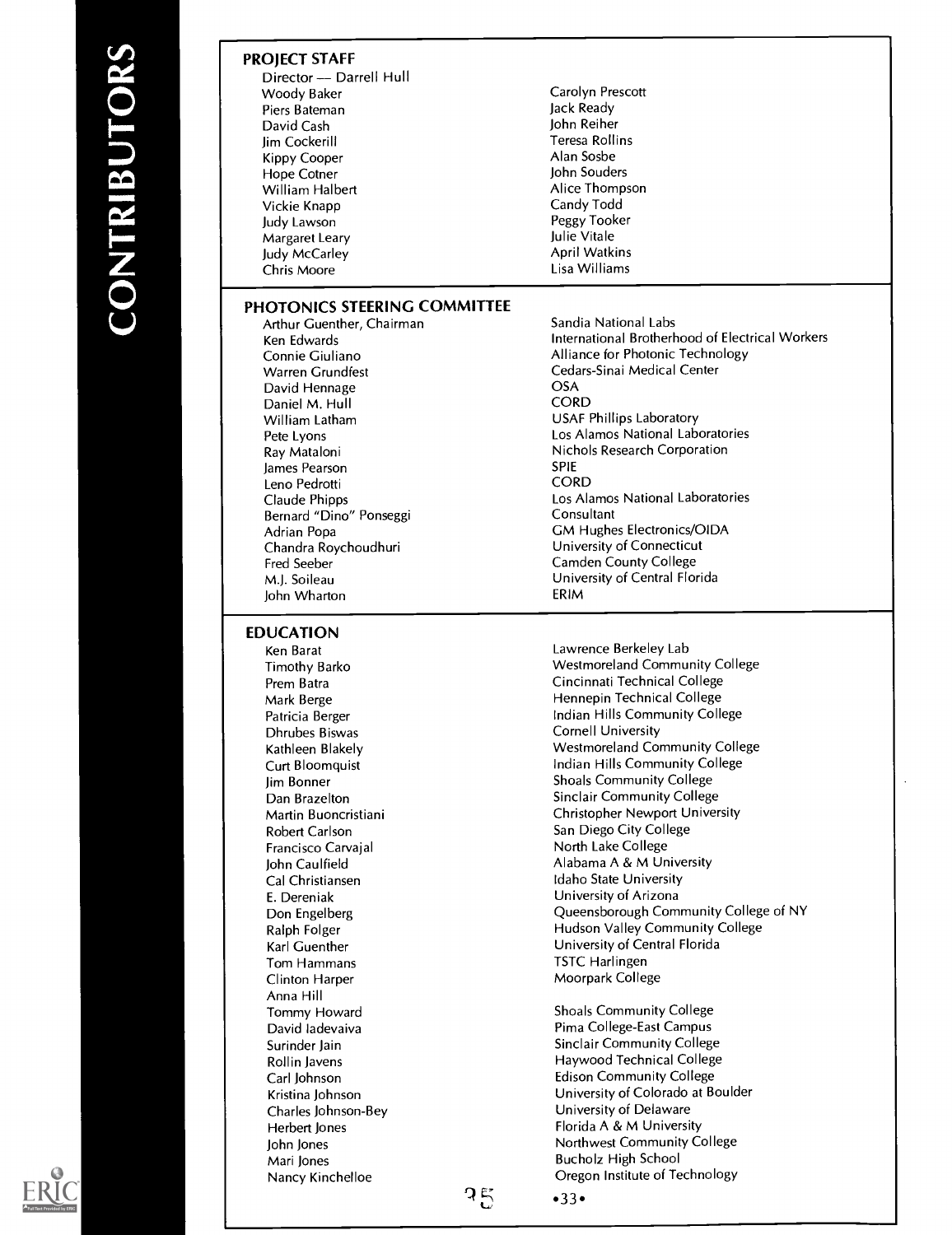### PROJECT STAFF

| Director — Darrell Hull |
|-------------------------|
| Woody Baker             |
| Piers Bateman           |
| David Cash              |
| Jim Cockerill           |
| Kippy Cooper            |
| Hope Cotner             |
| William Halbert         |
| Vickie Knapp            |
| Judy Lawson             |
| Margaret Leary          |
| Judy McCarley           |
| Chris Moore             |
|                         |

### PHOTONICS STEERING COMMITTEE

Arthur Guenther, Chairman Ken Edwards Connie Giuliano Warren Grundfest David Hennage Daniel M. Hull William Latham Pete Lyons Ray Mataloni James Pearson Leno Pedrotti Claude Phipps Bernard "Dino" Ponseggi Adrian Popa Chandra Roychoudhuri Fred Seeber M.J. Soileau John Wharton

### EDUCATION

Ken Barat Timothy Barko Prem Batra Mark Berge Patricia Berger Dhrubes Biswas Kathleen Blakely Curt Bloomquist Jim Bonner Dan Brazelton Martin Buoncristiani Robert Carlson Francisco Carvajal John Caulfield Cal Christiansen E. Dereniak Don Engelberg Ralph Folger Karl Guenther Tom Hammans Clinton Harper Anna Hill Tommy Howard David ladevaiva Surinder Jain Rollin Javens Carl Johnson Kristina Johnson Charles Johnson-Bey Herbert Jones John Jones Mari Jones Nancy Kinchelloe

Jack Ready John Reiher Teresa Rollins Alan Sosbe John Souders Alice Thompson Candy Todd Peggy Tooker Julie Vitale April Watkins Lisa Williams

Carolyn Prescott

Sandia National Labs International Brotherhood of Electrical Workers Alliance for Photonic Technology Cedars-Sinai Medical Center **OSA** CORD USAF Phillips Laboratory Los Alamos National Laboratories Nichols Research Corporation SPIE **CORD** Los Alamos National Laboratories **Consultant** GM Hughes Electronics/OIDA University of Connecticut Camden County College University of Central Florida ERIM

Lawrence Berkeley Lab Westmoreland Community College Cincinnati Technical College Hennepin Technical College Indian Hills Community College Cornell University Westmoreland Community College Indian Hills Community College Shoals Community College Sinclair Community College Christopher Newport University San Diego City College North Lake College Alabama A & M University Idaho State University University of Arizona Queensborough Community College of NY Hudson Valley Community College University of Central Florida TSTC Harlingen Moorpark College

Shoals Community College Pima College-East Campus Sinclair Community College Haywood Technical College Edison Community College University of Colorado at Boulder University of Delaware Florida A & M University Northwest Community College Bucholz High School Oregon Institute of Technology



ว $\epsilon$ 

 $•33.$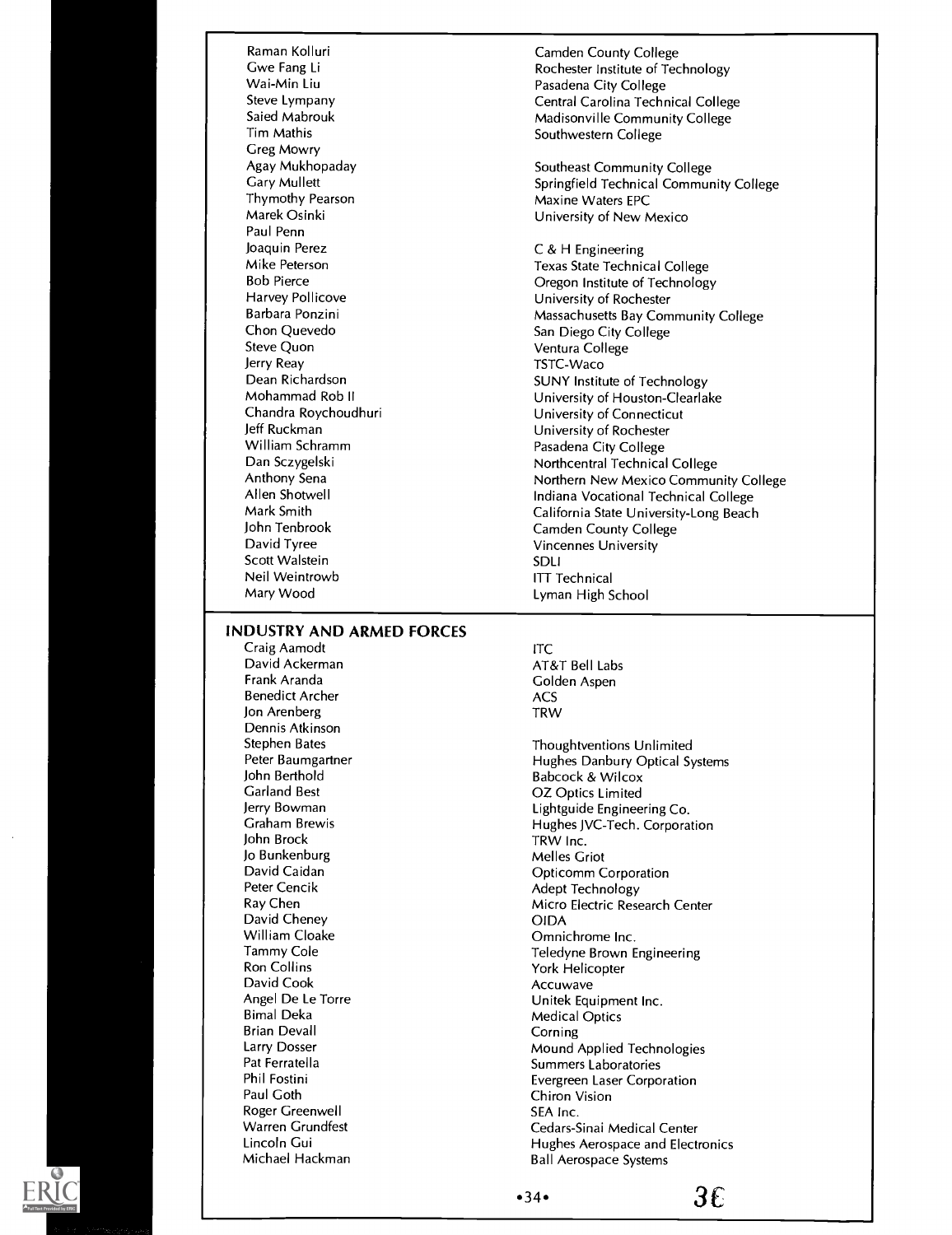Raman Kolluri Gwe Fang Li Wai-Min Liu Steve Lympany Saied Mabrouk Tim Mathis Greg Mowry Agay Mukhopaday Gary Mullett Thymothy Pearson Marek Osinki Paul Penn Joaquin Perez Mike Peterson Bob Pierce Harvey Pollicove Barbara Ponzini Chon Quevedo Steve Quon Jerry Reay Dean Richardson Mohammad Rob II Chandra Roychoudhuri Jeff Ruckman William Schramm Dan Sczygelski Anthony Sena Allen Shotwell Mark Smith John Tenbrook David Tyree Scott Walstein Neil Weintrowb Mary Wood

### Camden County College Rochester Institute of Technology Pasadena City College Central Carolina Technical College Madisonville Community College Southwestern College

Southeast Community College Springfield Technical Community College Maxine Waters EPC University of New Mexico

C & H Engineering Texas State Technical College Oregon Institute of Technology University of Rochester Massachusetts Bay Community College San Diego City College Ventura College TSTC-Waco SUNY Institute of Technology University of Houston-Clearlake University of Connecticut University of Rochester Pasadena City College Northcentral Technical College Northern New Mexico Community College Indiana Vocational Technical College California State University-Long Beach Camden County College Vincennes University SDLI ITT Technical Lyman High School

### INDUSTRY AND ARMED FORCES

Craig Aamodt David Ackerman Frank Aranda Benedict Archer Jon Arenberg Dennis Atkinson Stephen Bates Peter Baumgartner John Berthold Garland Best Jerry Bowman Graham Brewis John Brock Jo Bunkenburg David Caidan Peter Cencik Ray Chen David Cheney William Cloake Tammy Cole Ron Collins David Cook Angel De Le Torre Bimal Deka Brian Devall Larry Dosser Pat Ferratella Phil Fostini Paul Goth Roger Greenwell Warren Grundfest Lincoln Gui Michael Hackman

ITC AT&T Bell Labs Golden Aspen ACS TRW

Thoughtventions Unlimited Hughes Danbury Optical Systems Babcock & Wilcox OZ Optics Limited Lightguide Engineering Co. Hughes JVC-Tech. Corporation TRW Inc. Melles Griot Opticomm Corporation Adept Technology Micro Electric Research Center OIDA Omnichrome Inc. Teledyne Brown Engineering York Helicopter Accuwave Unitek Equipment Inc. Medical Optics Corning Mound Applied Technologies Summers Laboratories Evergreen Laser Corporation Chiron Vision SEA Inc. Cedars-Sinai Medical Center Hughes Aerospace and Electronics Ball Aerospace Systems

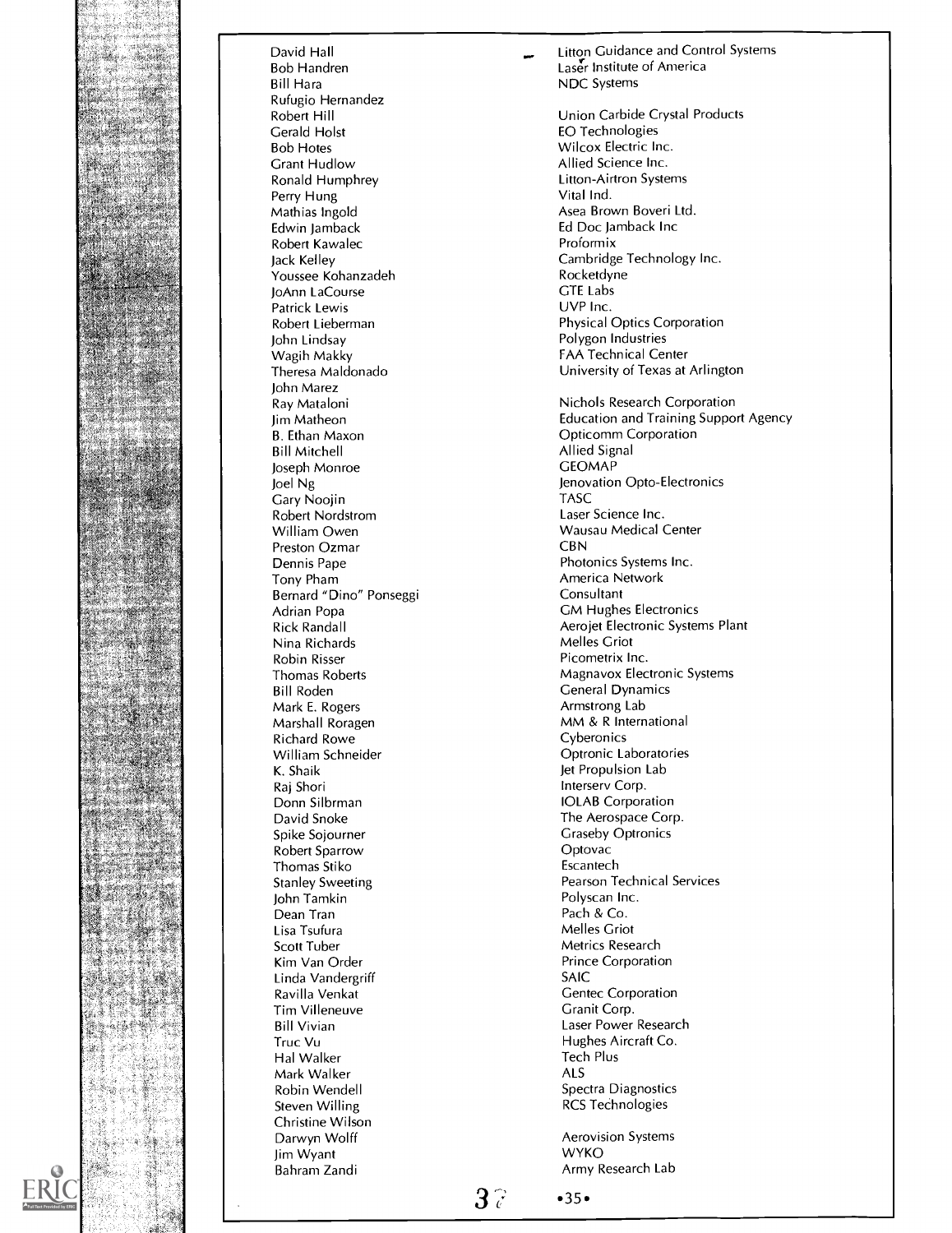

Bob Handren Laser Institute of America<br>
Bill Hara<br>
NDC Systems Rufugio Hernandez<br>Robert Hill Bob Hotes **Milion Community Community** Milia Science Inc.<br>
Crant Hudlow **Allied Science Inc.** Grant Hudlow **Allied Science Inc.**<br>
Ronald Humphrey **Allied Science Inc.**<br>
Litton-Airtron Syste Perry Hung<br>Mathias Ingold Mathias Ingold<br>
Edwin Jamback<br>
Ed Doc Jamback Inc Robert Kawalec<br>Jack Kellev Youssee Kohanzadeh **Rocketdyne Rocketdyne Rocketdyne Rocketdyne Rocketdyne Rocketdyne Rocket American**<br>I Rocket Rocket and Rocket and Rocket and Rocket and Rocket and Rocket and Rocket and Rocket and Rocket and Ro<br>I Rocket JoAnn LaCourse GTE Labs<br>
Patrick Lewis GTE Labs<br>
COVP Inc. Patrick Lewis<br>Robert Lieberman John Lindsay Polygon Industries Wagih Makky **FAA Technical Center**<br>Theresa Maldonado **Face Contract Center**<br>University of Texas at John Marez Ray Mataloni Jim Matheon B. Ethan Maxon Bill Mitchell Joseph Monroe Joel Ng Gary Noojin Robert Nordstrom William Owen Preston Ozmar Dennis Pape Tony Pham Bernard "Dino" Ponseggi Adrian Popa Rick Randall Nina Richards Robin Risser Thomas Roberts Bill Roden Mark E. Rogers Marshall Roragen Richard Rowe William Schneider K. Shaik Raj Shori Donn Silbrman David Snoke Spike Sojourner Robert Sparrow Thomas Stiko Stanley Sweeting John Tamkin Dean Tran Lisa Tsufura Scott Tuber Kim Van Order Linda Vandergriff Ravilla Venkat Tim Villeneuve Bill Vivian Truc Vu Hal Walker Mark Walker Robin Wendell Steven Willing Christine Wilson Jim Wyant **Bahram Zandi** Army Research Lab

David Hall Litton Guidance and Control Systems **NDC Systems** 

Robert Hill **Robert Hill Lines Communist Communist Cerald Holst Cerald Holst Cerald Holst Cerald Holst Cerald Holst Cerald Holst Cerald Holst Cerald Holst Cerald Holst Cerald Holst Cerald Holst Cerald Holst Cerald Holst Ce** EO Technologies Litton-Airtron Systems<br>Vital Ind. Ed Doc Jamback Inc<br>Proformix Cambridge Technology Inc.<br>Rocketdyne Physical Optics Corporation University of Texas at Arlington Nichols Research Corporation Education and Training Support Agency Opticomm Corporation Allied Signal **GEOMAP** Jenovation Opto-Electronics TASC Laser Science Inc. Wausau Medical Center CBN Photonics Systems Inc. America Network Consultant GM Hughes Electronics Aerojet Electronic Systems Plant Melles Griot Picometrix Inc. Magnavox Electronic Systems General Dynamics Armstrong Lab MM & R International Cyberonics Optronic Laboratories Jet Propulsion Lab Intersery Corp. IOLAB Corporation The Aerospace Corp. Graseby Optronics Optovac Escantech Pearson Technical Services Polyscan Inc. Pach & Co. Melles Griot Metrics Research Prince Corporation SAIC Gentec Corporation Granit Corp. Laser Power Research Hughes Aircraft Co. Tech Plus ALS Spectra Diagnostics RCS Technologies

Aerovision Systems<br>WYKO

 $3^{\circ}$   $\cdot$  35 $\cdot$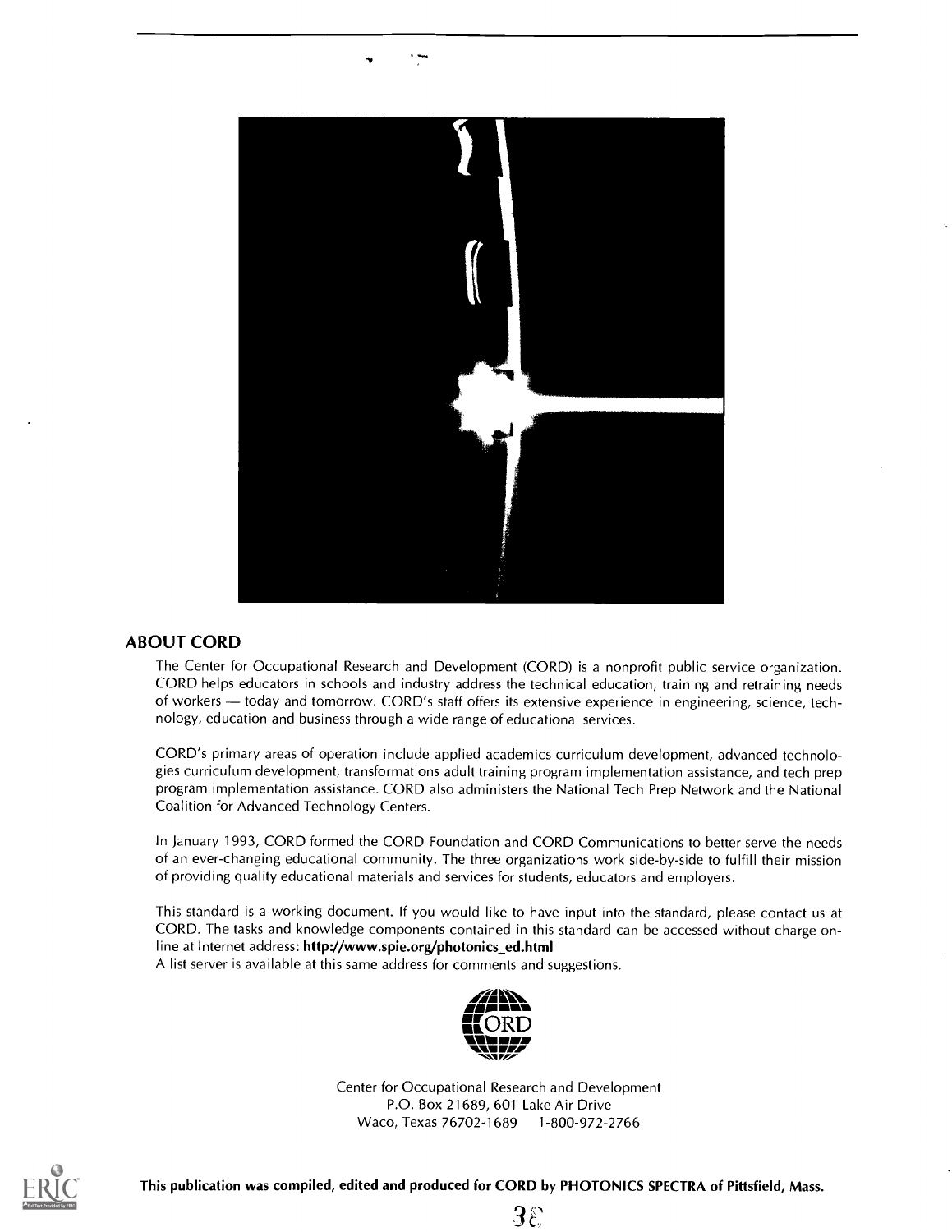

### ABOUT CORD

The Center for Occupational Research and Development (CORD) is a nonprofit public service organization. CORD helps educators in schools and industry address the technical education, training and retraining needs of workers - today and tomorrow. CORD's staff offers its extensive experience in engineering, science, technology, education and business through a wide range of educational services.

CORD's primary areas of operation include applied academics curriculum development, advanced technologies curriculum development, transformations adult training program implementation assistance, and tech prep program implementation assistance. CORD also administers the National Tech Prep Network and the National Coalition for Advanced Technology Centers.

In January 1993, CORD formed the CORD Foundation and CORD Communications to better serve the needs of an ever-changing educational community. The three organizations work side-by-side to fulfill their mission of providing quality educational materials and services for students, educators and employers.

This standard is a working document. If you would like to have input into the standard, please contact us at CORD. The tasks and knowledge components contained in this standard can be accessed without charge online at Internet address: http://www.spie.org/photonics\_ed.html

A list server is available at this same address for comments and suggestions.



Center for Occupational Research and Development P.O. Box 21689, 601 Lake Air Drive Waco, Texas 76702-1689 1-800-972-2766



This publication was compiled, edited and produced for CORD by PHOTONICS SPECTRA of Pittsfield, Mass.